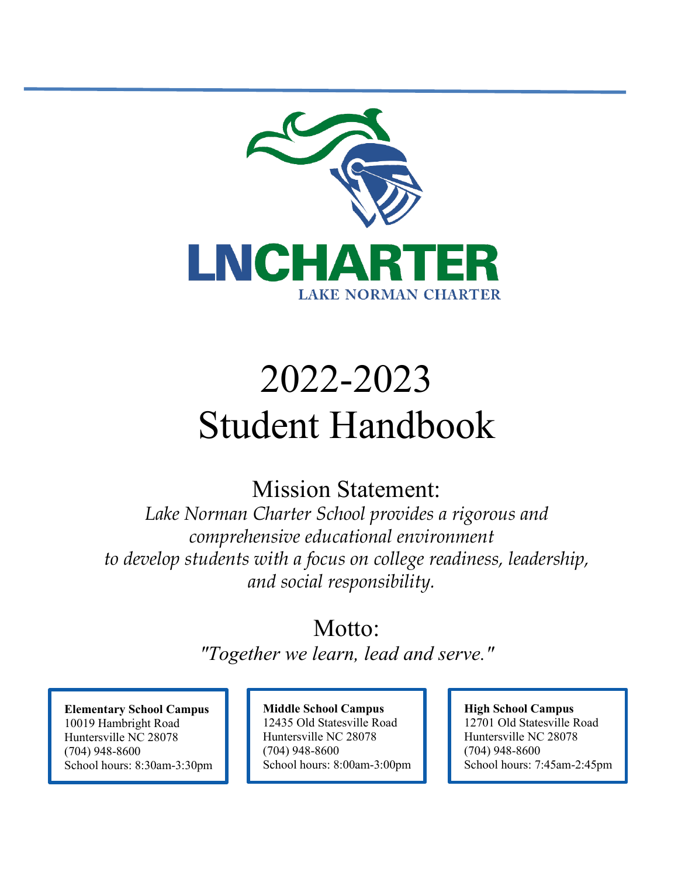

# 2022-2023 Student Handbook

Mission Statement:

*Lake Norman Charter School provides a rigorous and comprehensive educational environment to develop students with a focus on college readiness, leadership, and social responsibility.*

## Motto:

*"Together we learn, lead and serve."*

**Elementary School Campus** 10019 Hambright Road Huntersville NC 28078 (704) 948-8600 School hours: 8:30am-3:30pm **Middle School Campus** 12435 Old Statesville Road Huntersville NC 28078 (704) 948-8600 School hours: 8:00am-3:00pm

#### **High School Campus**

12701 Old Statesville Road Huntersville NC 28078 (704) 948-8600 School hours: 7:45am-2:45pm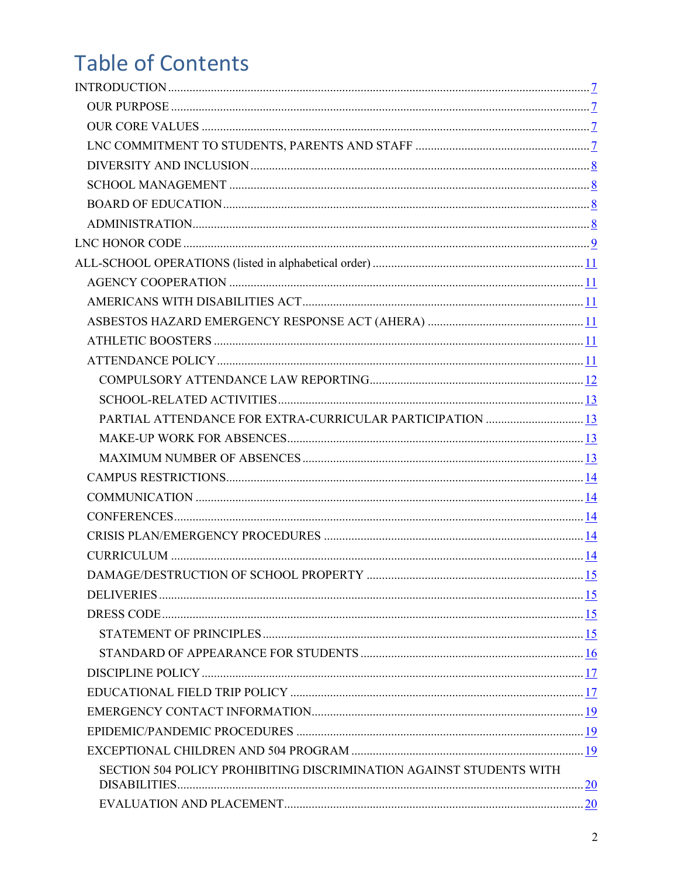## **Table of Contents**

| PARTIAL ATTENDANCE FOR EXTRA-CURRICULAR PARTICIPATION  13           |  |
|---------------------------------------------------------------------|--|
|                                                                     |  |
|                                                                     |  |
|                                                                     |  |
|                                                                     |  |
|                                                                     |  |
|                                                                     |  |
|                                                                     |  |
|                                                                     |  |
|                                                                     |  |
|                                                                     |  |
|                                                                     |  |
|                                                                     |  |
|                                                                     |  |
|                                                                     |  |
|                                                                     |  |
|                                                                     |  |
|                                                                     |  |
| SECTION 504 POLICY PROHIBITING DISCRIMINATION AGAINST STUDENTS WITH |  |
|                                                                     |  |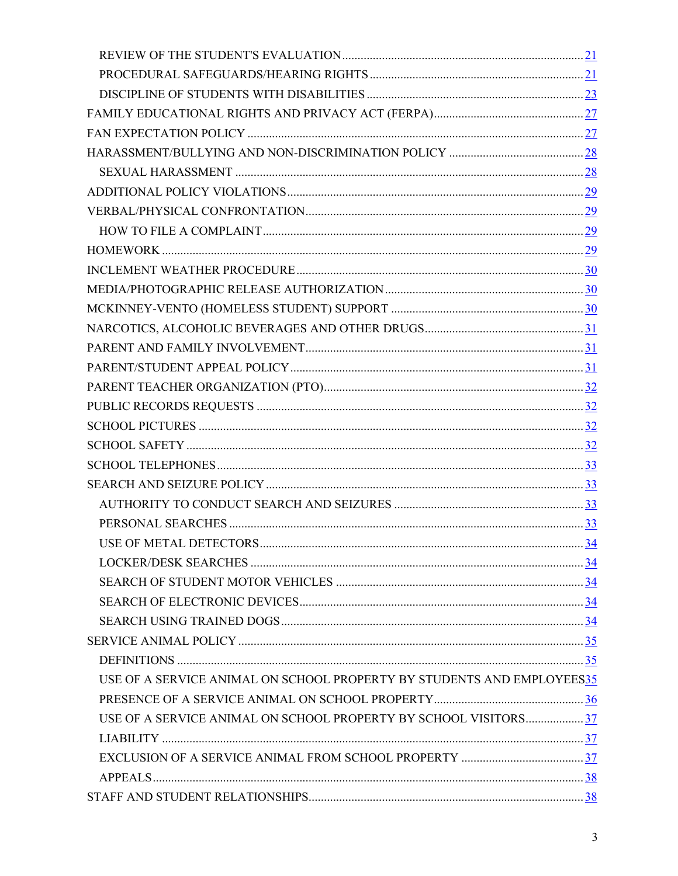| USE OF A SERVICE ANIMAL ON SCHOOL PROPERTY BY STUDENTS AND EMPLOYEES35 |  |
|------------------------------------------------------------------------|--|
|                                                                        |  |
| USE OF A SERVICE ANIMAL ON SCHOOL PROPERTY BY SCHOOL VISITORS37        |  |
|                                                                        |  |
|                                                                        |  |
|                                                                        |  |
|                                                                        |  |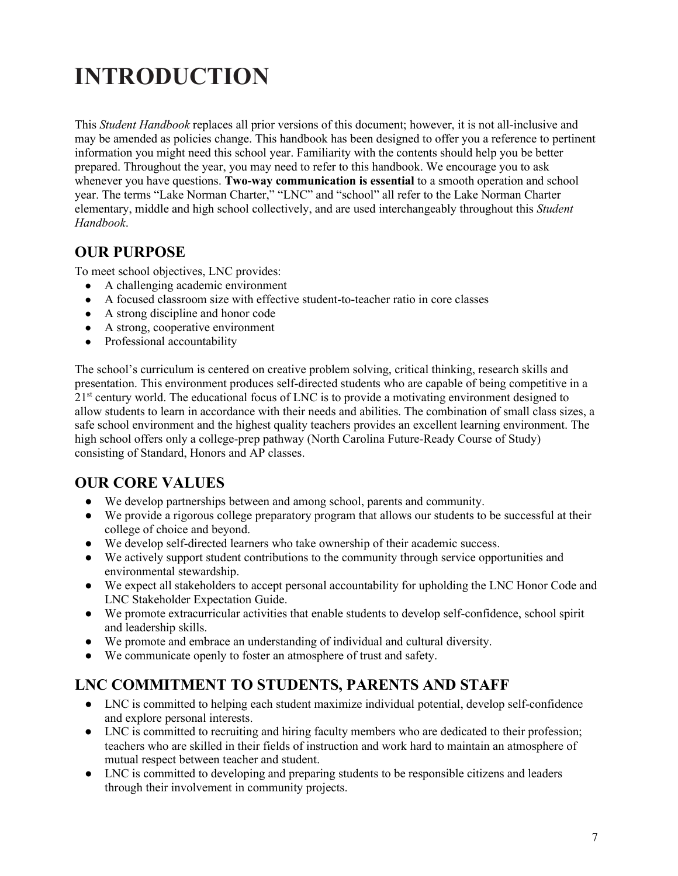## <span id="page-6-0"></span>**INTRODUCTION**

This *Student Handbook* replaces all prior versions of this document; however, it is not all-inclusive and may be amended as policies change. This handbook has been designed to offer you a reference to pertinent information you might need this school year. Familiarity with the contents should help you be better prepared. Throughout the year, you may need to refer to this handbook. We encourage you to ask whenever you have questions. **Two-way communication is essential** to a smooth operation and school year. The terms "Lake Norman Charter," "LNC" and "school" all refer to the Lake Norman Charter elementary, middle and high school collectively, and are used interchangeably throughout this *Student Handbook*.

## <span id="page-6-1"></span>**OUR PURPOSE**

To meet school objectives, LNC provides:

- A challenging academic environment
- A focused classroom size with effective student-to-teacher ratio in core classes
- A strong discipline and honor code
- A strong, cooperative environment
- Professional accountability

The school's curriculum is centered on creative problem solving, critical thinking, research skills and presentation. This environment produces self-directed students who are capable of being competitive in a  $21<sup>st</sup>$  century world. The educational focus of LNC is to provide a motivating environment designed to allow students to learn in accordance with their needs and abilities. The combination of small class sizes, a safe school environment and the highest quality teachers provides an excellent learning environment. The high school offers only a college-prep pathway (North Carolina Future-Ready Course of Study) consisting of Standard, Honors and AP classes.

## <span id="page-6-2"></span>**OUR CORE VALUES**

- We develop partnerships between and among school, parents and community.
- We provide a rigorous college preparatory program that allows our students to be successful at their college of choice and beyond.
- We develop self-directed learners who take ownership of their academic success.
- We actively support student contributions to the community through service opportunities and environmental stewardship.
- We expect all stakeholders to accept personal accountability for upholding the LNC Honor Code and LNC Stakeholder Expectation Guide.
- We promote extracurricular activities that enable students to develop self-confidence, school spirit and leadership skills.
- We promote and embrace an understanding of individual and cultural diversity.
- We communicate openly to foster an atmosphere of trust and safety.

### <span id="page-6-3"></span>**LNC COMMITMENT TO STUDENTS, PARENTS AND STAFF**

- LNC is committed to helping each student maximize individual potential, develop self-confidence and explore personal interests.
- LNC is committed to recruiting and hiring faculty members who are dedicated to their profession; teachers who are skilled in their fields of instruction and work hard to maintain an atmosphere of mutual respect between teacher and student.
- LNC is committed to developing and preparing students to be responsible citizens and leaders through their involvement in community projects.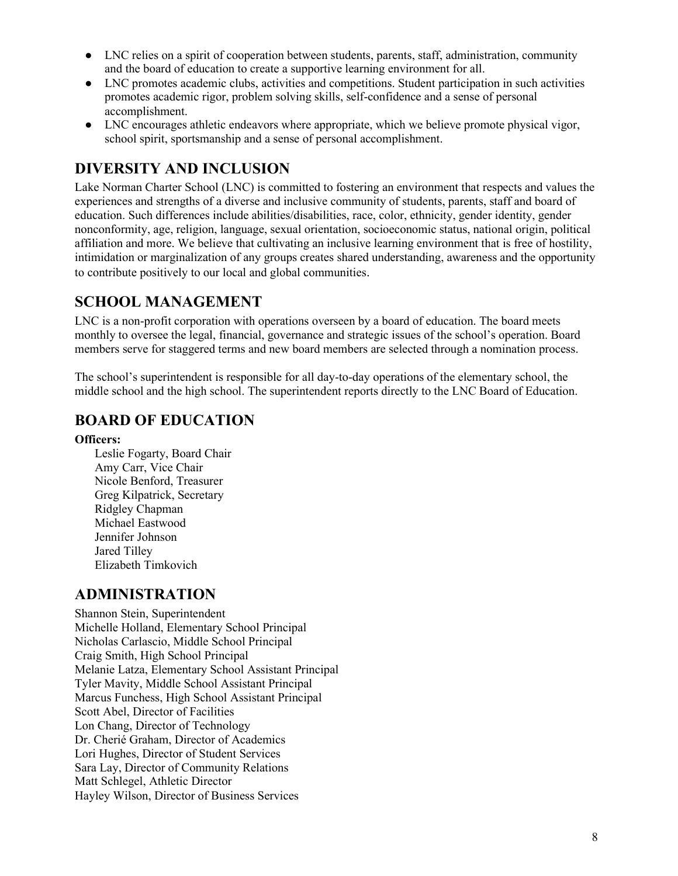- LNC relies on a spirit of cooperation between students, parents, staff, administration, community and the board of education to create a supportive learning environment for all.
- LNC promotes academic clubs, activities and competitions. Student participation in such activities promotes academic rigor, problem solving skills, self-confidence and a sense of personal accomplishment.
- LNC encourages athletic endeavors where appropriate, which we believe promote physical vigor, school spirit, sportsmanship and a sense of personal accomplishment.

## <span id="page-7-0"></span>**DIVERSITY AND INCLUSION**

Lake Norman Charter School (LNC) is committed to fostering an environment that respects and values the experiences and strengths of a diverse and inclusive community of students, parents, staff and board of education. Such differences include abilities/disabilities, race, color, ethnicity, gender identity, gender nonconformity, age, religion, language, sexual orientation, socioeconomic status, national origin, political affiliation and more. We believe that cultivating an inclusive learning environment that is free of hostility, intimidation or marginalization of any groups creates shared understanding, awareness and the opportunity to contribute positively to our local and global communities.

### <span id="page-7-1"></span>**SCHOOL MANAGEMENT**

LNC is a non-profit corporation with operations overseen by a board of education. The board meets monthly to oversee the legal, financial, governance and strategic issues of the school's operation. Board members serve for staggered terms and new board members are selected through a nomination process.

The school's superintendent is responsible for all day-to-day operations of the elementary school, the middle school and the high school. The superintendent reports directly to the LNC Board of Education.

## <span id="page-7-2"></span>**BOARD OF EDUCATION**

#### **Officers:**

Leslie Fogarty, Board Chair Amy Carr, Vice Chair Nicole Benford, Treasurer Greg Kilpatrick, Secretary Ridgley Chapman Michael Eastwood Jennifer Johnson Jared Tilley Elizabeth Timkovich

### <span id="page-7-3"></span>**ADMINISTRATION**

Shannon Stein, Superintendent Michelle Holland, Elementary School Principal Nicholas Carlascio, Middle School Principal Craig Smith, High School Principal Melanie Latza, Elementary School Assistant Principal Tyler Mavity, Middle School Assistant Principal Marcus Funchess, High School Assistant Principal Scott Abel, Director of Facilities Lon Chang, Director of Technology Dr. Cherié Graham, Director of Academics Lori Hughes, Director of Student Services Sara Lay, Director of Community Relations Matt Schlegel, Athletic Director Hayley Wilson, Director of Business Services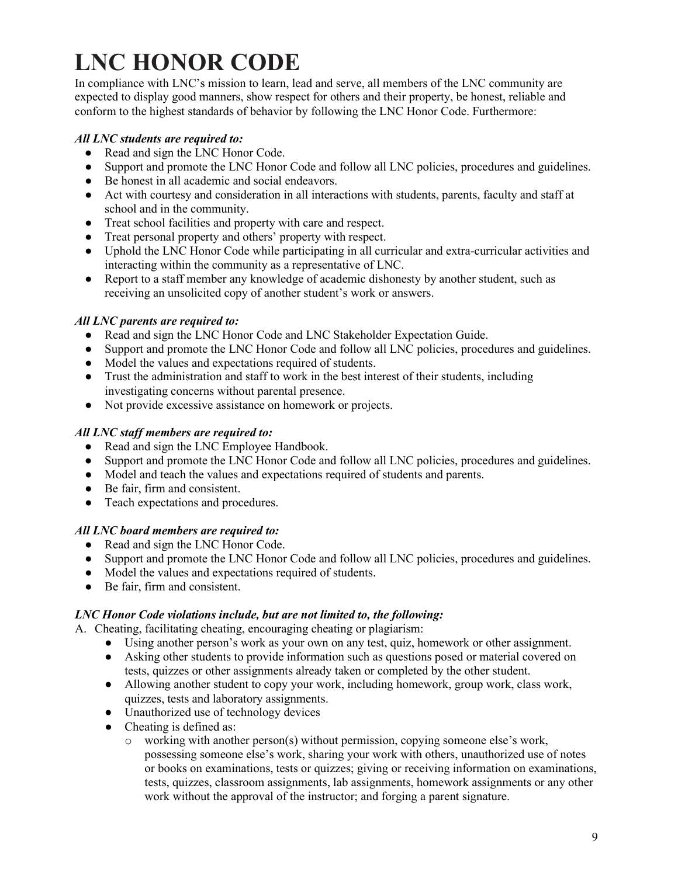## <span id="page-8-0"></span>**LNC HONOR CODE**

In compliance with LNC's mission to learn, lead and serve, all members of the LNC community are expected to display good manners, show respect for others and their property, be honest, reliable and conform to the highest standards of behavior by following the LNC Honor Code. Furthermore:

#### *All LNC students are required to:*

- Read and sign the LNC Honor Code.
- Support and promote the LNC Honor Code and follow all LNC policies, procedures and guidelines.
- Be honest in all academic and social endeavors.
- Act with courtesy and consideration in all interactions with students, parents, faculty and staff at school and in the community.
- Treat school facilities and property with care and respect.
- Treat personal property and others' property with respect.
- Uphold the LNC Honor Code while participating in all curricular and extra-curricular activities and interacting within the community as a representative of LNC.
- Report to a staff member any knowledge of academic dishonesty by another student, such as receiving an unsolicited copy of another student's work or answers.

#### *All LNC parents are required to:*

- Read and sign the LNC Honor Code and LNC Stakeholder Expectation Guide.
- Support and promote the LNC Honor Code and follow all LNC policies, procedures and guidelines.
- Model the values and expectations required of students.
- Trust the administration and staff to work in the best interest of their students, including investigating concerns without parental presence.
- Not provide excessive assistance on homework or projects.

#### *All LNC staff members are required to:*

- Read and sign the LNC Employee Handbook.
- Support and promote the LNC Honor Code and follow all LNC policies, procedures and guidelines.
- Model and teach the values and expectations required of students and parents.
- Be fair, firm and consistent.
- Teach expectations and procedures.

#### *All LNC board members are required to:*

- Read and sign the LNC Honor Code.
- Support and promote the LNC Honor Code and follow all LNC policies, procedures and guidelines.
- Model the values and expectations required of students.
- Be fair, firm and consistent.

#### *LNC Honor Code violations include, but are not limited to, the following:*

A. Cheating, facilitating cheating, encouraging cheating or plagiarism:

- Using another person's work as your own on any test, quiz, homework or other assignment.
- Asking other students to provide information such as questions posed or material covered on tests, quizzes or other assignments already taken or completed by the other student.
- Allowing another student to copy your work, including homework, group work, class work, quizzes, tests and laboratory assignments.
- Unauthorized use of technology devices
- Cheating is defined as:
	- o working with another person(s) without permission, copying someone else's work, possessing someone else's work, sharing your work with others, unauthorized use of notes or books on examinations, tests or quizzes; giving or receiving information on examinations, tests, quizzes, classroom assignments, lab assignments, homework assignments or any other work without the approval of the instructor; and forging a parent signature.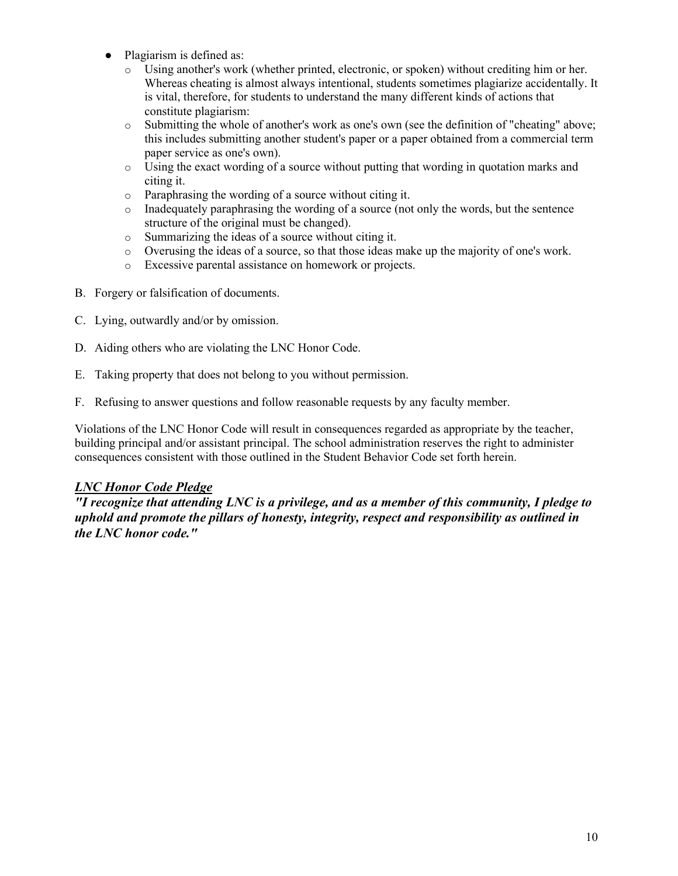- Plagiarism is defined as:
	- o Using another's work (whether printed, electronic, or spoken) without crediting him or her. Whereas cheating is almost always intentional, students sometimes plagiarize accidentally. It is vital, therefore, for students to understand the many different kinds of actions that constitute plagiarism:
	- o Submitting the whole of another's work as one's own (see the definition of "cheating" above; this includes submitting another student's paper or a paper obtained from a commercial term paper service as one's own).
	- o Using the exact wording of a source without putting that wording in quotation marks and citing it.
	- o Paraphrasing the wording of a source without citing it.
	- $\circ$  Inadequately paraphrasing the wording of a source (not only the words, but the sentence structure of the original must be changed).
	- o Summarizing the ideas of a source without citing it.
	- o Overusing the ideas of a source, so that those ideas make up the majority of one's work.
	- o Excessive parental assistance on homework or projects.
- B. Forgery or falsification of documents.
- C. Lying, outwardly and/or by omission.
- D. Aiding others who are violating the LNC Honor Code.
- E. Taking property that does not belong to you without permission.
- F. Refusing to answer questions and follow reasonable requests by any faculty member.

Violations of the LNC Honor Code will result in consequences regarded as appropriate by the teacher, building principal and/or assistant principal. The school administration reserves the right to administer consequences consistent with those outlined in the Student Behavior Code set forth herein.

#### *LNC Honor Code Pledge*

*"I recognize that attending LNC is a privilege, and as a member of this community, I pledge to uphold and promote the pillars of honesty, integrity, respect and responsibility as outlined in the LNC honor code."*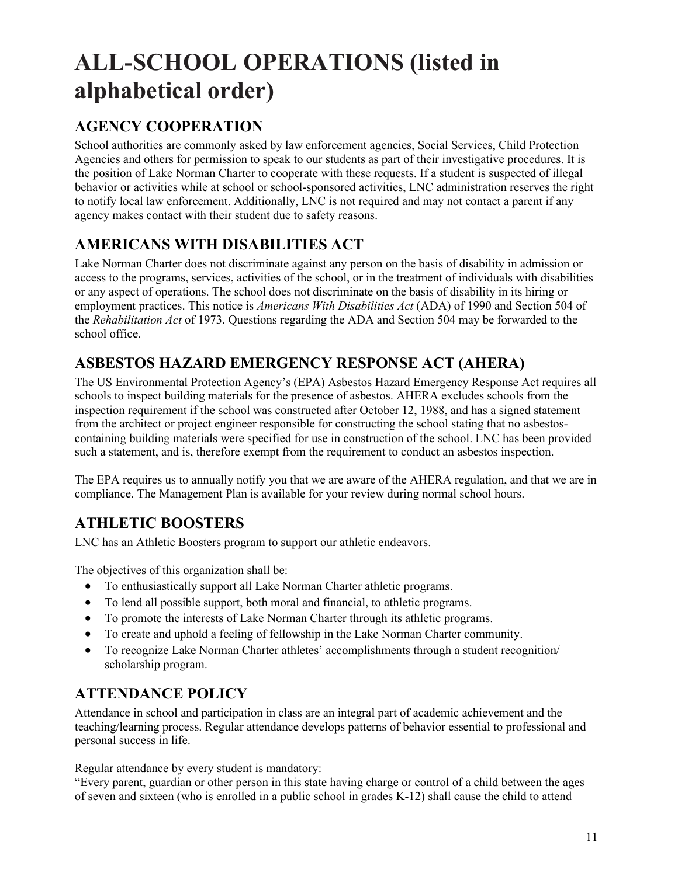## <span id="page-10-0"></span>**ALL-SCHOOL OPERATIONS (listed in alphabetical order)**

## <span id="page-10-1"></span>**AGENCY COOPERATION**

School authorities are commonly asked by law enforcement agencies, Social Services, Child Protection Agencies and others for permission to speak to our students as part of their investigative procedures. It is the position of Lake Norman Charter to cooperate with these requests. If a student is suspected of illegal behavior or activities while at school or school-sponsored activities, LNC administration reserves the right to notify local law enforcement. Additionally, LNC is not required and may not contact a parent if any agency makes contact with their student due to safety reasons.

## <span id="page-10-2"></span>**AMERICANS WITH DISABILITIES ACT**

Lake Norman Charter does not discriminate against any person on the basis of disability in admission or access to the programs, services, activities of the school, or in the treatment of individuals with disabilities or any aspect of operations. The school does not discriminate on the basis of disability in its hiring or employment practices. This notice is *Americans With Disabilities Act* (ADA) of 1990 and Section 504 of the *Rehabilitation Act* of 1973. Questions regarding the ADA and Section 504 may be forwarded to the school office.

## <span id="page-10-3"></span>**ASBESTOS HAZARD EMERGENCY RESPONSE ACT (AHERA)**

The US Environmental Protection Agency's (EPA) Asbestos Hazard Emergency Response Act requires all schools to inspect building materials for the presence of asbestos. AHERA excludes schools from the inspection requirement if the school was constructed after October 12, 1988, and has a signed statement from the architect or project engineer responsible for constructing the school stating that no asbestoscontaining building materials were specified for use in construction of the school. LNC has been provided such a statement, and is, therefore exempt from the requirement to conduct an asbestos inspection.

The EPA requires us to annually notify you that we are aware of the AHERA regulation, and that we are in compliance. The Management Plan is available for your review during normal school hours.

## <span id="page-10-4"></span>**ATHLETIC BOOSTERS**

LNC has an Athletic Boosters program to support our athletic endeavors.

The objectives of this organization shall be:

- To enthusiastically support all Lake Norman Charter athletic programs.
- To lend all possible support, both moral and financial, to athletic programs.
- To promote the interests of Lake Norman Charter through its athletic programs.
- To create and uphold a feeling of fellowship in the Lake Norman Charter community.
- To recognize Lake Norman Charter athletes' accomplishments through a student recognition/ scholarship program.

## <span id="page-10-5"></span>**ATTENDANCE POLICY**

Attendance in school and participation in class are an integral part of academic achievement and the teaching/learning process. Regular attendance develops patterns of behavior essential to professional and personal success in life.

Regular attendance by every student is mandatory:

"Every parent, guardian or other person in this state having charge or control of a child between the ages of seven and sixteen (who is enrolled in a public school in grades K-12) shall cause the child to attend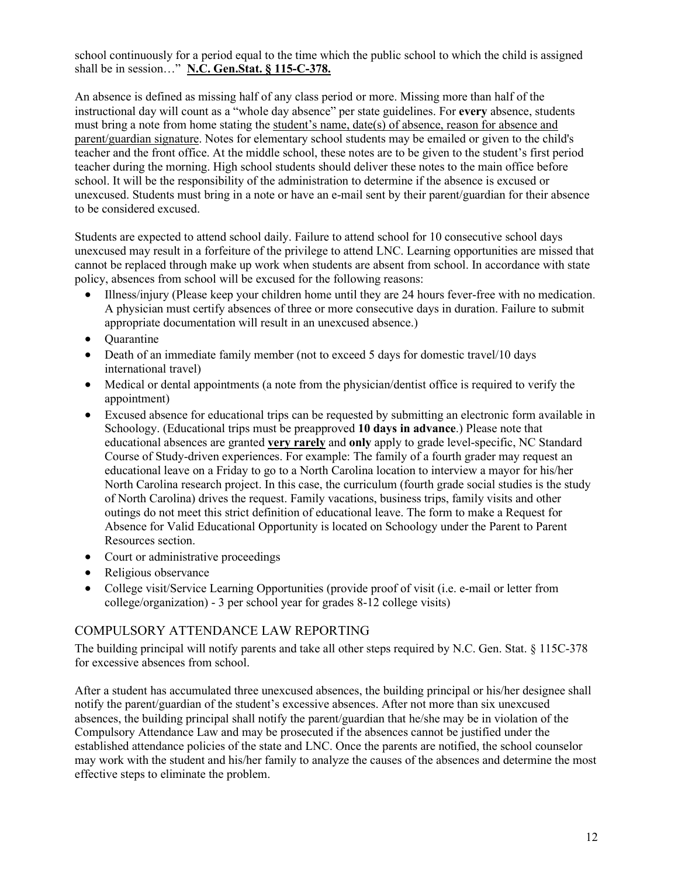school continuously for a period equal to the time which the public school to which the child is assigned shall be in session…" **N.C. Gen.Stat. § 115-C-378.**

An absence is defined as missing half of any class period or more. Missing more than half of the instructional day will count as a "whole day absence" per state guidelines. For **every** absence, students must bring a note from home stating the student's name, date(s) of absence, reason for absence and parent/guardian signature. Notes for elementary school students may be emailed or given to the child's teacher and the front office. At the middle school, these notes are to be given to the student's first period teacher during the morning. High school students should deliver these notes to the main office before school. It will be the responsibility of the administration to determine if the absence is excused or unexcused. Students must bring in a note or have an e-mail sent by their parent/guardian for their absence to be considered excused.

Students are expected to attend school daily. Failure to attend school for 10 consecutive school days unexcused may result in a forfeiture of the privilege to attend LNC. Learning opportunities are missed that cannot be replaced through make up work when students are absent from school. In accordance with state policy, absences from school will be excused for the following reasons:

- Illness/injury (Please keep your children home until they are 24 hours fever-free with no medication. A physician must certify absences of three or more consecutive days in duration. Failure to submit appropriate documentation will result in an unexcused absence.)
- Quarantine
- Death of an immediate family member (not to exceed 5 days for domestic travel/10 days international travel)
- Medical or dental appointments (a note from the physician/dentist office is required to verify the appointment)
- Excused absence for educational trips can be requested by submitting an electronic form available in Schoology. (Educational trips must be preapproved **10 days in advance**.) Please note that educational absences are granted **very rarely** and **only** apply to grade level-specific, NC Standard Course of Study-driven experiences. For example: The family of a fourth grader may request an educational leave on a Friday to go to a North Carolina location to interview a mayor for his/her North Carolina research project. In this case, the curriculum (fourth grade social studies is the study of North Carolina) drives the request. Family vacations, business trips, family visits and other outings do not meet this strict definition of educational leave. The form to make a Request for Absence for Valid Educational Opportunity is located on Schoology under the Parent to Parent Resources section.
- Court or administrative proceedings
- Religious observance
- College visit/Service Learning Opportunities (provide proof of visit (i.e. e-mail or letter from college/organization) - 3 per school year for grades 8-12 college visits)

#### <span id="page-11-0"></span>COMPULSORY ATTENDANCE LAW REPORTING

The building principal will notify parents and take all other steps required by N.C. Gen. Stat. § 115C-378 for excessive absences from school.

After a student has accumulated three unexcused absences, the building principal or his/her designee shall notify the parent/guardian of the student's excessive absences. After not more than six unexcused absences, the building principal shall notify the parent/guardian that he/she may be in violation of the Compulsory Attendance Law and may be prosecuted if the absences cannot be justified under the established attendance policies of the state and LNC. Once the parents are notified, the school counselor may work with the student and his/her family to analyze the causes of the absences and determine the most effective steps to eliminate the problem.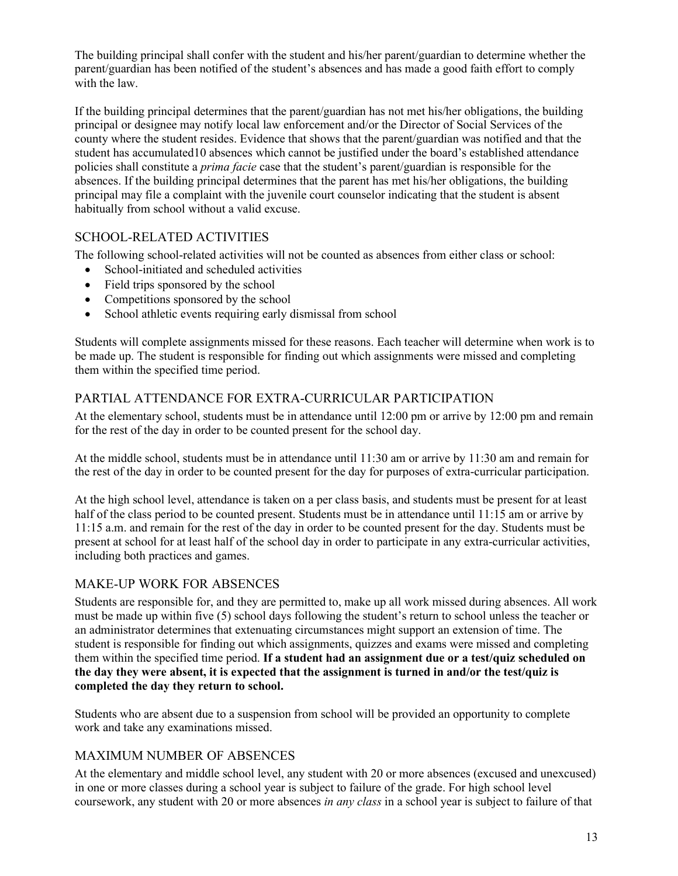The building principal shall confer with the student and his/her parent/guardian to determine whether the parent/guardian has been notified of the student's absences and has made a good faith effort to comply with the law.

If the building principal determines that the parent/guardian has not met his/her obligations, the building principal or designee may notify local law enforcement and/or the Director of Social Services of the county where the student resides. Evidence that shows that the parent/guardian was notified and that the student has accumulated10 absences which cannot be justified under the board's established attendance policies shall constitute a *prima facie* case that the student's parent/guardian is responsible for the absences. If the building principal determines that the parent has met his/her obligations, the building principal may file a complaint with the juvenile court counselor indicating that the student is absent habitually from school without a valid excuse.

#### <span id="page-12-0"></span>SCHOOL-RELATED ACTIVITIES

The following school-related activities will not be counted as absences from either class or school:

- School-initiated and scheduled activities
- Field trips sponsored by the school
- Competitions sponsored by the school
- School athletic events requiring early dismissal from school

Students will complete assignments missed for these reasons. Each teacher will determine when work is to be made up. The student is responsible for finding out which assignments were missed and completing them within the specified time period.

#### <span id="page-12-1"></span>PARTIAL ATTENDANCE FOR EXTRA-CURRICULAR PARTICIPATION

At the elementary school, students must be in attendance until 12:00 pm or arrive by 12:00 pm and remain for the rest of the day in order to be counted present for the school day.

At the middle school, students must be in attendance until 11:30 am or arrive by 11:30 am and remain for the rest of the day in order to be counted present for the day for purposes of extra-curricular participation.

At the high school level, attendance is taken on a per class basis, and students must be present for at least half of the class period to be counted present. Students must be in attendance until 11:15 am or arrive by 11:15 a.m. and remain for the rest of the day in order to be counted present for the day. Students must be present at school for at least half of the school day in order to participate in any extra-curricular activities, including both practices and games.

#### <span id="page-12-2"></span>MAKE-UP WORK FOR ABSENCES

Students are responsible for, and they are permitted to, make up all work missed during absences. All work must be made up within five (5) school days following the student's return to school unless the teacher or an administrator determines that extenuating circumstances might support an extension of time. The student is responsible for finding out which assignments, quizzes and exams were missed and completing them within the specified time period. **If a student had an assignment due or a test/quiz scheduled on the day they were absent, it is expected that the assignment is turned in and/or the test/quiz is completed the day they return to school.**

Students who are absent due to a suspension from school will be provided an opportunity to complete work and take any examinations missed.

#### <span id="page-12-3"></span>MAXIMUM NUMBER OF ABSENCES

At the elementary and middle school level, any student with 20 or more absences (excused and unexcused) in one or more classes during a school year is subject to failure of the grade. For high school level coursework, any student with 20 or more absences *in any class* in a school year is subject to failure of that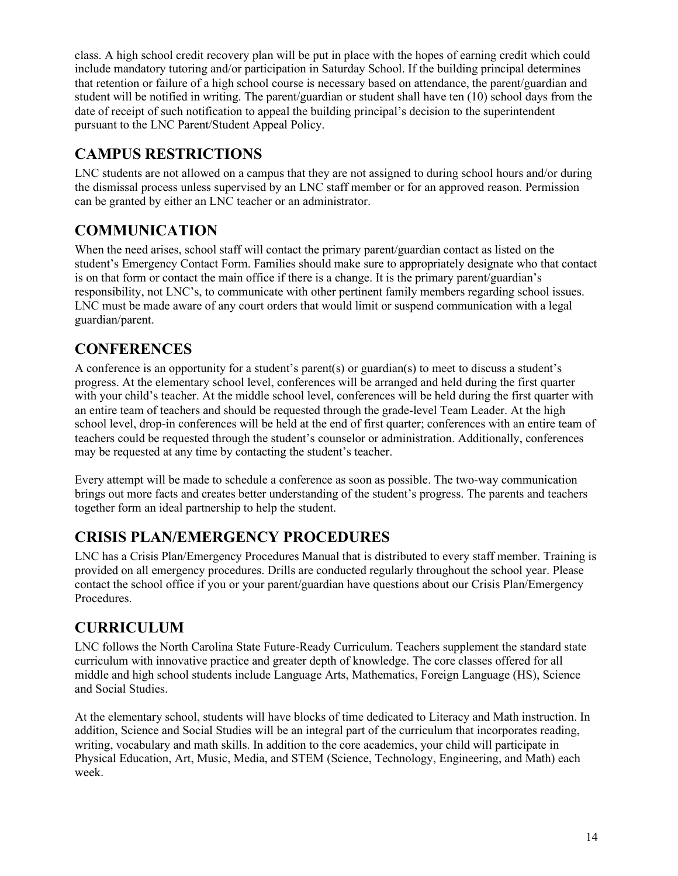class. A high school credit recovery plan will be put in place with the hopes of earning credit which could include mandatory tutoring and/or participation in Saturday School. If the building principal determines that retention or failure of a high school course is necessary based on attendance, the parent/guardian and student will be notified in writing. The parent/guardian or student shall have ten (10) school days from the date of receipt of such notification to appeal the building principal's decision to the superintendent pursuant to the LNC Parent/Student Appeal Policy.

## <span id="page-13-0"></span>**CAMPUS RESTRICTIONS**

LNC students are not allowed on a campus that they are not assigned to during school hours and/or during the dismissal process unless supervised by an LNC staff member or for an approved reason. Permission can be granted by either an LNC teacher or an administrator.

## <span id="page-13-1"></span>**COMMUNICATION**

When the need arises, school staff will contact the primary parent/guardian contact as listed on the student's Emergency Contact Form. Families should make sure to appropriately designate who that contact is on that form or contact the main office if there is a change. It is the primary parent/guardian's responsibility, not LNC's, to communicate with other pertinent family members regarding school issues. LNC must be made aware of any court orders that would limit or suspend communication with a legal guardian/parent.

## <span id="page-13-2"></span>**CONFERENCES**

A conference is an opportunity for a student's parent(s) or guardian(s) to meet to discuss a student's progress. At the elementary school level, conferences will be arranged and held during the first quarter with your child's teacher. At the middle school level, conferences will be held during the first quarter with an entire team of teachers and should be requested through the grade-level Team Leader. At the high school level, drop-in conferences will be held at the end of first quarter; conferences with an entire team of teachers could be requested through the student's counselor or administration. Additionally, conferences may be requested at any time by contacting the student's teacher.

Every attempt will be made to schedule a conference as soon as possible. The two-way communication brings out more facts and creates better understanding of the student's progress. The parents and teachers together form an ideal partnership to help the student.

## <span id="page-13-3"></span>**CRISIS PLAN/EMERGENCY PROCEDURES**

LNC has a Crisis Plan/Emergency Procedures Manual that is distributed to every staff member. Training is provided on all emergency procedures. Drills are conducted regularly throughout the school year. Please contact the school office if you or your parent/guardian have questions about our Crisis Plan/Emergency Procedures.

## <span id="page-13-4"></span>**CURRICULUM**

LNC follows the North Carolina State Future-Ready Curriculum. Teachers supplement the standard state curriculum with innovative practice and greater depth of knowledge. The core classes offered for all middle and high school students include Language Arts, Mathematics, Foreign Language (HS), Science and Social Studies.

At the elementary school, students will have blocks of time dedicated to Literacy and Math instruction. In addition, Science and Social Studies will be an integral part of the curriculum that incorporates reading, writing, vocabulary and math skills. In addition to the core academics, your child will participate in Physical Education, Art, Music, Media, and STEM (Science, Technology, Engineering, and Math) each week.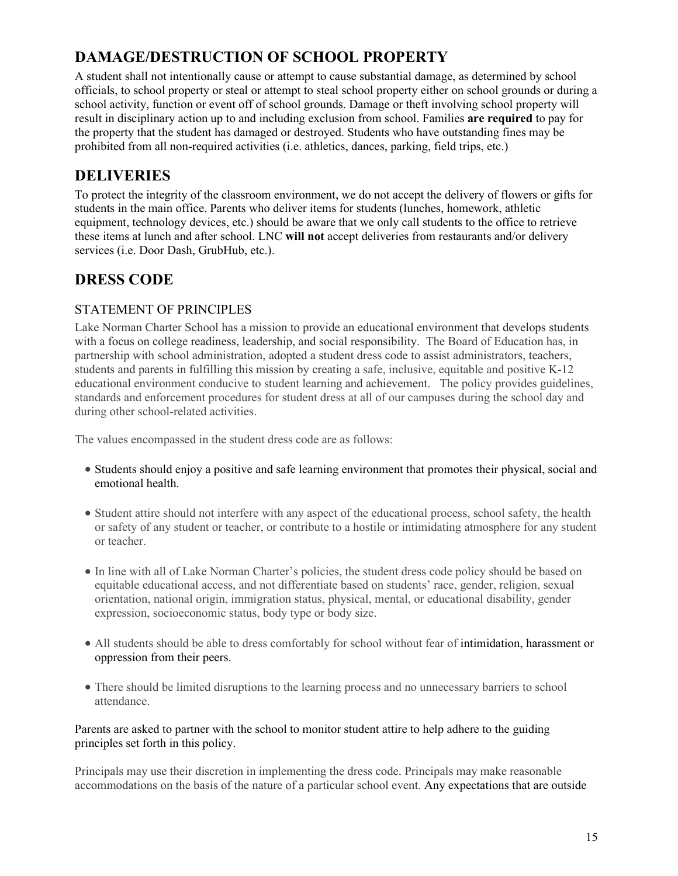## <span id="page-14-0"></span>**DAMAGE/DESTRUCTION OF SCHOOL PROPERTY**

A student shall not intentionally cause or attempt to cause substantial damage, as determined by school officials, to school property or steal or attempt to steal school property either on school grounds or during a school activity, function or event off of school grounds. Damage or theft involving school property will result in disciplinary action up to and including exclusion from school. Families **are required** to pay for the property that the student has damaged or destroyed. Students who have outstanding fines may be prohibited from all non-required activities (i.e. athletics, dances, parking, field trips, etc.)

## <span id="page-14-1"></span>**DELIVERIES**

To protect the integrity of the classroom environment, we do not accept the delivery of flowers or gifts for students in the main office. Parents who deliver items for students (lunches, homework, athletic equipment, technology devices, etc.) should be aware that we only call students to the office to retrieve these items at lunch and after school. LNC **will not** accept deliveries from restaurants and/or delivery services (i.e. Door Dash, GrubHub, etc.).

## <span id="page-14-2"></span>**DRESS CODE**

#### <span id="page-14-3"></span>STATEMENT OF PRINCIPLES

Lake Norman Charter School has a mission to provide an educational environment that develops students with a focus on college readiness, leadership, and social responsibility. The Board of Education has, in partnership with school administration, adopted a student dress code to assist administrators, teachers, students and parents in fulfilling this mission by creating a safe, inclusive, equitable and positive K-12 educational environment conducive to student learning and achievement. The policy provides guidelines, standards and enforcement procedures for student dress at all of our campuses during the school day and during other school-related activities.

The values encompassed in the student dress code are as follows:

- Students should enjoy a positive and safe learning environment that promotes their physical, social and emotional health.
- Student attire should not interfere with any aspect of the educational process, school safety, the health or safety of any student or teacher, or contribute to a hostile or intimidating atmosphere for any student or teacher.
- In line with all of Lake Norman Charter's policies, the student dress code policy should be based on equitable educational access, and not differentiate based on students' race, gender, religion, sexual orientation, national origin, immigration status, physical, mental, or educational disability, gender expression, socioeconomic status, body type or body size.
- All students should be able to dress comfortably for school without fear of intimidation, harassment or oppression from their peers.
- There should be limited disruptions to the learning process and no unnecessary barriers to school attendance.

#### Parents are asked to partner with the school to monitor student attire to help adhere to the guiding principles set forth in this policy.

Principals may use their discretion in implementing the dress code. Principals may make reasonable accommodations on the basis of the nature of a particular school event. Any expectations that are outside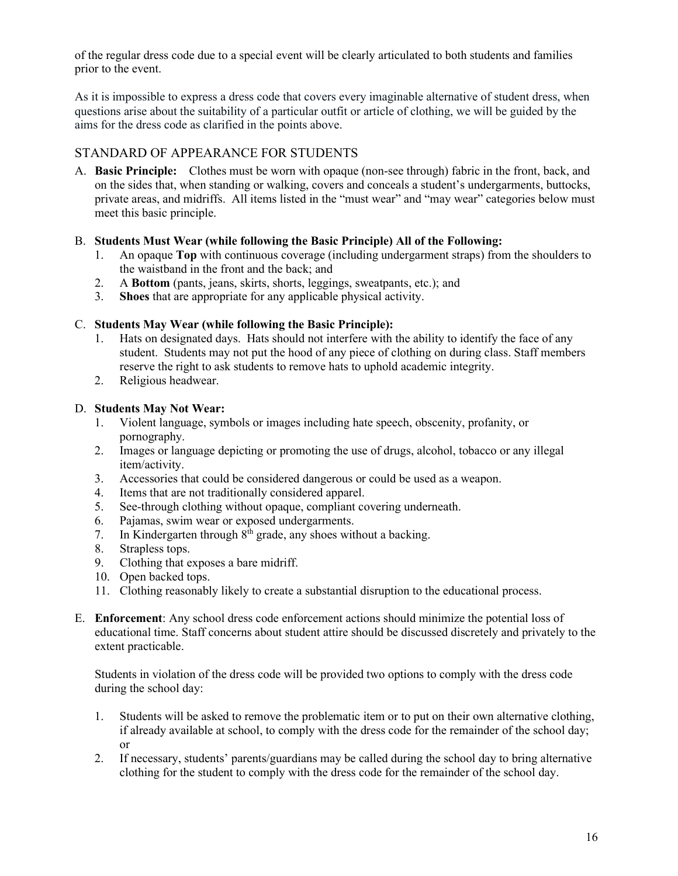of the regular dress code due to a special event will be clearly articulated to both students and families prior to the event.

As it is impossible to express a dress code that covers every imaginable alternative of student dress, when questions arise about the suitability of a particular outfit or article of clothing, we will be guided by the aims for the dress code as clarified in the points above.

#### <span id="page-15-0"></span>STANDARD OF APPEARANCE FOR STUDENTS

A. **Basic Principle:** Clothes must be worn with opaque (non-see through) fabric in the front, back, and on the sides that, when standing or walking, covers and conceals a student's undergarments, buttocks, private areas, and midriffs. All items listed in the "must wear" and "may wear" categories below must meet this basic principle.

#### B. **Students Must Wear (while following the Basic Principle) All of the Following:**

- 1. An opaque **Top** with continuous coverage (including undergarment straps) from the shoulders to the waistband in the front and the back; and
- 2. A **Bottom** (pants, jeans, skirts, shorts, leggings, sweatpants, etc.); and
- 3. **Shoes** that are appropriate for any applicable physical activity.

#### C. **Students May Wear (while following the Basic Principle):**

- 1. Hats on designated days. Hats should not interfere with the ability to identify the face of any student. Students may not put the hood of any piece of clothing on during class. Staff members reserve the right to ask students to remove hats to uphold academic integrity.
- 2. Religious headwear.

#### D. **Students May Not Wear:**

- 1. Violent language, symbols or images including hate speech, obscenity, profanity, or pornography.
- 2. Images or language depicting or promoting the use of drugs, alcohol, tobacco or any illegal item/activity.
- 3. Accessories that could be considered dangerous or could be used as a weapon.
- 4. Items that are not traditionally considered apparel.
- 5. See-through clothing without opaque, compliant covering underneath.
- 6. Pajamas, swim wear or exposed undergarments.
- 7. In Kindergarten through  $8<sup>th</sup>$  grade, any shoes without a backing.
- 8. Strapless tops.
- 9. Clothing that exposes a bare midriff.
- 10. Open backed tops.
- 11. Clothing reasonably likely to create a substantial disruption to the educational process.
- E. **Enforcement**: Any school dress code enforcement actions should minimize the potential loss of educational time. Staff concerns about student attire should be discussed discretely and privately to the extent practicable.

Students in violation of the dress code will be provided two options to comply with the dress code during the school day:

- 1. Students will be asked to remove the problematic item or to put on their own alternative clothing, if already available at school, to comply with the dress code for the remainder of the school day; or
- 2. If necessary, students' parents/guardians may be called during the school day to bring alternative clothing for the student to comply with the dress code for the remainder of the school day.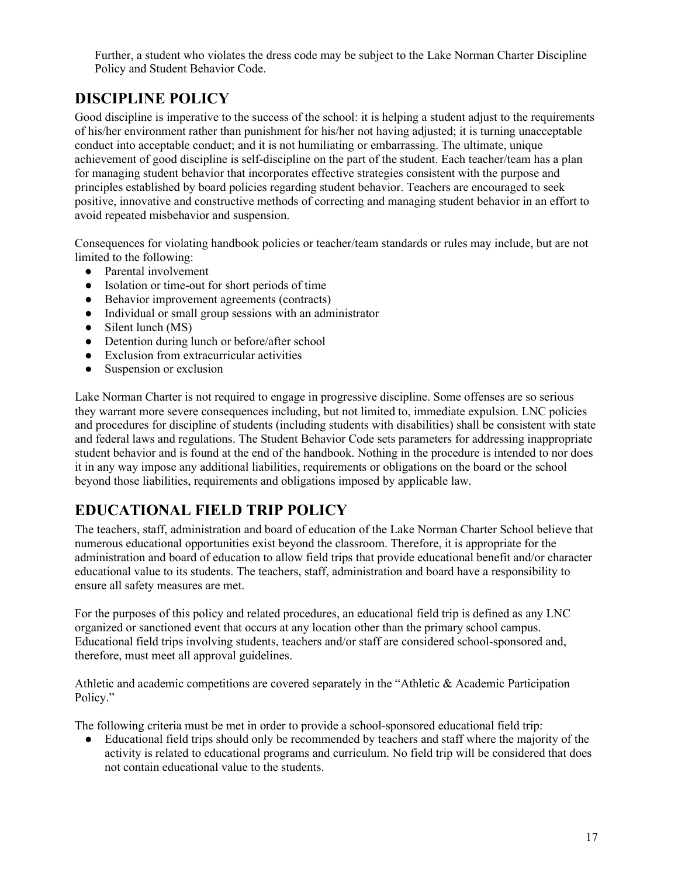Further, a student who violates the dress code may be subject to the Lake Norman Charter Discipline Policy and Student Behavior Code.

## <span id="page-16-0"></span>**DISCIPLINE POLICY**

Good discipline is imperative to the success of the school: it is helping a student adjust to the requirements of his/her environment rather than punishment for his/her not having adjusted; it is turning unacceptable conduct into acceptable conduct; and it is not humiliating or embarrassing. The ultimate, unique achievement of good discipline is self-discipline on the part of the student. Each teacher/team has a plan for managing student behavior that incorporates effective strategies consistent with the purpose and principles established by board policies regarding student behavior. Teachers are encouraged to seek positive, innovative and constructive methods of correcting and managing student behavior in an effort to avoid repeated misbehavior and suspension.

Consequences for violating handbook policies or teacher/team standards or rules may include, but are not limited to the following:

- Parental involvement
- Isolation or time-out for short periods of time
- Behavior improvement agreements (contracts)
- Individual or small group sessions with an administrator
- $\bullet$  Silent lunch (MS)
- Detention during lunch or before/after school
- Exclusion from extracurricular activities
- Suspension or exclusion

Lake Norman Charter is not required to engage in progressive discipline. Some offenses are so serious they warrant more severe consequences including, but not limited to, immediate expulsion. LNC policies and procedures for discipline of students (including students with disabilities) shall be consistent with state and federal laws and regulations. The Student Behavior Code sets parameters for addressing inappropriate student behavior and is found at the end of the handbook. Nothing in the procedure is intended to nor does it in any way impose any additional liabilities, requirements or obligations on the board or the school beyond those liabilities, requirements and obligations imposed by applicable law.

## <span id="page-16-1"></span>**EDUCATIONAL FIELD TRIP POLICY**

The teachers, staff, administration and board of education of the Lake Norman Charter School believe that numerous educational opportunities exist beyond the classroom. Therefore, it is appropriate for the administration and board of education to allow field trips that provide educational benefit and/or character educational value to its students. The teachers, staff, administration and board have a responsibility to ensure all safety measures are met.

For the purposes of this policy and related procedures, an educational field trip is defined as any LNC organized or sanctioned event that occurs at any location other than the primary school campus. Educational field trips involving students, teachers and/or staff are considered school-sponsored and, therefore, must meet all approval guidelines.

Athletic and academic competitions are covered separately in the "Athletic & Academic Participation Policy."

The following criteria must be met in order to provide a school-sponsored educational field trip:

● Educational field trips should only be recommended by teachers and staff where the majority of the activity is related to educational programs and curriculum. No field trip will be considered that does not contain educational value to the students.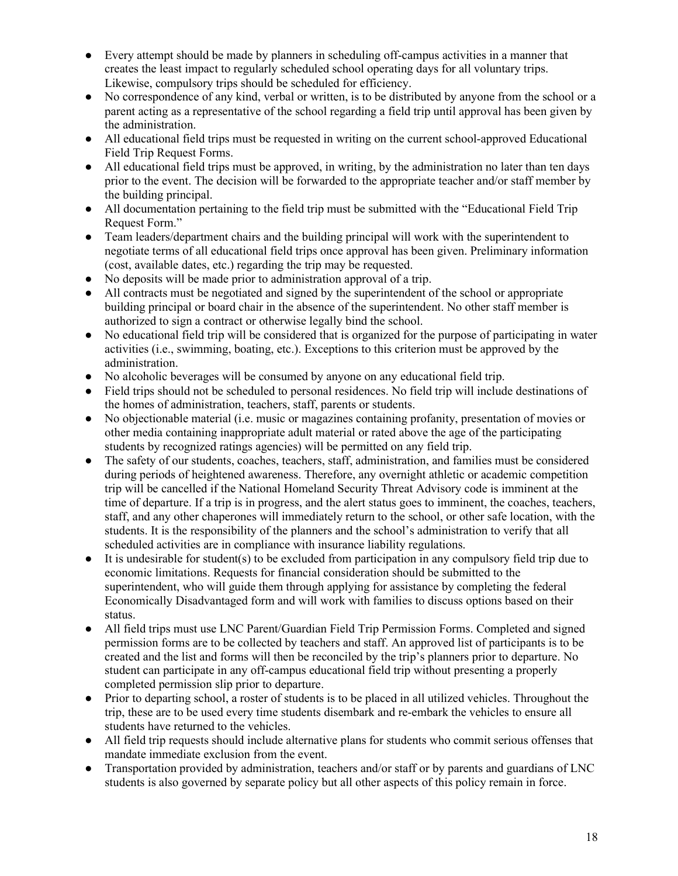- Every attempt should be made by planners in scheduling off-campus activities in a manner that creates the least impact to regularly scheduled school operating days for all voluntary trips. Likewise, compulsory trips should be scheduled for efficiency.
- No correspondence of any kind, verbal or written, is to be distributed by anyone from the school or a parent acting as a representative of the school regarding a field trip until approval has been given by the administration.
- All educational field trips must be requested in writing on the current school-approved Educational Field Trip Request Forms.
- All educational field trips must be approved, in writing, by the administration no later than ten days prior to the event. The decision will be forwarded to the appropriate teacher and/or staff member by the building principal.
- All documentation pertaining to the field trip must be submitted with the "Educational Field Trip" Request Form."
- Team leaders/department chairs and the building principal will work with the superintendent to negotiate terms of all educational field trips once approval has been given. Preliminary information (cost, available dates, etc.) regarding the trip may be requested.
- No deposits will be made prior to administration approval of a trip.
- All contracts must be negotiated and signed by the superintendent of the school or appropriate building principal or board chair in the absence of the superintendent. No other staff member is authorized to sign a contract or otherwise legally bind the school.
- No educational field trip will be considered that is organized for the purpose of participating in water activities (i.e., swimming, boating, etc.). Exceptions to this criterion must be approved by the administration.
- No alcoholic beverages will be consumed by anyone on any educational field trip.
- Field trips should not be scheduled to personal residences. No field trip will include destinations of the homes of administration, teachers, staff, parents or students.
- No objectionable material (i.e. music or magazines containing profanity, presentation of movies or other media containing inappropriate adult material or rated above the age of the participating students by recognized ratings agencies) will be permitted on any field trip.
- The safety of our students, coaches, teachers, staff, administration, and families must be considered during periods of heightened awareness. Therefore, any overnight athletic or academic competition trip will be cancelled if the National Homeland Security Threat Advisory code is imminent at the time of departure. If a trip is in progress, and the alert status goes to imminent, the coaches, teachers, staff, and any other chaperones will immediately return to the school, or other safe location, with the students. It is the responsibility of the planners and the school's administration to verify that all scheduled activities are in compliance with insurance liability regulations.
- It is undesirable for student(s) to be excluded from participation in any compulsory field trip due to economic limitations. Requests for financial consideration should be submitted to the superintendent, who will guide them through applying for assistance by completing the federal Economically Disadvantaged form and will work with families to discuss options based on their status.
- All field trips must use LNC Parent/Guardian Field Trip Permission Forms. Completed and signed permission forms are to be collected by teachers and staff. An approved list of participants is to be created and the list and forms will then be reconciled by the trip's planners prior to departure. No student can participate in any off-campus educational field trip without presenting a properly completed permission slip prior to departure.
- Prior to departing school, a roster of students is to be placed in all utilized vehicles. Throughout the trip, these are to be used every time students disembark and re-embark the vehicles to ensure all students have returned to the vehicles.
- All field trip requests should include alternative plans for students who commit serious offenses that mandate immediate exclusion from the event.
- Transportation provided by administration, teachers and/or staff or by parents and guardians of LNC students is also governed by separate policy but all other aspects of this policy remain in force.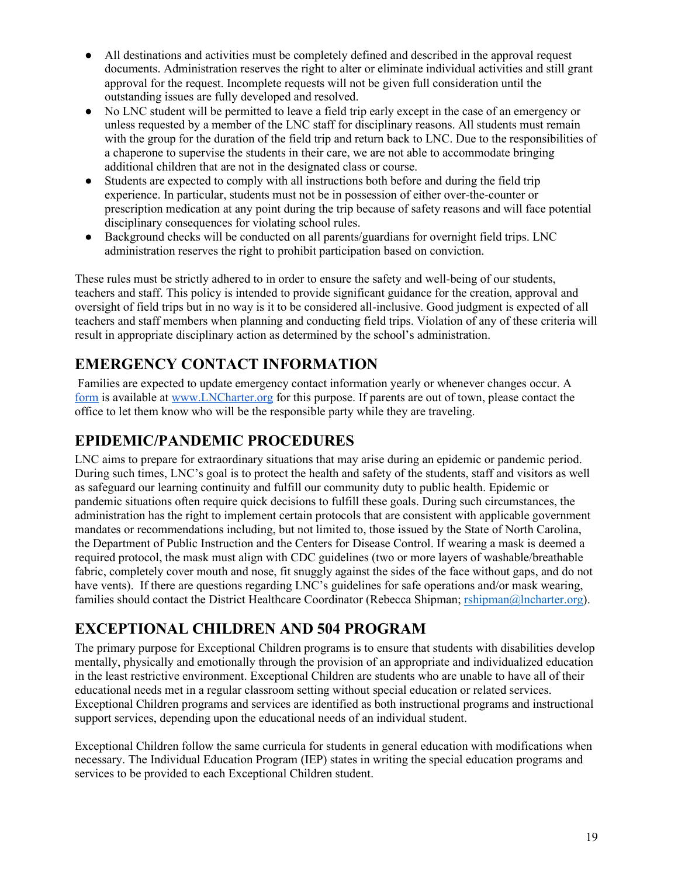- All destinations and activities must be completely defined and described in the approval request documents. Administration reserves the right to alter or eliminate individual activities and still grant approval for the request. Incomplete requests will not be given full consideration until the outstanding issues are fully developed and resolved.
- No LNC student will be permitted to leave a field trip early except in the case of an emergency or unless requested by a member of the LNC staff for disciplinary reasons. All students must remain with the group for the duration of the field trip and return back to LNC. Due to the responsibilities of a chaperone to supervise the students in their care, we are not able to accommodate bringing additional children that are not in the designated class or course.
- Students are expected to comply with all instructions both before and during the field trip experience. In particular, students must not be in possession of either over-the-counter or prescription medication at any point during the trip because of safety reasons and will face potential disciplinary consequences for violating school rules.
- Background checks will be conducted on all parents/guardians for overnight field trips. LNC administration reserves the right to prohibit participation based on conviction.

These rules must be strictly adhered to in order to ensure the safety and well-being of our students, teachers and staff. This policy is intended to provide significant guidance for the creation, approval and oversight of field trips but in no way is it to be considered all-inclusive. Good judgment is expected of all teachers and staff members when planning and conducting field trips. Violation of any of these criteria will result in appropriate disciplinary action as determined by the school's administration.

## <span id="page-18-0"></span>**EMERGENCY CONTACT INFORMATION**

Families are expected to update emergency contact information yearly or whenever changes occur. A [form](https://docs.google.com/forms/d/e/1FAIpQLSdrHpIxvugmMX0DVShTbVTXKyvmNcUE_i0Lr-26k9QjOvOIYw/viewform) is available at [www.LNCharter.org](http://www.lncharter.org/) for this purpose. If parents are out of town, please contact the office to let them know who will be the responsible party while they are traveling.

## <span id="page-18-1"></span>**EPIDEMIC/PANDEMIC PROCEDURES**

LNC aims to prepare for extraordinary situations that may arise during an epidemic or pandemic period. During such times, LNC's goal is to protect the health and safety of the students, staff and visitors as well as safeguard our learning continuity and fulfill our community duty to public health. Epidemic or pandemic situations often require quick decisions to fulfill these goals. During such circumstances, the administration has the right to implement certain protocols that are consistent with applicable government mandates or recommendations including, but not limited to, those issued by the State of North Carolina, the Department of Public Instruction and the Centers for Disease Control. If wearing a mask is deemed a required protocol, the mask must align with CDC guidelines (two or more layers of washable/breathable fabric, completely cover mouth and nose, fit snuggly against the sides of the face without gaps, and do not have vents). If there are questions regarding LNC's guidelines for safe operations and/or mask wearing, families should contact the District Healthcare Coordinator (Rebecca Shipman; [rshipman@lncharter.org\)](mailto:rshipman@lncharter.org).

## <span id="page-18-2"></span>**EXCEPTIONAL CHILDREN AND 504 PROGRAM**

The primary purpose for Exceptional Children programs is to ensure that students with disabilities develop mentally, physically and emotionally through the provision of an appropriate and individualized education in the least restrictive environment. Exceptional Children are students who are unable to have all of their educational needs met in a regular classroom setting without special education or related services. Exceptional Children programs and services are identified as both instructional programs and instructional support services, depending upon the educational needs of an individual student.

Exceptional Children follow the same curricula for students in general education with modifications when necessary. The Individual Education Program (IEP) states in writing the special education programs and services to be provided to each Exceptional Children student.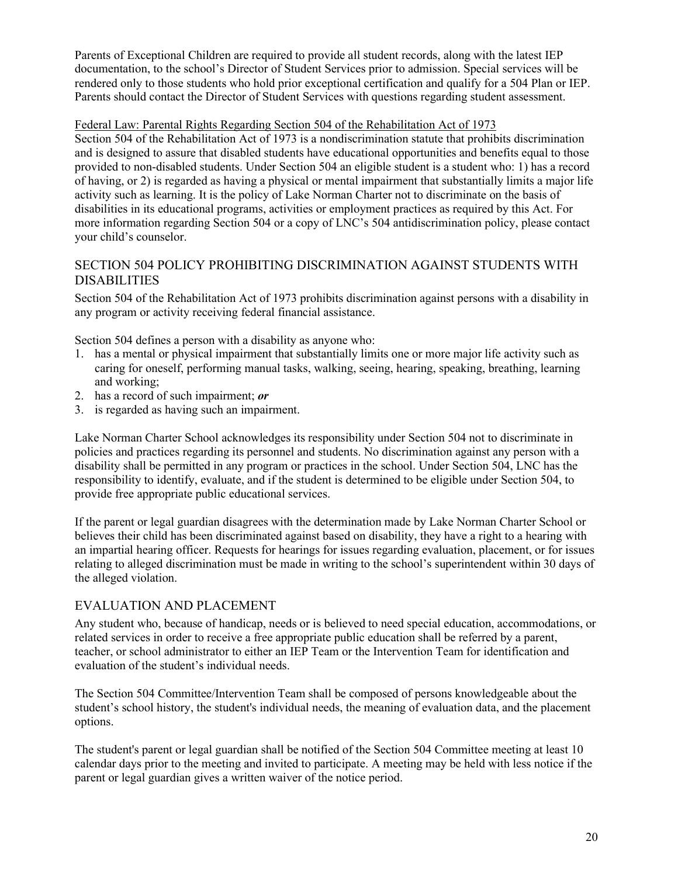Parents of Exceptional Children are required to provide all student records, along with the latest IEP documentation, to the school's Director of Student Services prior to admission. Special services will be rendered only to those students who hold prior exceptional certification and qualify for a 504 Plan or IEP. Parents should contact the Director of Student Services with questions regarding student assessment.

#### Federal Law: Parental Rights Regarding Section 504 of the Rehabilitation Act of 1973

Section 504 of the Rehabilitation Act of 1973 is a nondiscrimination statute that prohibits discrimination and is designed to assure that disabled students have educational opportunities and benefits equal to those provided to non-disabled students. Under Section 504 an eligible student is a student who: 1) has a record of having, or 2) is regarded as having a physical or mental impairment that substantially limits a major life activity such as learning. It is the policy of Lake Norman Charter not to discriminate on the basis of disabilities in its educational programs, activities or employment practices as required by this Act. For more information regarding Section 504 or a copy of LNC's 504 antidiscrimination policy, please contact your child's counselor.

#### <span id="page-19-0"></span>SECTION 504 POLICY PROHIBITING DISCRIMINATION AGAINST STUDENTS WITH DISABILITIES

Section 504 of the Rehabilitation Act of 1973 prohibits discrimination against persons with a disability in any program or activity receiving federal financial assistance.

Section 504 defines a person with a disability as anyone who:

- 1. has a mental or physical impairment that substantially limits one or more major life activity such as caring for oneself, performing manual tasks, walking, seeing, hearing, speaking, breathing, learning and working;
- 2. has a record of such impairment; *or*
- 3. is regarded as having such an impairment.

Lake Norman Charter School acknowledges its responsibility under Section 504 not to discriminate in policies and practices regarding its personnel and students. No discrimination against any person with a disability shall be permitted in any program or practices in the school. Under Section 504, LNC has the responsibility to identify, evaluate, and if the student is determined to be eligible under Section 504, to provide free appropriate public educational services.

If the parent or legal guardian disagrees with the determination made by Lake Norman Charter School or believes their child has been discriminated against based on disability, they have a right to a hearing with an impartial hearing officer. Requests for hearings for issues regarding evaluation, placement, or for issues relating to alleged discrimination must be made in writing to the school's superintendent within 30 days of the alleged violation.

#### <span id="page-19-1"></span>EVALUATION AND PLACEMENT

Any student who, because of handicap, needs or is believed to need special education, accommodations, or related services in order to receive a free appropriate public education shall be referred by a parent, teacher, or school administrator to either an IEP Team or the Intervention Team for identification and evaluation of the student's individual needs.

The Section 504 Committee/Intervention Team shall be composed of persons knowledgeable about the student's school history, the student's individual needs, the meaning of evaluation data, and the placement options.

The student's parent or legal guardian shall be notified of the Section 504 Committee meeting at least 10 calendar days prior to the meeting and invited to participate. A meeting may be held with less notice if the parent or legal guardian gives a written waiver of the notice period.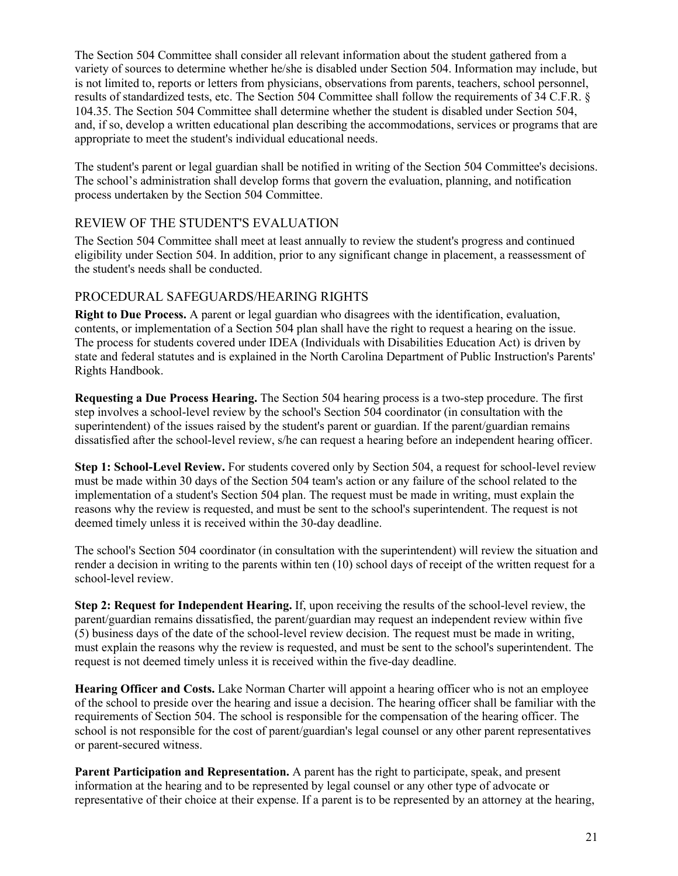The Section 504 Committee shall consider all relevant information about the student gathered from a variety of sources to determine whether he/she is disabled under Section 504. Information may include, but is not limited to, reports or letters from physicians, observations from parents, teachers, school personnel, results of standardized tests, etc. The Section 504 Committee shall follow the requirements of 34 C.F.R. § 104.35. The Section 504 Committee shall determine whether the student is disabled under Section 504, and, if so, develop a written educational plan describing the accommodations, services or programs that are appropriate to meet the student's individual educational needs.

The student's parent or legal guardian shall be notified in writing of the Section 504 Committee's decisions. The school's administration shall develop forms that govern the evaluation, planning, and notification process undertaken by the Section 504 Committee.

#### <span id="page-20-0"></span>REVIEW OF THE STUDENT'S EVALUATION

The Section 504 Committee shall meet at least annually to review the student's progress and continued eligibility under Section 504. In addition, prior to any significant change in placement, a reassessment of the student's needs shall be conducted.

#### <span id="page-20-1"></span>PROCEDURAL SAFEGUARDS/HEARING RIGHTS

**Right to Due Process.** A parent or legal guardian who disagrees with the identification, evaluation, contents, or implementation of a Section 504 plan shall have the right to request a hearing on the issue. The process for students covered under IDEA (Individuals with Disabilities Education Act) is driven by state and federal statutes and is explained in the North Carolina Department of Public Instruction's Parents' Rights Handbook.

**Requesting a Due Process Hearing.** The Section 504 hearing process is a two-step procedure. The first step involves a school-level review by the school's Section 504 coordinator (in consultation with the superintendent) of the issues raised by the student's parent or guardian. If the parent/guardian remains dissatisfied after the school-level review, s/he can request a hearing before an independent hearing officer.

**Step 1: School-Level Review.** For students covered only by Section 504, a request for school-level review must be made within 30 days of the Section 504 team's action or any failure of the school related to the implementation of a student's Section 504 plan. The request must be made in writing, must explain the reasons why the review is requested, and must be sent to the school's superintendent. The request is not deemed timely unless it is received within the 30-day deadline.

The school's Section 504 coordinator (in consultation with the superintendent) will review the situation and render a decision in writing to the parents within ten (10) school days of receipt of the written request for a school-level review.

**Step 2: Request for Independent Hearing.** If, upon receiving the results of the school-level review, the parent/guardian remains dissatisfied, the parent/guardian may request an independent review within five (5) business days of the date of the school-level review decision. The request must be made in writing, must explain the reasons why the review is requested, and must be sent to the school's superintendent. The request is not deemed timely unless it is received within the five-day deadline.

**Hearing Officer and Costs.** Lake Norman Charter will appoint a hearing officer who is not an employee of the school to preside over the hearing and issue a decision. The hearing officer shall be familiar with the requirements of Section 504. The school is responsible for the compensation of the hearing officer. The school is not responsible for the cost of parent/guardian's legal counsel or any other parent representatives or parent-secured witness.

**Parent Participation and Representation.** A parent has the right to participate, speak, and present information at the hearing and to be represented by legal counsel or any other type of advocate or representative of their choice at their expense. If a parent is to be represented by an attorney at the hearing,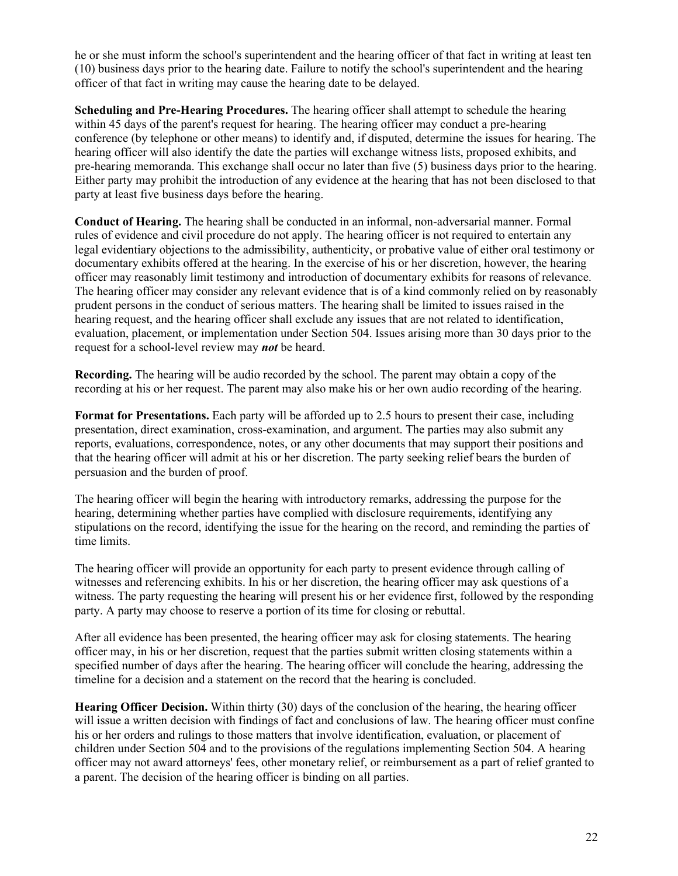he or she must inform the school's superintendent and the hearing officer of that fact in writing at least ten (10) business days prior to the hearing date. Failure to notify the school's superintendent and the hearing officer of that fact in writing may cause the hearing date to be delayed.

**Scheduling and Pre-Hearing Procedures.** The hearing officer shall attempt to schedule the hearing within 45 days of the parent's request for hearing. The hearing officer may conduct a pre-hearing conference (by telephone or other means) to identify and, if disputed, determine the issues for hearing. The hearing officer will also identify the date the parties will exchange witness lists, proposed exhibits, and pre-hearing memoranda. This exchange shall occur no later than five (5) business days prior to the hearing. Either party may prohibit the introduction of any evidence at the hearing that has not been disclosed to that party at least five business days before the hearing.

**Conduct of Hearing.** The hearing shall be conducted in an informal, non-adversarial manner. Formal rules of evidence and civil procedure do not apply. The hearing officer is not required to entertain any legal evidentiary objections to the admissibility, authenticity, or probative value of either oral testimony or documentary exhibits offered at the hearing. In the exercise of his or her discretion, however, the hearing officer may reasonably limit testimony and introduction of documentary exhibits for reasons of relevance. The hearing officer may consider any relevant evidence that is of a kind commonly relied on by reasonably prudent persons in the conduct of serious matters. The hearing shall be limited to issues raised in the hearing request, and the hearing officer shall exclude any issues that are not related to identification, evaluation, placement, or implementation under Section 504. Issues arising more than 30 days prior to the request for a school-level review may *not* be heard.

**Recording.** The hearing will be audio recorded by the school. The parent may obtain a copy of the recording at his or her request. The parent may also make his or her own audio recording of the hearing.

**Format for Presentations.** Each party will be afforded up to 2.5 hours to present their case, including presentation, direct examination, cross-examination, and argument. The parties may also submit any reports, evaluations, correspondence, notes, or any other documents that may support their positions and that the hearing officer will admit at his or her discretion. The party seeking relief bears the burden of persuasion and the burden of proof.

The hearing officer will begin the hearing with introductory remarks, addressing the purpose for the hearing, determining whether parties have complied with disclosure requirements, identifying any stipulations on the record, identifying the issue for the hearing on the record, and reminding the parties of time limits.

The hearing officer will provide an opportunity for each party to present evidence through calling of witnesses and referencing exhibits. In his or her discretion, the hearing officer may ask questions of a witness. The party requesting the hearing will present his or her evidence first, followed by the responding party. A party may choose to reserve a portion of its time for closing or rebuttal.

After all evidence has been presented, the hearing officer may ask for closing statements. The hearing officer may, in his or her discretion, request that the parties submit written closing statements within a specified number of days after the hearing. The hearing officer will conclude the hearing, addressing the timeline for a decision and a statement on the record that the hearing is concluded.

**Hearing Officer Decision.** Within thirty (30) days of the conclusion of the hearing, the hearing officer will issue a written decision with findings of fact and conclusions of law. The hearing officer must confine his or her orders and rulings to those matters that involve identification, evaluation, or placement of children under Section 504 and to the provisions of the regulations implementing Section 504. A hearing officer may not award attorneys' fees, other monetary relief, or reimbursement as a part of relief granted to a parent. The decision of the hearing officer is binding on all parties.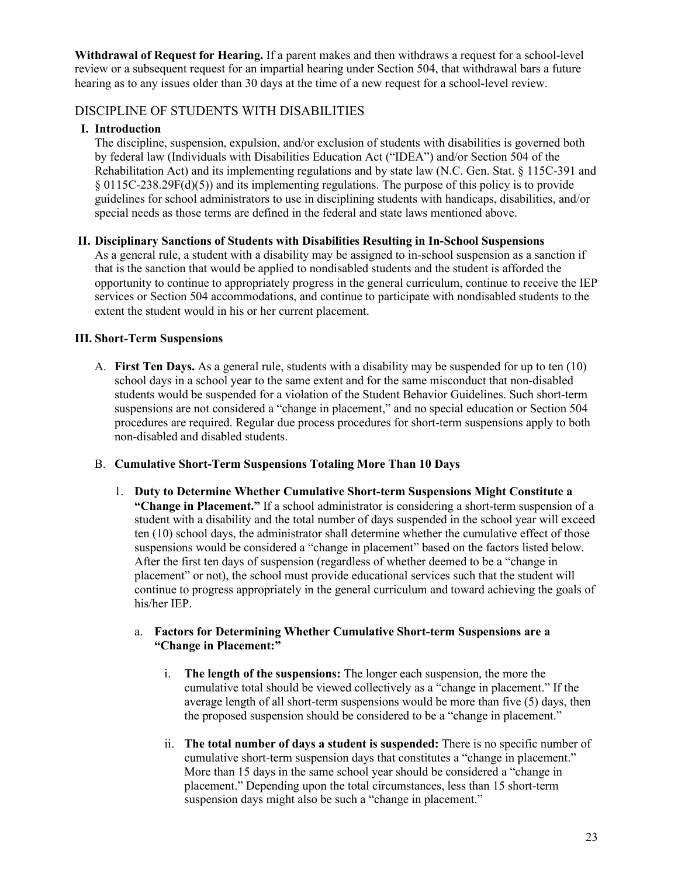**Withdrawal of Request for Hearing.** If a parent makes and then withdraws a request for a school-level review or a subsequent request for an impartial hearing under Section 504, that withdrawal bars a future hearing as to any issues older than 30 days at the time of a new request for a school-level review.

#### <span id="page-22-0"></span>DISCIPLINE OF STUDENTS WITH DISABILITIES

#### **I. Introduction**

The discipline, suspension, expulsion, and/or exclusion of students with disabilities is governed both by federal law (Individuals with Disabilities Education Act ("IDEA") and/or Section 504 of the Rehabilitation Act) and its implementing regulations and by state law (N.C. Gen. Stat. § 115C-391 and § 0115C-238.29F(d)(5)) and its implementing regulations. The purpose of this policy is to provide guidelines for school administrators to use in disciplining students with handicaps, disabilities, and/or special needs as those terms are defined in the federal and state laws mentioned above.

#### **II. Disciplinary Sanctions of Students with Disabilities Resulting in In-School Suspensions**

As a general rule, a student with a disability may be assigned to in-school suspension as a sanction if that is the sanction that would be applied to nondisabled students and the student is afforded the opportunity to continue to appropriately progress in the general curriculum, continue to receive the IEP services or Section 504 accommodations, and continue to participate with nondisabled students to the extent the student would in his or her current placement.

#### **III. Short-Term Suspensions**

A. **First Ten Days.** As a general rule, students with a disability may be suspended for up to ten (10) school days in a school year to the same extent and for the same misconduct that non-disabled students would be suspended for a violation of the Student Behavior Guidelines. Such short-term suspensions are not considered a "change in placement," and no special education or Section 504 procedures are required. Regular due process procedures for short-term suspensions apply to both non-disabled and disabled students.

#### B. **Cumulative Short-Term Suspensions Totaling More Than 10 Days**

1. **Duty to Determine Whether Cumulative Short-term Suspensions Might Constitute a "Change in Placement."** If a school administrator is considering a short-term suspension of a student with a disability and the total number of days suspended in the school year will exceed ten (10) school days, the administrator shall determine whether the cumulative effect of those suspensions would be considered a "change in placement" based on the factors listed below. After the first ten days of suspension (regardless of whether deemed to be a "change in placement" or not), the school must provide educational services such that the student will continue to progress appropriately in the general curriculum and toward achieving the goals of his/her IEP.

#### a. **Factors for Determining Whether Cumulative Short-term Suspensions are a "Change in Placement:"**

- i. **The length of the suspensions:** The longer each suspension, the more the cumulative total should be viewed collectively as a "change in placement." If the average length of all short-term suspensions would be more than five (5) days, then the proposed suspension should be considered to be a "change in placement."
- ii. **The total number of days a student is suspended:** There is no specific number of cumulative short-term suspension days that constitutes a "change in placement." More than 15 days in the same school year should be considered a "change in placement." Depending upon the total circumstances, less than 15 short-term suspension days might also be such a "change in placement."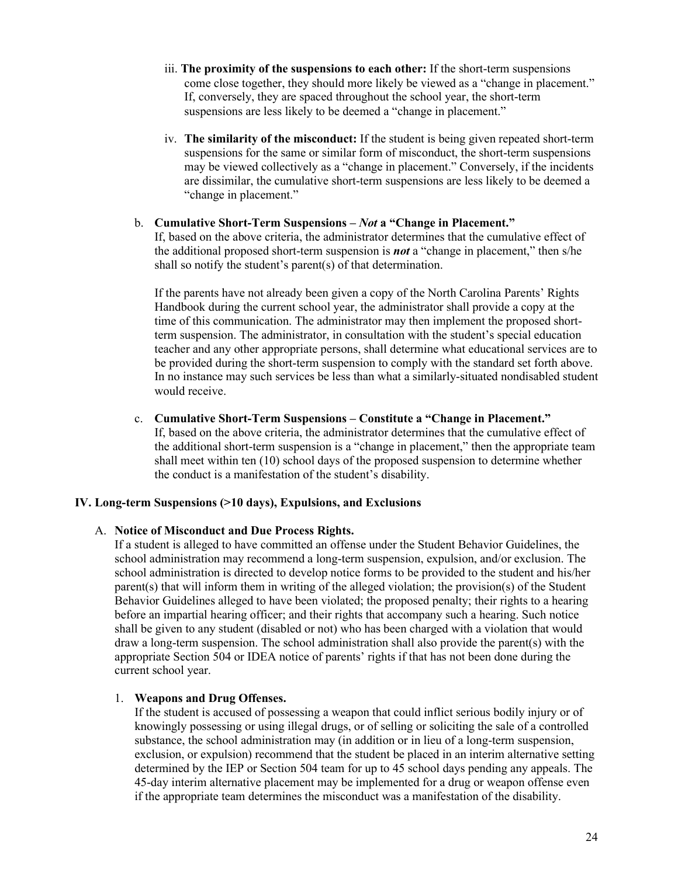- iii. **The proximity of the suspensions to each other:** If the short-term suspensions come close together, they should more likely be viewed as a "change in placement." If, conversely, they are spaced throughout the school year, the short-term suspensions are less likely to be deemed a "change in placement."
- iv. **The similarity of the misconduct:** If the student is being given repeated short-term suspensions for the same or similar form of misconduct, the short-term suspensions may be viewed collectively as a "change in placement." Conversely, if the incidents are dissimilar, the cumulative short-term suspensions are less likely to be deemed a "change in placement."
- b. **Cumulative Short-Term Suspensions –** *Not* **a "Change in Placement."** If, based on the above criteria, the administrator determines that the cumulative effect of the additional proposed short-term suspension is *not* a "change in placement," then s/he shall so notify the student's parent(s) of that determination.

If the parents have not already been given a copy of the North Carolina Parents' Rights Handbook during the current school year, the administrator shall provide a copy at the time of this communication. The administrator may then implement the proposed shortterm suspension. The administrator, in consultation with the student's special education teacher and any other appropriate persons, shall determine what educational services are to be provided during the short-term suspension to comply with the standard set forth above. In no instance may such services be less than what a similarly-situated nondisabled student would receive.

c. **Cumulative Short-Term Suspensions – Constitute a "Change in Placement."** If, based on the above criteria, the administrator determines that the cumulative effect of the additional short-term suspension is a "change in placement," then the appropriate team shall meet within ten (10) school days of the proposed suspension to determine whether the conduct is a manifestation of the student's disability.

#### **IV. Long-term Suspensions (>10 days), Expulsions, and Exclusions**

#### A. **Notice of Misconduct and Due Process Rights.**

If a student is alleged to have committed an offense under the Student Behavior Guidelines, the school administration may recommend a long-term suspension, expulsion, and/or exclusion. The school administration is directed to develop notice forms to be provided to the student and his/her parent(s) that will inform them in writing of the alleged violation; the provision(s) of the Student Behavior Guidelines alleged to have been violated; the proposed penalty; their rights to a hearing before an impartial hearing officer; and their rights that accompany such a hearing. Such notice shall be given to any student (disabled or not) who has been charged with a violation that would draw a long-term suspension. The school administration shall also provide the parent(s) with the appropriate Section 504 or IDEA notice of parents' rights if that has not been done during the current school year.

#### 1. **Weapons and Drug Offenses.**

If the student is accused of possessing a weapon that could inflict serious bodily injury or of knowingly possessing or using illegal drugs, or of selling or soliciting the sale of a controlled substance, the school administration may (in addition or in lieu of a long-term suspension, exclusion, or expulsion) recommend that the student be placed in an interim alternative setting determined by the IEP or Section 504 team for up to 45 school days pending any appeals. The 45-day interim alternative placement may be implemented for a drug or weapon offense even if the appropriate team determines the misconduct was a manifestation of the disability.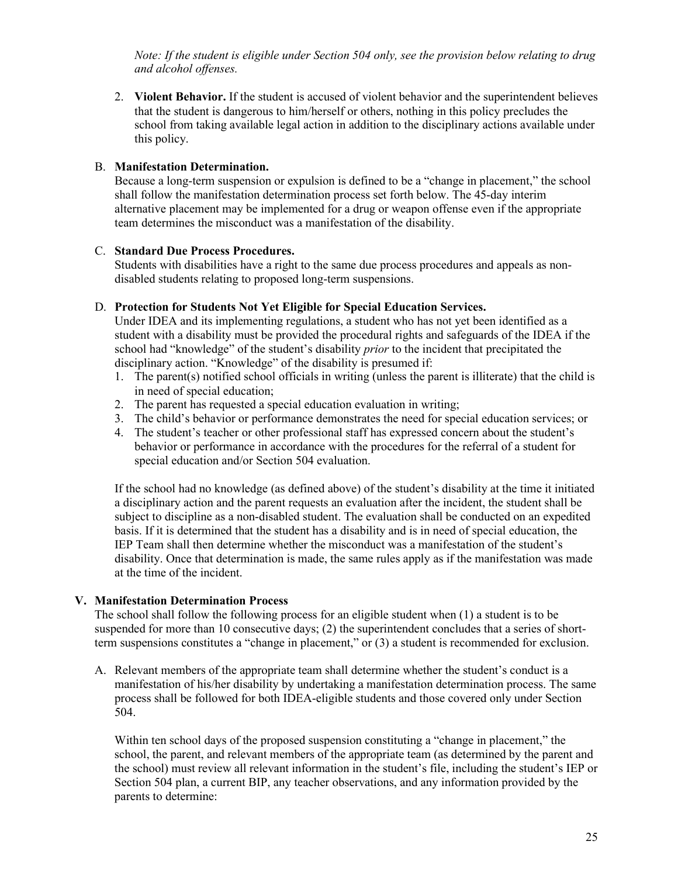*Note: If the student is eligible under Section 504 only, see the provision below relating to drug and alcohol offenses.*

2. **Violent Behavior.** If the student is accused of violent behavior and the superintendent believes that the student is dangerous to him/herself or others, nothing in this policy precludes the school from taking available legal action in addition to the disciplinary actions available under this policy.

#### B. **Manifestation Determination.**

Because a long-term suspension or expulsion is defined to be a "change in placement," the school shall follow the manifestation determination process set forth below. The 45-day interim alternative placement may be implemented for a drug or weapon offense even if the appropriate team determines the misconduct was a manifestation of the disability.

#### C. **Standard Due Process Procedures.**

Students with disabilities have a right to the same due process procedures and appeals as nondisabled students relating to proposed long-term suspensions.

#### D. **Protection for Students Not Yet Eligible for Special Education Services.**

Under IDEA and its implementing regulations, a student who has not yet been identified as a student with a disability must be provided the procedural rights and safeguards of the IDEA if the school had "knowledge" of the student's disability *prior* to the incident that precipitated the disciplinary action. "Knowledge" of the disability is presumed if:

- 1. The parent(s) notified school officials in writing (unless the parent is illiterate) that the child is in need of special education;
- 2. The parent has requested a special education evaluation in writing;
- 3. The child's behavior or performance demonstrates the need for special education services; or
- 4. The student's teacher or other professional staff has expressed concern about the student's behavior or performance in accordance with the procedures for the referral of a student for special education and/or Section 504 evaluation.

If the school had no knowledge (as defined above) of the student's disability at the time it initiated a disciplinary action and the parent requests an evaluation after the incident, the student shall be subject to discipline as a non-disabled student. The evaluation shall be conducted on an expedited basis. If it is determined that the student has a disability and is in need of special education, the IEP Team shall then determine whether the misconduct was a manifestation of the student's disability. Once that determination is made, the same rules apply as if the manifestation was made at the time of the incident.

#### **V. Manifestation Determination Process**

The school shall follow the following process for an eligible student when (1) a student is to be suspended for more than 10 consecutive days; (2) the superintendent concludes that a series of shortterm suspensions constitutes a "change in placement," or (3) a student is recommended for exclusion.

A. Relevant members of the appropriate team shall determine whether the student's conduct is a manifestation of his/her disability by undertaking a manifestation determination process. The same process shall be followed for both IDEA-eligible students and those covered only under Section 504.

Within ten school days of the proposed suspension constituting a "change in placement," the school, the parent, and relevant members of the appropriate team (as determined by the parent and the school) must review all relevant information in the student's file, including the student's IEP or Section 504 plan, a current BIP, any teacher observations, and any information provided by the parents to determine: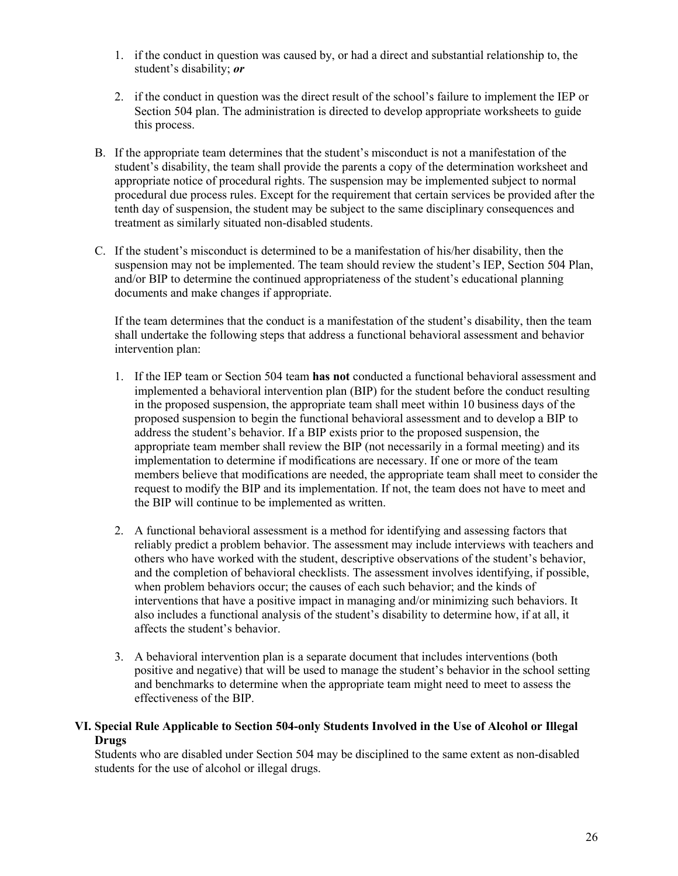- 1. if the conduct in question was caused by, or had a direct and substantial relationship to, the student's disability; *or*
- 2. if the conduct in question was the direct result of the school's failure to implement the IEP or Section 504 plan. The administration is directed to develop appropriate worksheets to guide this process.
- B. If the appropriate team determines that the student's misconduct is not a manifestation of the student's disability, the team shall provide the parents a copy of the determination worksheet and appropriate notice of procedural rights. The suspension may be implemented subject to normal procedural due process rules. Except for the requirement that certain services be provided after the tenth day of suspension, the student may be subject to the same disciplinary consequences and treatment as similarly situated non-disabled students.
- C. If the student's misconduct is determined to be a manifestation of his/her disability, then the suspension may not be implemented. The team should review the student's IEP, Section 504 Plan, and/or BIP to determine the continued appropriateness of the student's educational planning documents and make changes if appropriate.

If the team determines that the conduct is a manifestation of the student's disability, then the team shall undertake the following steps that address a functional behavioral assessment and behavior intervention plan:

- 1. If the IEP team or Section 504 team **has not** conducted a functional behavioral assessment and implemented a behavioral intervention plan (BIP) for the student before the conduct resulting in the proposed suspension, the appropriate team shall meet within 10 business days of the proposed suspension to begin the functional behavioral assessment and to develop a BIP to address the student's behavior. If a BIP exists prior to the proposed suspension, the appropriate team member shall review the BIP (not necessarily in a formal meeting) and its implementation to determine if modifications are necessary. If one or more of the team members believe that modifications are needed, the appropriate team shall meet to consider the request to modify the BIP and its implementation. If not, the team does not have to meet and the BIP will continue to be implemented as written.
- 2. A functional behavioral assessment is a method for identifying and assessing factors that reliably predict a problem behavior. The assessment may include interviews with teachers and others who have worked with the student, descriptive observations of the student's behavior, and the completion of behavioral checklists. The assessment involves identifying, if possible, when problem behaviors occur; the causes of each such behavior; and the kinds of interventions that have a positive impact in managing and/or minimizing such behaviors. It also includes a functional analysis of the student's disability to determine how, if at all, it affects the student's behavior.
- 3. A behavioral intervention plan is a separate document that includes interventions (both positive and negative) that will be used to manage the student's behavior in the school setting and benchmarks to determine when the appropriate team might need to meet to assess the effectiveness of the BIP.

#### **VI. Special Rule Applicable to Section 504-only Students Involved in the Use of Alcohol or Illegal Drugs**

Students who are disabled under Section 504 may be disciplined to the same extent as non-disabled students for the use of alcohol or illegal drugs.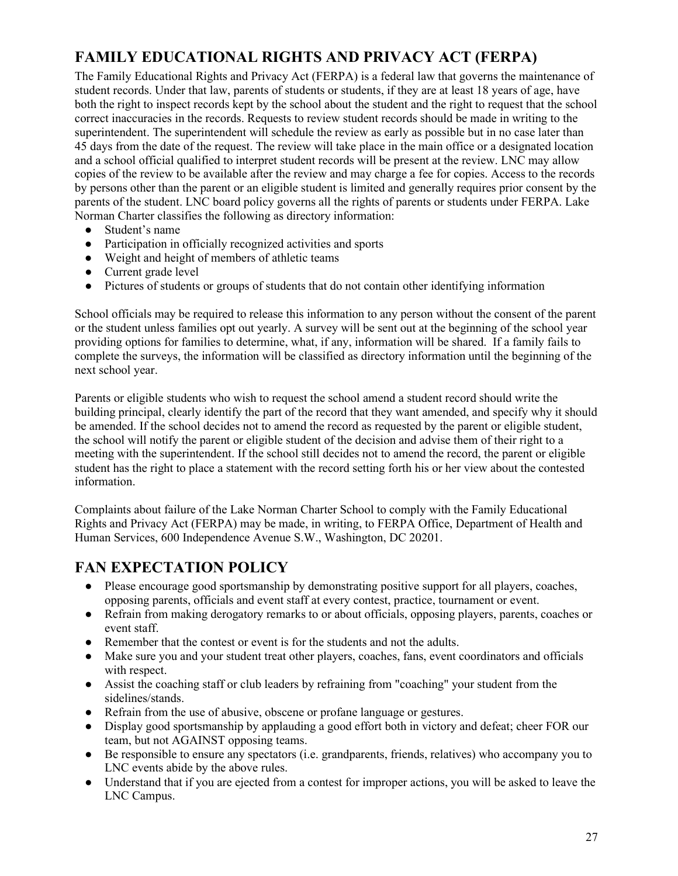## <span id="page-26-0"></span>**FAMILY EDUCATIONAL RIGHTS AND PRIVACY ACT (FERPA)**

The Family Educational Rights and Privacy Act (FERPA) is a federal law that governs the maintenance of student records. Under that law, parents of students or students, if they are at least 18 years of age, have both the right to inspect records kept by the school about the student and the right to request that the school correct inaccuracies in the records. Requests to review student records should be made in writing to the superintendent. The superintendent will schedule the review as early as possible but in no case later than 45 days from the date of the request. The review will take place in the main office or a designated location and a school official qualified to interpret student records will be present at the review. LNC may allow copies of the review to be available after the review and may charge a fee for copies. Access to the records by persons other than the parent or an eligible student is limited and generally requires prior consent by the parents of the student. LNC board policy governs all the rights of parents or students under FERPA. Lake Norman Charter classifies the following as directory information:

- Student's name
- Participation in officially recognized activities and sports
- Weight and height of members of athletic teams
- Current grade level
- Pictures of students or groups of students that do not contain other identifying information

School officials may be required to release this information to any person without the consent of the parent or the student unless families opt out yearly. A survey will be sent out at the beginning of the school year providing options for families to determine, what, if any, information will be shared. If a family fails to complete the surveys, the information will be classified as directory information until the beginning of the next school year.

Parents or eligible students who wish to request the school amend a student record should write the building principal, clearly identify the part of the record that they want amended, and specify why it should be amended. If the school decides not to amend the record as requested by the parent or eligible student, the school will notify the parent or eligible student of the decision and advise them of their right to a meeting with the superintendent. If the school still decides not to amend the record, the parent or eligible student has the right to place a statement with the record setting forth his or her view about the contested information.

Complaints about failure of the Lake Norman Charter School to comply with the Family Educational Rights and Privacy Act (FERPA) may be made, in writing, to FERPA Office, Department of Health and Human Services, 600 Independence Avenue S.W., Washington, DC 20201.

### <span id="page-26-1"></span>**FAN EXPECTATION POLICY**

- Please encourage good sportsmanship by demonstrating positive support for all players, coaches, opposing parents, officials and event staff at every contest, practice, tournament or event.
- Refrain from making derogatory remarks to or about officials, opposing players, parents, coaches or event staff.
- Remember that the contest or event is for the students and not the adults.
- Make sure you and your student treat other players, coaches, fans, event coordinators and officials with respect.
- Assist the coaching staff or club leaders by refraining from "coaching" your student from the sidelines/stands.
- Refrain from the use of abusive, obscene or profane language or gestures.
- Display good sportsmanship by applauding a good effort both in victory and defeat; cheer FOR our team, but not AGAINST opposing teams.
- Be responsible to ensure any spectators (i.e. grandparents, friends, relatives) who accompany you to LNC events abide by the above rules.
- Understand that if you are ejected from a contest for improper actions, you will be asked to leave the LNC Campus.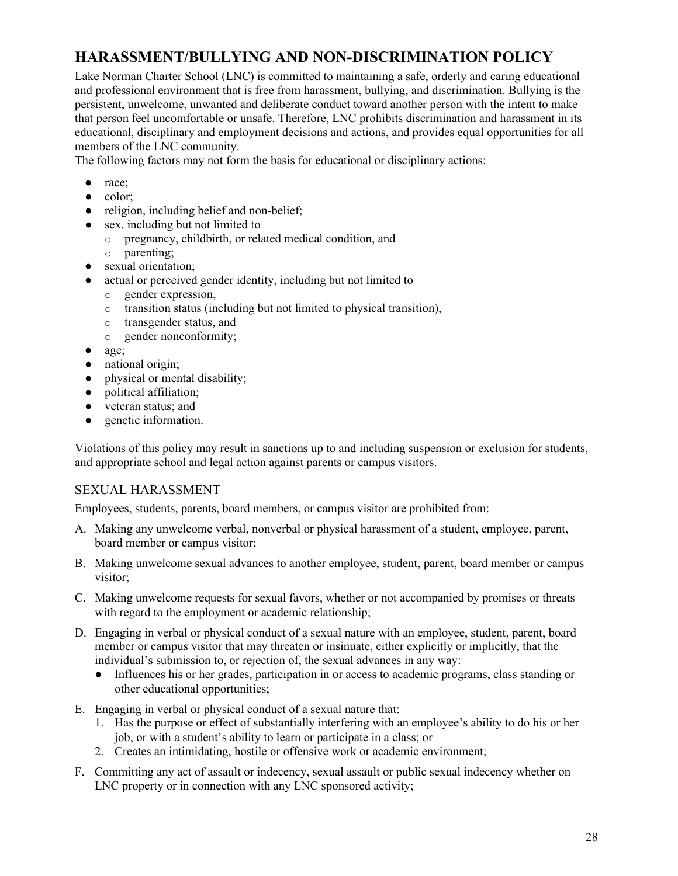## <span id="page-27-0"></span>**HARASSMENT/BULLYING AND NON-DISCRIMINATION POLICY**

Lake Norman Charter School (LNC) is committed to maintaining a safe, orderly and caring educational and professional environment that is free from harassment, bullying, and discrimination. Bullying is the persistent, unwelcome, unwanted and deliberate conduct toward another person with the intent to make that person feel uncomfortable or unsafe. Therefore, LNC prohibits discrimination and harassment in its educational, disciplinary and employment decisions and actions, and provides equal opportunities for all members of the LNC community.

The following factors may not form the basis for educational or disciplinary actions:

- race;
- color;
- religion, including belief and non-belief;
- sex, including but not limited to
	- o pregnancy, childbirth, or related medical condition, and
	- o parenting;
- sexual orientation;
- actual or perceived gender identity, including but not limited to
	- o gender expression,
	- o transition status (including but not limited to physical transition),
	- o transgender status, and
	- o gender nonconformity;
- age;
- national origin;
- physical or mental disability;
- political affiliation;
- veteran status; and
- genetic information.

Violations of this policy may result in sanctions up to and including suspension or exclusion for students, and appropriate school and legal action against parents or campus visitors.

#### <span id="page-27-1"></span>SEXUAL HARASSMENT

Employees, students, parents, board members, or campus visitor are prohibited from:

- A. Making any unwelcome verbal, nonverbal or physical harassment of a student, employee, parent, board member or campus visitor;
- B. Making unwelcome sexual advances to another employee, student, parent, board member or campus visitor;
- C. Making unwelcome requests for sexual favors, whether or not accompanied by promises or threats with regard to the employment or academic relationship;
- D. Engaging in verbal or physical conduct of a sexual nature with an employee, student, parent, board member or campus visitor that may threaten or insinuate, either explicitly or implicitly, that the individual's submission to, or rejection of, the sexual advances in any way:
	- Influences his or her grades, participation in or access to academic programs, class standing or other educational opportunities;
- E. Engaging in verbal or physical conduct of a sexual nature that:
	- 1. Has the purpose or effect of substantially interfering with an employee's ability to do his or her job, or with a student's ability to learn or participate in a class; or
	- 2. Creates an intimidating, hostile or offensive work or academic environment;
- F. Committing any act of assault or indecency, sexual assault or public sexual indecency whether on LNC property or in connection with any LNC sponsored activity;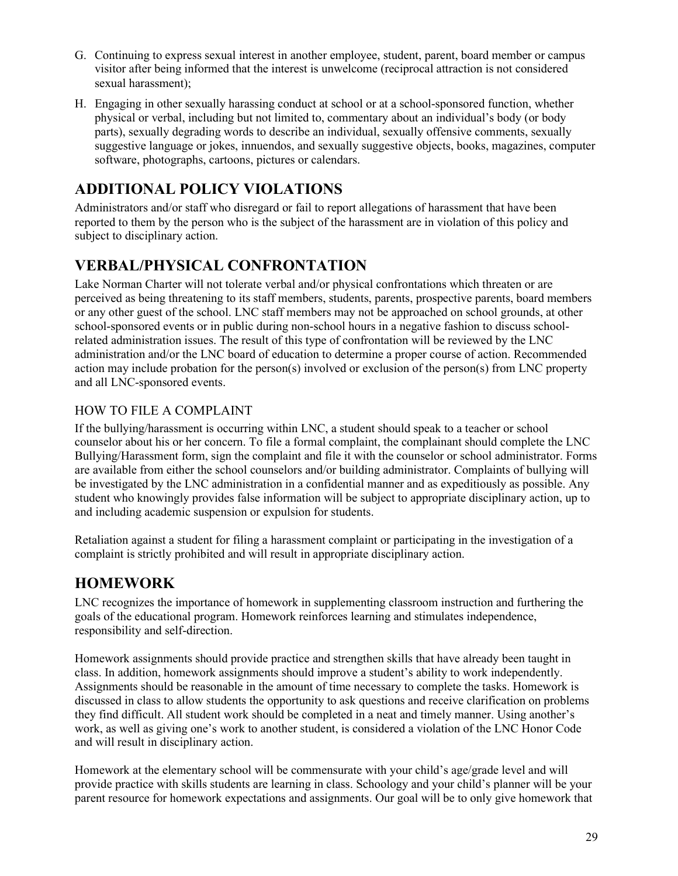- G. Continuing to express sexual interest in another employee, student, parent, board member or campus visitor after being informed that the interest is unwelcome (reciprocal attraction is not considered sexual harassment);
- H. Engaging in other sexually harassing conduct at school or at a school-sponsored function, whether physical or verbal, including but not limited to, commentary about an individual's body (or body parts), sexually degrading words to describe an individual, sexually offensive comments, sexually suggestive language or jokes, innuendos, and sexually suggestive objects, books, magazines, computer software, photographs, cartoons, pictures or calendars.

## <span id="page-28-0"></span>**ADDITIONAL POLICY VIOLATIONS**

Administrators and/or staff who disregard or fail to report allegations of harassment that have been reported to them by the person who is the subject of the harassment are in violation of this policy and subject to disciplinary action.

## <span id="page-28-1"></span>**VERBAL/PHYSICAL CONFRONTATION**

Lake Norman Charter will not tolerate verbal and/or physical confrontations which threaten or are perceived as being threatening to its staff members, students, parents, prospective parents, board members or any other guest of the school. LNC staff members may not be approached on school grounds, at other school-sponsored events or in public during non-school hours in a negative fashion to discuss schoolrelated administration issues. The result of this type of confrontation will be reviewed by the LNC administration and/or the LNC board of education to determine a proper course of action. Recommended action may include probation for the person(s) involved or exclusion of the person(s) from LNC property and all LNC-sponsored events.

#### <span id="page-28-2"></span>HOW TO FILE A COMPLAINT

If the bullying/harassment is occurring within LNC, a student should speak to a teacher or school counselor about his or her concern. To file a formal complaint, the complainant should complete the LNC Bullying/Harassment form, sign the complaint and file it with the counselor or school administrator. Forms are available from either the school counselors and/or building administrator. Complaints of bullying will be investigated by the LNC administration in a confidential manner and as expeditiously as possible. Any student who knowingly provides false information will be subject to appropriate disciplinary action, up to and including academic suspension or expulsion for students.

Retaliation against a student for filing a harassment complaint or participating in the investigation of a complaint is strictly prohibited and will result in appropriate disciplinary action.

## <span id="page-28-3"></span>**HOMEWORK**

LNC recognizes the importance of homework in supplementing classroom instruction and furthering the goals of the educational program. Homework reinforces learning and stimulates independence, responsibility and self-direction.

Homework assignments should provide practice and strengthen skills that have already been taught in class. In addition, homework assignments should improve a student's ability to work independently. Assignments should be reasonable in the amount of time necessary to complete the tasks. Homework is discussed in class to allow students the opportunity to ask questions and receive clarification on problems they find difficult. All student work should be completed in a neat and timely manner. Using another's work, as well as giving one's work to another student, is considered a violation of the LNC Honor Code and will result in disciplinary action.

Homework at the elementary school will be commensurate with your child's age/grade level and will provide practice with skills students are learning in class. Schoology and your child's planner will be your parent resource for homework expectations and assignments. Our goal will be to only give homework that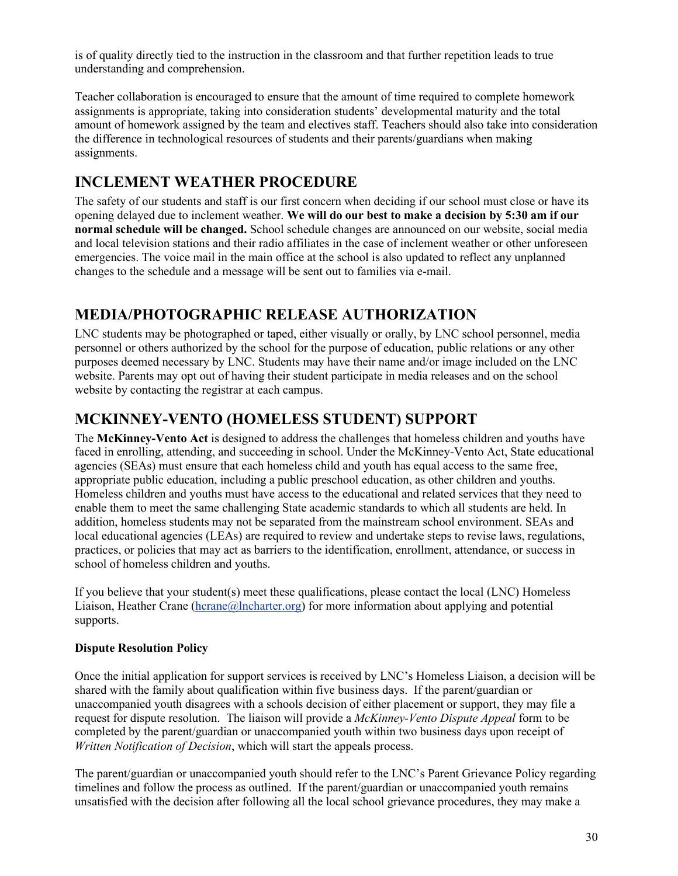is of quality directly tied to the instruction in the classroom and that further repetition leads to true understanding and comprehension.

Teacher collaboration is encouraged to ensure that the amount of time required to complete homework assignments is appropriate, taking into consideration students' developmental maturity and the total amount of homework assigned by the team and electives staff. Teachers should also take into consideration the difference in technological resources of students and their parents/guardians when making assignments.

### <span id="page-29-0"></span>**INCLEMENT WEATHER PROCEDURE**

The safety of our students and staff is our first concern when deciding if our school must close or have its opening delayed due to inclement weather. **We will do our best to make a decision by 5:30 am if our normal schedule will be changed.** School schedule changes are announced on our website, social media and local television stations and their radio affiliates in the case of inclement weather or other unforeseen emergencies. The voice mail in the main office at the school is also updated to reflect any unplanned changes to the schedule and a message will be sent out to families via e-mail.

## <span id="page-29-1"></span>**MEDIA/PHOTOGRAPHIC RELEASE AUTHORIZATION**

LNC students may be photographed or taped, either visually or orally, by LNC school personnel, media personnel or others authorized by the school for the purpose of education, public relations or any other purposes deemed necessary by LNC. Students may have their name and/or image included on the LNC website. Parents may opt out of having their student participate in media releases and on the school website by contacting the registrar at each campus.

## <span id="page-29-2"></span>**MCKINNEY-VENTO (HOMELESS STUDENT) SUPPORT**

The **McKinney-Vento Act** is designed to address the challenges that homeless children and youths have faced in enrolling, attending, and succeeding in school. Under the McKinney-Vento Act, State educational agencies (SEAs) must ensure that each homeless child and youth has equal access to the same free, appropriate public education, including a public preschool education, as other children and youths. Homeless children and youths must have access to the educational and related services that they need to enable them to meet the same challenging State academic standards to which all students are held. In addition, homeless students may not be separated from the mainstream school environment. SEAs and local educational agencies (LEAs) are required to review and undertake steps to revise laws, regulations, practices, or policies that may act as barriers to the identification, enrollment, attendance, or success in school of homeless children and youths.

If you believe that your student(s) meet these qualifications, please contact the local (LNC) Homeless Liaison, Heather Crane (hcrane @lncharter.org) for more information about applying and potential supports.

#### **Dispute Resolution Policy**

Once the initial application for support services is received by LNC's Homeless Liaison, a decision will be shared with the family about qualification within five business days. If the parent/guardian or unaccompanied youth disagrees with a schools decision of either placement or support, they may file a request for dispute resolution. The liaison will provide a *McKinney-Vento Dispute Appeal* form to be completed by the parent/guardian or unaccompanied youth within two business days upon receipt of *Written Notification of Decision*, which will start the appeals process.

The parent/guardian or unaccompanied youth should refer to the LNC's Parent Grievance Policy regarding timelines and follow the process as outlined. If the parent/guardian or unaccompanied youth remains unsatisfied with the decision after following all the local school grievance procedures, they may make a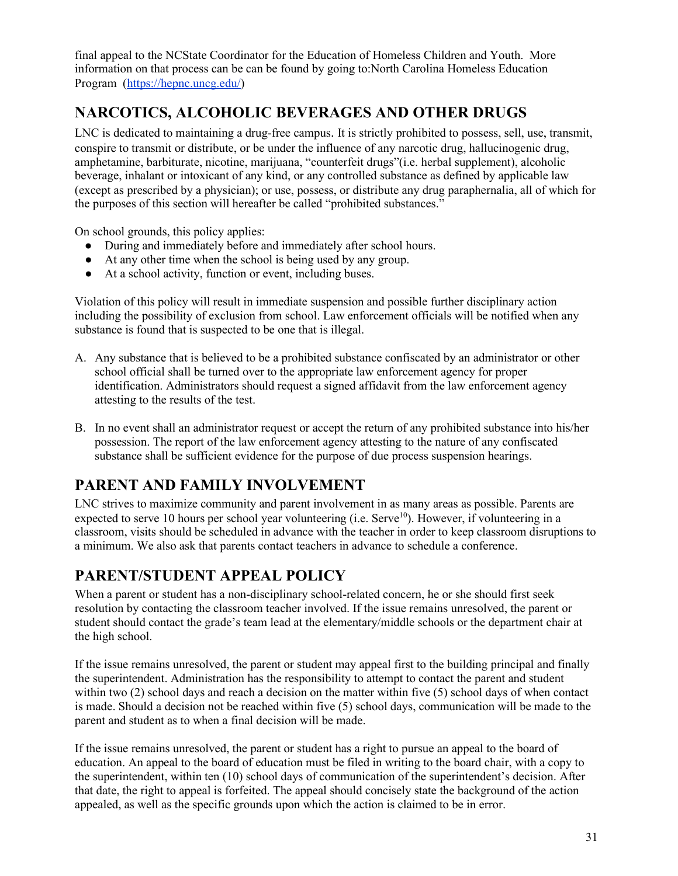final appeal to the NCState Coordinator for the Education of Homeless Children and Youth. More information on that process can be can be found by going to:North Carolina Homeless Education Program [\(https://hepnc.uncg.edu/\)](https://hepnc.uncg.edu/)

## <span id="page-30-0"></span>**NARCOTICS, ALCOHOLIC BEVERAGES AND OTHER DRUGS**

LNC is dedicated to maintaining a drug-free campus. It is strictly prohibited to possess, sell, use, transmit, conspire to transmit or distribute, or be under the influence of any narcotic drug, hallucinogenic drug, amphetamine, barbiturate, nicotine, marijuana, "counterfeit drugs"(i.e. herbal supplement), alcoholic beverage, inhalant or intoxicant of any kind, or any controlled substance as defined by applicable law (except as prescribed by a physician); or use, possess, or distribute any drug paraphernalia, all of which for the purposes of this section will hereafter be called "prohibited substances."

On school grounds, this policy applies:

- During and immediately before and immediately after school hours.
- At any other time when the school is being used by any group.
- At a school activity, function or event, including buses.

Violation of this policy will result in immediate suspension and possible further disciplinary action including the possibility of exclusion from school. Law enforcement officials will be notified when any substance is found that is suspected to be one that is illegal.

- A. Any substance that is believed to be a prohibited substance confiscated by an administrator or other school official shall be turned over to the appropriate law enforcement agency for proper identification. Administrators should request a signed affidavit from the law enforcement agency attesting to the results of the test.
- B. In no event shall an administrator request or accept the return of any prohibited substance into his/her possession. The report of the law enforcement agency attesting to the nature of any confiscated substance shall be sufficient evidence for the purpose of due process suspension hearings.

## <span id="page-30-1"></span>**PARENT AND FAMILY INVOLVEMENT**

LNC strives to maximize community and parent involvement in as many areas as possible. Parents are expected to serve 10 hours per school year volunteering (i.e. Serve<sup>10</sup>). However, if volunteering in a classroom, visits should be scheduled in advance with the teacher in order to keep classroom disruptions to a minimum. We also ask that parents contact teachers in advance to schedule a conference.

## <span id="page-30-2"></span>**PARENT/STUDENT APPEAL POLICY**

When a parent or student has a non-disciplinary school-related concern, he or she should first seek resolution by contacting the classroom teacher involved. If the issue remains unresolved, the parent or student should contact the grade's team lead at the elementary/middle schools or the department chair at the high school.

If the issue remains unresolved, the parent or student may appeal first to the building principal and finally the superintendent. Administration has the responsibility to attempt to contact the parent and student within two (2) school days and reach a decision on the matter within five (5) school days of when contact is made. Should a decision not be reached within five (5) school days, communication will be made to the parent and student as to when a final decision will be made.

If the issue remains unresolved, the parent or student has a right to pursue an appeal to the board of education. An appeal to the board of education must be filed in writing to the board chair, with a copy to the superintendent, within ten (10) school days of communication of the superintendent's decision. After that date, the right to appeal is forfeited. The appeal should concisely state the background of the action appealed, as well as the specific grounds upon which the action is claimed to be in error.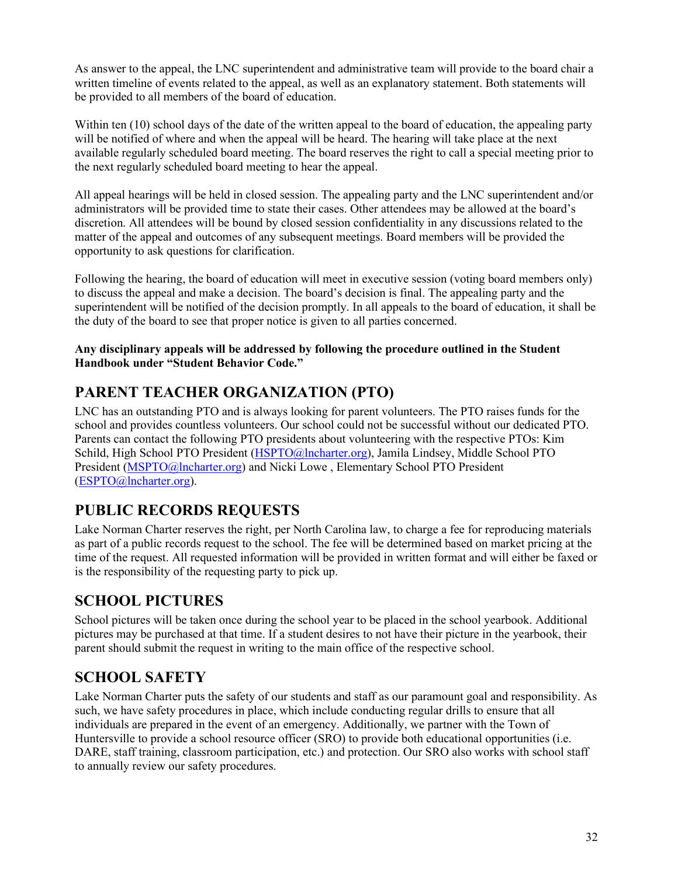As answer to the appeal, the LNC superintendent and administrative team will provide to the board chair a written timeline of events related to the appeal, as well as an explanatory statement. Both statements will be provided to all members of the board of education.

Within ten (10) school days of the date of the written appeal to the board of education, the appealing party will be notified of where and when the appeal will be heard. The hearing will take place at the next available regularly scheduled board meeting. The board reserves the right to call a special meeting prior to the next regularly scheduled board meeting to hear the appeal.

All appeal hearings will be held in closed session. The appealing party and the LNC superintendent and/or administrators will be provided time to state their cases. Other attendees may be allowed at the board's discretion. All attendees will be bound by closed session confidentiality in any discussions related to the matter of the appeal and outcomes of any subsequent meetings. Board members will be provided the opportunity to ask questions for clarification.

Following the hearing, the board of education will meet in executive session (voting board members only) to discuss the appeal and make a decision. The board's decision is final. The appealing party and the superintendent will be notified of the decision promptly. In all appeals to the board of education, it shall be the duty of the board to see that proper notice is given to all parties concerned.

#### **Any disciplinary appeals will be addressed by following the procedure outlined in the Student Handbook under "Student Behavior Code."**

## <span id="page-31-0"></span>**PARENT TEACHER ORGANIZATION (PTO)**

LNC has an outstanding PTO and is always looking for parent volunteers. The PTO raises funds for the school and provides countless volunteers. Our school could not be successful without our dedicated PTO. Parents can contact the following PTO presidents about volunteering with the respective PTOs: Kim Schild, High School PTO President [\(HSPTO@lncharter.org\)](mailto:HSPTO@lncharter.org), Jamila Lindsey, Middle School PTO President [\(MSPTO@lncharter.org\)](mailto:MSPTO@lncharter.org) and Nicki Lowe , Elementary School PTO President [\(ESPTO@lncharter.org\)](mailto:ESPTO@lncharter.org).

## <span id="page-31-1"></span>**PUBLIC RECORDS REQUESTS**

Lake Norman Charter reserves the right, per North Carolina law, to charge a fee for reproducing materials as part of a public records request to the school. The fee will be determined based on market pricing at the time of the request. All requested information will be provided in written format and will either be faxed or is the responsibility of the requesting party to pick up.

## <span id="page-31-2"></span>**SCHOOL PICTURES**

School pictures will be taken once during the school year to be placed in the school yearbook. Additional pictures may be purchased at that time. If a student desires to not have their picture in the yearbook, their parent should submit the request in writing to the main office of the respective school.

## <span id="page-31-3"></span>**SCHOOL SAFETY**

Lake Norman Charter puts the safety of our students and staff as our paramount goal and responsibility. As such, we have safety procedures in place, which include conducting regular drills to ensure that all individuals are prepared in the event of an emergency. Additionally, we partner with the Town of Huntersville to provide a school resource officer (SRO) to provide both educational opportunities (i.e. DARE, staff training, classroom participation, etc.) and protection. Our SRO also works with school staff to annually review our safety procedures.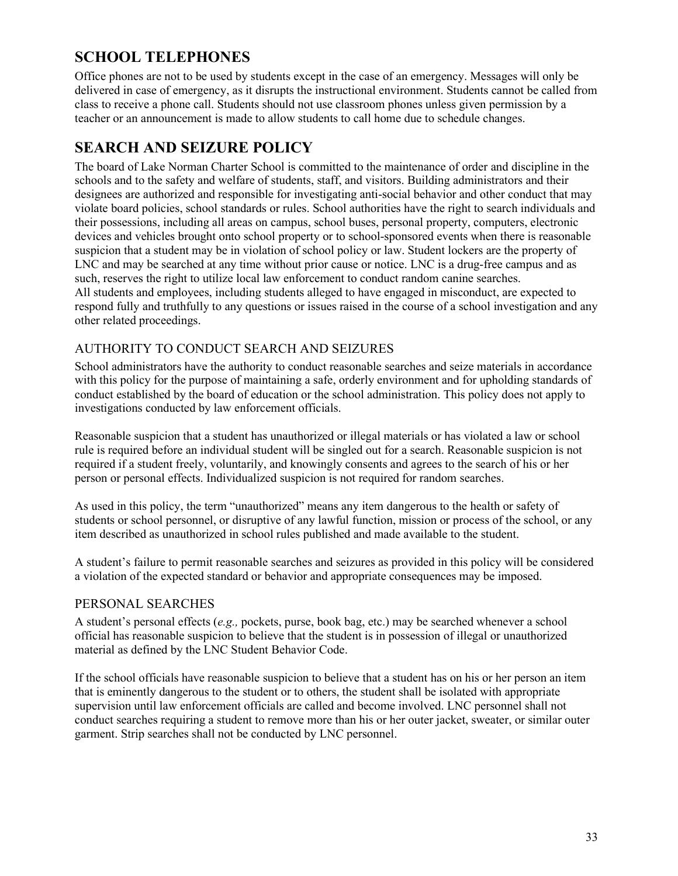## <span id="page-32-0"></span>**SCHOOL TELEPHONES**

Office phones are not to be used by students except in the case of an emergency. Messages will only be delivered in case of emergency, as it disrupts the instructional environment. Students cannot be called from class to receive a phone call. Students should not use classroom phones unless given permission by a teacher or an announcement is made to allow students to call home due to schedule changes.

## <span id="page-32-1"></span>**SEARCH AND SEIZURE POLICY**

The board of Lake Norman Charter School is committed to the maintenance of order and discipline in the schools and to the safety and welfare of students, staff, and visitors. Building administrators and their designees are authorized and responsible for investigating anti-social behavior and other conduct that may violate board policies, school standards or rules. School authorities have the right to search individuals and their possessions, including all areas on campus, school buses, personal property, computers, electronic devices and vehicles brought onto school property or to school-sponsored events when there is reasonable suspicion that a student may be in violation of school policy or law. Student lockers are the property of LNC and may be searched at any time without prior cause or notice. LNC is a drug-free campus and as such, reserves the right to utilize local law enforcement to conduct random canine searches. All students and employees, including students alleged to have engaged in misconduct, are expected to respond fully and truthfully to any questions or issues raised in the course of a school investigation and any other related proceedings.

#### <span id="page-32-2"></span>AUTHORITY TO CONDUCT SEARCH AND SEIZURES

School administrators have the authority to conduct reasonable searches and seize materials in accordance with this policy for the purpose of maintaining a safe, orderly environment and for upholding standards of conduct established by the board of education or the school administration. This policy does not apply to investigations conducted by law enforcement officials.

Reasonable suspicion that a student has unauthorized or illegal materials or has violated a law or school rule is required before an individual student will be singled out for a search. Reasonable suspicion is not required if a student freely, voluntarily, and knowingly consents and agrees to the search of his or her person or personal effects. Individualized suspicion is not required for random searches.

As used in this policy, the term "unauthorized" means any item dangerous to the health or safety of students or school personnel, or disruptive of any lawful function, mission or process of the school, or any item described as unauthorized in school rules published and made available to the student.

A student's failure to permit reasonable searches and seizures as provided in this policy will be considered a violation of the expected standard or behavior and appropriate consequences may be imposed.

#### <span id="page-32-3"></span>PERSONAL SEARCHES

A student's personal effects (*e.g.,* pockets, purse, book bag, etc.) may be searched whenever a school official has reasonable suspicion to believe that the student is in possession of illegal or unauthorized material as defined by the LNC Student Behavior Code.

If the school officials have reasonable suspicion to believe that a student has on his or her person an item that is eminently dangerous to the student or to others, the student shall be isolated with appropriate supervision until law enforcement officials are called and become involved. LNC personnel shall not conduct searches requiring a student to remove more than his or her outer jacket, sweater, or similar outer garment. Strip searches shall not be conducted by LNC personnel.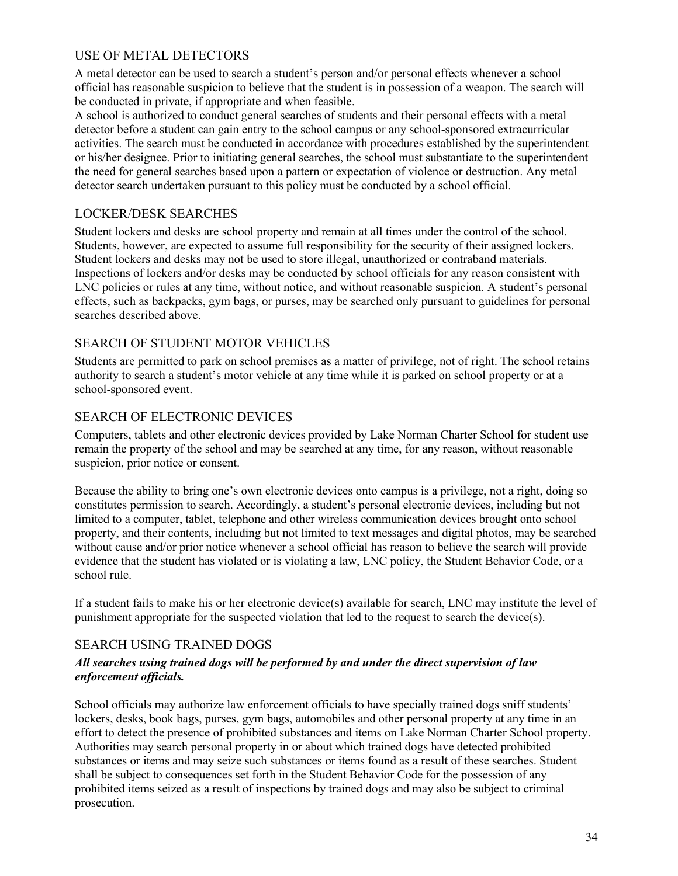#### <span id="page-33-0"></span>USE OF METAL DETECTORS

A metal detector can be used to search a student's person and/or personal effects whenever a school official has reasonable suspicion to believe that the student is in possession of a weapon. The search will be conducted in private, if appropriate and when feasible.

A school is authorized to conduct general searches of students and their personal effects with a metal detector before a student can gain entry to the school campus or any school-sponsored extracurricular activities. The search must be conducted in accordance with procedures established by the superintendent or his/her designee. Prior to initiating general searches, the school must substantiate to the superintendent the need for general searches based upon a pattern or expectation of violence or destruction. Any metal detector search undertaken pursuant to this policy must be conducted by a school official.

#### <span id="page-33-1"></span>LOCKER/DESK SEARCHES

Student lockers and desks are school property and remain at all times under the control of the school. Students, however, are expected to assume full responsibility for the security of their assigned lockers. Student lockers and desks may not be used to store illegal, unauthorized or contraband materials. Inspections of lockers and/or desks may be conducted by school officials for any reason consistent with LNC policies or rules at any time, without notice, and without reasonable suspicion. A student's personal effects, such as backpacks, gym bags, or purses, may be searched only pursuant to guidelines for personal searches described above.

#### <span id="page-33-2"></span>SEARCH OF STUDENT MOTOR VEHICLES

Students are permitted to park on school premises as a matter of privilege, not of right. The school retains authority to search a student's motor vehicle at any time while it is parked on school property or at a school-sponsored event.

#### <span id="page-33-3"></span>SEARCH OF ELECTRONIC DEVICES

Computers, tablets and other electronic devices provided by Lake Norman Charter School for student use remain the property of the school and may be searched at any time, for any reason, without reasonable suspicion, prior notice or consent.

Because the ability to bring one's own electronic devices onto campus is a privilege, not a right, doing so constitutes permission to search. Accordingly, a student's personal electronic devices, including but not limited to a computer, tablet, telephone and other wireless communication devices brought onto school property, and their contents, including but not limited to text messages and digital photos, may be searched without cause and/or prior notice whenever a school official has reason to believe the search will provide evidence that the student has violated or is violating a law, LNC policy, the Student Behavior Code, or a school rule.

If a student fails to make his or her electronic device(s) available for search, LNC may institute the level of punishment appropriate for the suspected violation that led to the request to search the device(s).

#### <span id="page-33-4"></span>SEARCH USING TRAINED DOGS

#### *All searches using trained dogs will be performed by and under the direct supervision of law enforcement officials.*

School officials may authorize law enforcement officials to have specially trained dogs sniff students' lockers, desks, book bags, purses, gym bags, automobiles and other personal property at any time in an effort to detect the presence of prohibited substances and items on Lake Norman Charter School property. Authorities may search personal property in or about which trained dogs have detected prohibited substances or items and may seize such substances or items found as a result of these searches. Student shall be subject to consequences set forth in the Student Behavior Code for the possession of any prohibited items seized as a result of inspections by trained dogs and may also be subject to criminal prosecution.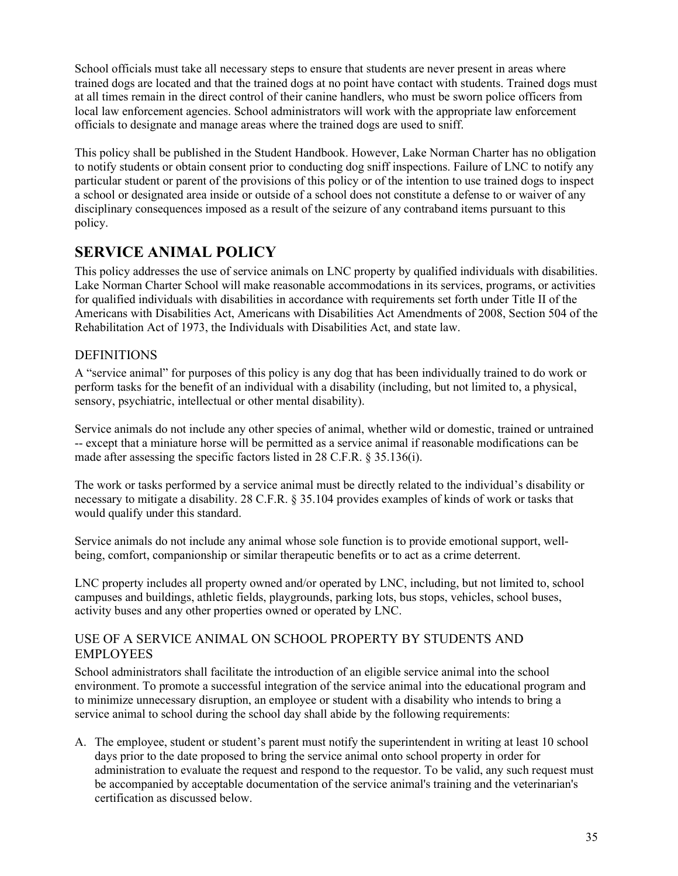School officials must take all necessary steps to ensure that students are never present in areas where trained dogs are located and that the trained dogs at no point have contact with students. Trained dogs must at all times remain in the direct control of their canine handlers, who must be sworn police officers from local law enforcement agencies. School administrators will work with the appropriate law enforcement officials to designate and manage areas where the trained dogs are used to sniff.

This policy shall be published in the Student Handbook. However, Lake Norman Charter has no obligation to notify students or obtain consent prior to conducting dog sniff inspections. Failure of LNC to notify any particular student or parent of the provisions of this policy or of the intention to use trained dogs to inspect a school or designated area inside or outside of a school does not constitute a defense to or waiver of any disciplinary consequences imposed as a result of the seizure of any contraband items pursuant to this policy.

## <span id="page-34-0"></span>**SERVICE ANIMAL POLICY**

This policy addresses the use of service animals on LNC property by qualified individuals with disabilities. Lake Norman Charter School will make reasonable accommodations in its services, programs, or activities for qualified individuals with disabilities in accordance with requirements set forth under Title II of the Americans with Disabilities Act, Americans with Disabilities Act Amendments of 2008, Section 504 of the Rehabilitation Act of 1973, the Individuals with Disabilities Act, and state law.

#### <span id="page-34-1"></span>**DEFINITIONS**

A "service animal" for purposes of this policy is any dog that has been individually trained to do work or perform tasks for the benefit of an individual with a disability (including, but not limited to, a physical, sensory, psychiatric, intellectual or other mental disability).

Service animals do not include any other species of animal, whether wild or domestic, trained or untrained -- except that a miniature horse will be permitted as a service animal if reasonable modifications can be made after assessing the specific factors listed in 28 C.F.R. § 35.136(i).

The work or tasks performed by a service animal must be directly related to the individual's disability or necessary to mitigate a disability. 28 C.F.R. § 35.104 provides examples of kinds of work or tasks that would qualify under this standard.

Service animals do not include any animal whose sole function is to provide emotional support, wellbeing, comfort, companionship or similar therapeutic benefits or to act as a crime deterrent.

LNC property includes all property owned and/or operated by LNC, including, but not limited to, school campuses and buildings, athletic fields, playgrounds, parking lots, bus stops, vehicles, school buses, activity buses and any other properties owned or operated by LNC.

#### <span id="page-34-2"></span>USE OF A SERVICE ANIMAL ON SCHOOL PROPERTY BY STUDENTS AND EMPLOYEES

School administrators shall facilitate the introduction of an eligible service animal into the school environment. To promote a successful integration of the service animal into the educational program and to minimize unnecessary disruption, an employee or student with a disability who intends to bring a service animal to school during the school day shall abide by the following requirements:

A. The employee, student or student's parent must notify the superintendent in writing at least 10 school days prior to the date proposed to bring the service animal onto school property in order for administration to evaluate the request and respond to the requestor. To be valid, any such request must be accompanied by acceptable documentation of the service animal's training and the veterinarian's certification as discussed below.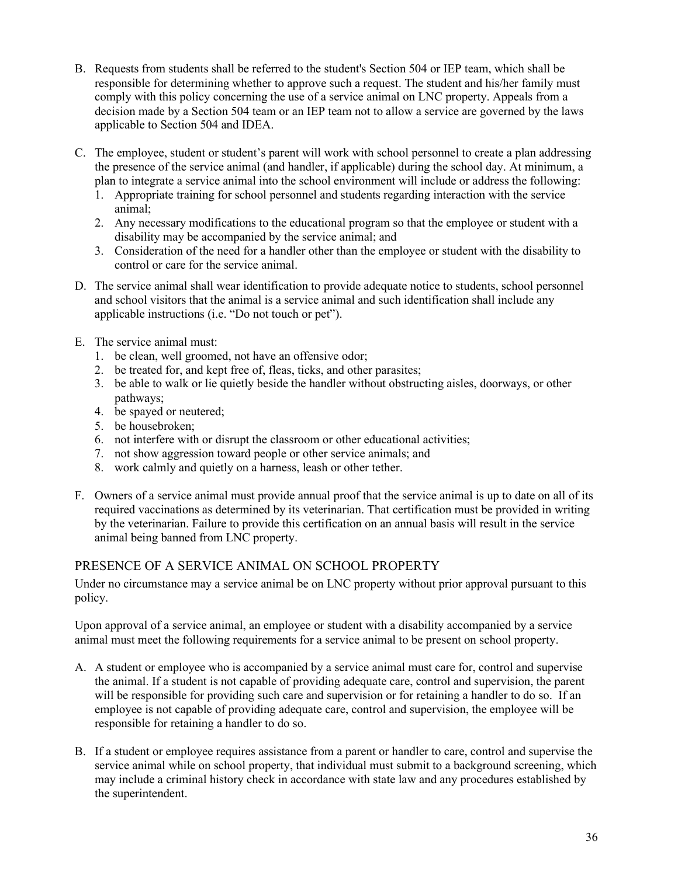- B. Requests from students shall be referred to the student's Section 504 or IEP team, which shall be responsible for determining whether to approve such a request. The student and his/her family must comply with this policy concerning the use of a service animal on LNC property. Appeals from a decision made by a Section 504 team or an IEP team not to allow a service are governed by the laws applicable to Section 504 and IDEA.
- C. The employee, student or student's parent will work with school personnel to create a plan addressing the presence of the service animal (and handler, if applicable) during the school day. At minimum, a plan to integrate a service animal into the school environment will include or address the following:
	- 1. Appropriate training for school personnel and students regarding interaction with the service animal;
	- 2. Any necessary modifications to the educational program so that the employee or student with a disability may be accompanied by the service animal; and
	- 3. Consideration of the need for a handler other than the employee or student with the disability to control or care for the service animal.
- D. The service animal shall wear identification to provide adequate notice to students, school personnel and school visitors that the animal is a service animal and such identification shall include any applicable instructions (i.e. "Do not touch or pet").
- E. The service animal must:
	- 1. be clean, well groomed, not have an offensive odor;
	- 2. be treated for, and kept free of, fleas, ticks, and other parasites;
	- 3. be able to walk or lie quietly beside the handler without obstructing aisles, doorways, or other pathways;
	- 4. be spayed or neutered;
	- 5. be housebroken;
	- 6. not interfere with or disrupt the classroom or other educational activities;
	- 7. not show aggression toward people or other service animals; and
	- 8. work calmly and quietly on a harness, leash or other tether.
- F. Owners of a service animal must provide annual proof that the service animal is up to date on all of its required vaccinations as determined by its veterinarian. That certification must be provided in writing by the veterinarian. Failure to provide this certification on an annual basis will result in the service animal being banned from LNC property.

#### <span id="page-35-0"></span>PRESENCE OF A SERVICE ANIMAL ON SCHOOL PROPERTY

Under no circumstance may a service animal be on LNC property without prior approval pursuant to this policy.

Upon approval of a service animal, an employee or student with a disability accompanied by a service animal must meet the following requirements for a service animal to be present on school property.

- A. A student or employee who is accompanied by a service animal must care for, control and supervise the animal. If a student is not capable of providing adequate care, control and supervision, the parent will be responsible for providing such care and supervision or for retaining a handler to do so. If an employee is not capable of providing adequate care, control and supervision, the employee will be responsible for retaining a handler to do so.
- B. If a student or employee requires assistance from a parent or handler to care, control and supervise the service animal while on school property, that individual must submit to a background screening, which may include a criminal history check in accordance with state law and any procedures established by the superintendent.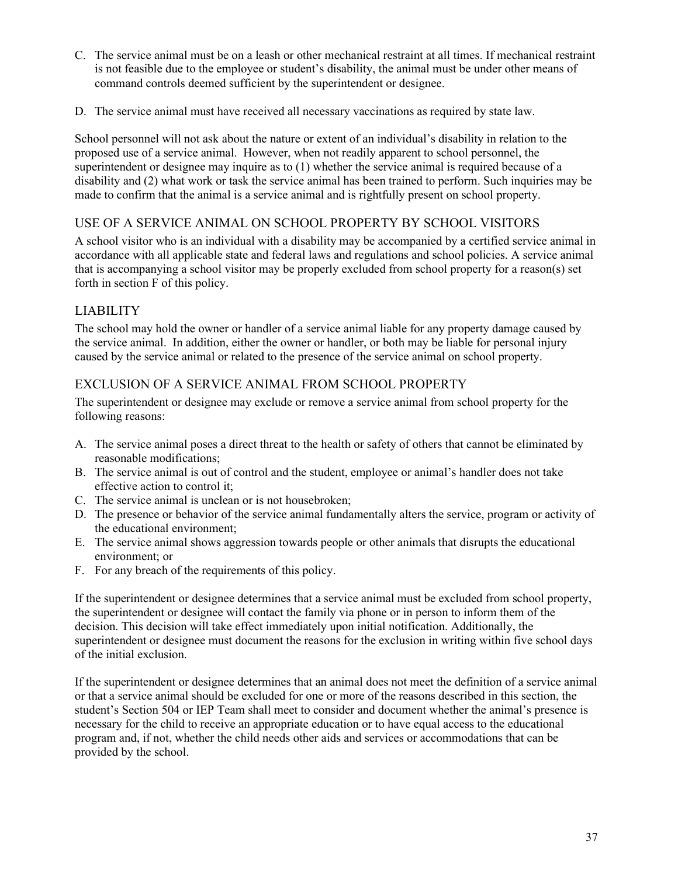- C. The service animal must be on a leash or other mechanical restraint at all times. If mechanical restraint is not feasible due to the employee or student's disability, the animal must be under other means of command controls deemed sufficient by the superintendent or designee.
- D. The service animal must have received all necessary vaccinations as required by state law.

School personnel will not ask about the nature or extent of an individual's disability in relation to the proposed use of a service animal. However, when not readily apparent to school personnel, the superintendent or designee may inquire as to (1) whether the service animal is required because of a disability and (2) what work or task the service animal has been trained to perform. Such inquiries may be made to confirm that the animal is a service animal and is rightfully present on school property.

## USE OF A SERVICE ANIMAL ON SCHOOL PROPERTY BY SCHOOL VISITORS

A school visitor who is an individual with a disability may be accompanied by a certified service animal in accordance with all applicable state and federal laws and regulations and school policies. A service animal that is accompanying a school visitor may be properly excluded from school property for a reason(s) set forth in section F of this policy.

## LIABILITY

The school may hold the owner or handler of a service animal liable for any property damage caused by the service animal. In addition, either the owner or handler, or both may be liable for personal injury caused by the service animal or related to the presence of the service animal on school property.

## EXCLUSION OF A SERVICE ANIMAL FROM SCHOOL PROPERTY

The superintendent or designee may exclude or remove a service animal from school property for the following reasons:

- A. The service animal poses a direct threat to the health or safety of others that cannot be eliminated by reasonable modifications;
- B. The service animal is out of control and the student, employee or animal's handler does not take effective action to control it;
- C. The service animal is unclean or is not housebroken;
- D. The presence or behavior of the service animal fundamentally alters the service, program or activity of the educational environment;
- E. The service animal shows aggression towards people or other animals that disrupts the educational environment; or
- F. For any breach of the requirements of this policy.

If the superintendent or designee determines that a service animal must be excluded from school property, the superintendent or designee will contact the family via phone or in person to inform them of the decision. This decision will take effect immediately upon initial notification. Additionally, the superintendent or designee must document the reasons for the exclusion in writing within five school days of the initial exclusion.

If the superintendent or designee determines that an animal does not meet the definition of a service animal or that a service animal should be excluded for one or more of the reasons described in this section, the student's Section 504 or IEP Team shall meet to consider and document whether the animal's presence is necessary for the child to receive an appropriate education or to have equal access to the educational program and, if not, whether the child needs other aids and services or accommodations that can be provided by the school.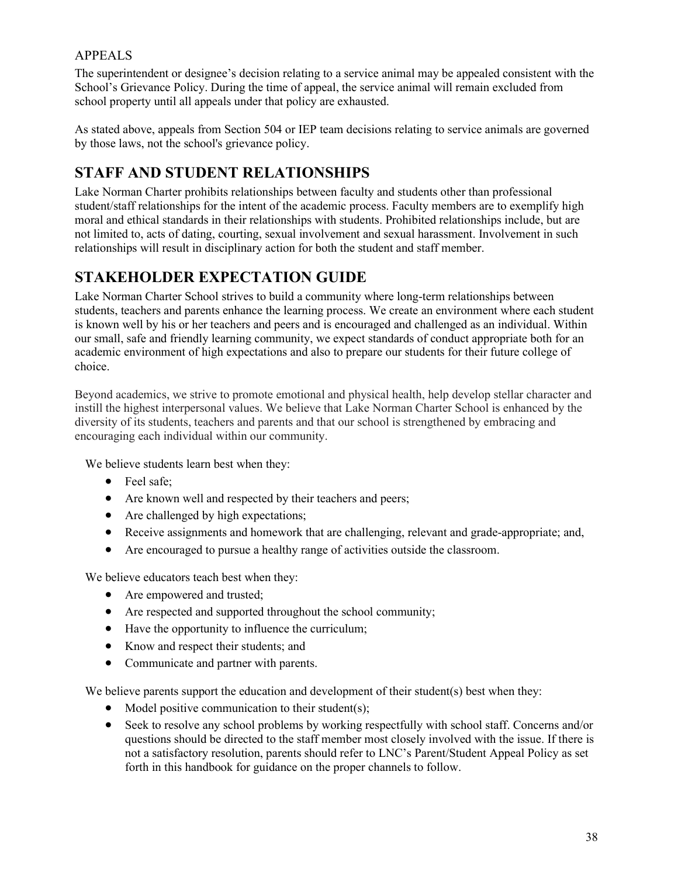## APPEALS

The superintendent or designee's decision relating to a service animal may be appealed consistent with the School's Grievance Policy. During the time of appeal, the service animal will remain excluded from school property until all appeals under that policy are exhausted.

As stated above, appeals from Section 504 or IEP team decisions relating to service animals are governed by those laws, not the school's grievance policy.

## **STAFF AND STUDENT RELATIONSHIPS**

Lake Norman Charter prohibits relationships between faculty and students other than professional student/staff relationships for the intent of the academic process. Faculty members are to exemplify high moral and ethical standards in their relationships with students. Prohibited relationships include, but are not limited to, acts of dating, courting, sexual involvement and sexual harassment. Involvement in such relationships will result in disciplinary action for both the student and staff member.

## **STAKEHOLDER EXPECTATION GUIDE**

Lake Norman Charter School strives to build a community where long-term relationships between students, teachers and parents enhance the learning process. We create an environment where each student is known well by his or her teachers and peers and is encouraged and challenged as an individual. Within our small, safe and friendly learning community, we expect standards of conduct appropriate both for an academic environment of high expectations and also to prepare our students for their future college of choice.

Beyond academics, we strive to promote emotional and physical health, help develop stellar character and instill the highest interpersonal values. We believe that Lake Norman Charter School is enhanced by the diversity of its students, teachers and parents and that our school is strengthened by embracing and encouraging each individual within our community.

We believe students learn best when they:

- Feel safe;
- Are known well and respected by their teachers and peers;
- Are challenged by high expectations;
- Receive assignments and homework that are challenging, relevant and grade-appropriate; and,
- Are encouraged to pursue a healthy range of activities outside the classroom.

We believe educators teach best when they:

- Are empowered and trusted;
- Are respected and supported throughout the school community;
- Have the opportunity to influence the curriculum;
- Know and respect their students; and
- Communicate and partner with parents.

We believe parents support the education and development of their student(s) best when they:

- Model positive communication to their student(s);
- Seek to resolve any school problems by working respectfully with school staff. Concerns and/or questions should be directed to the staff member most closely involved with the issue. If there is not a satisfactory resolution, parents should refer to LNC's Parent/Student Appeal Policy as set forth in this handbook for guidance on the proper channels to follow.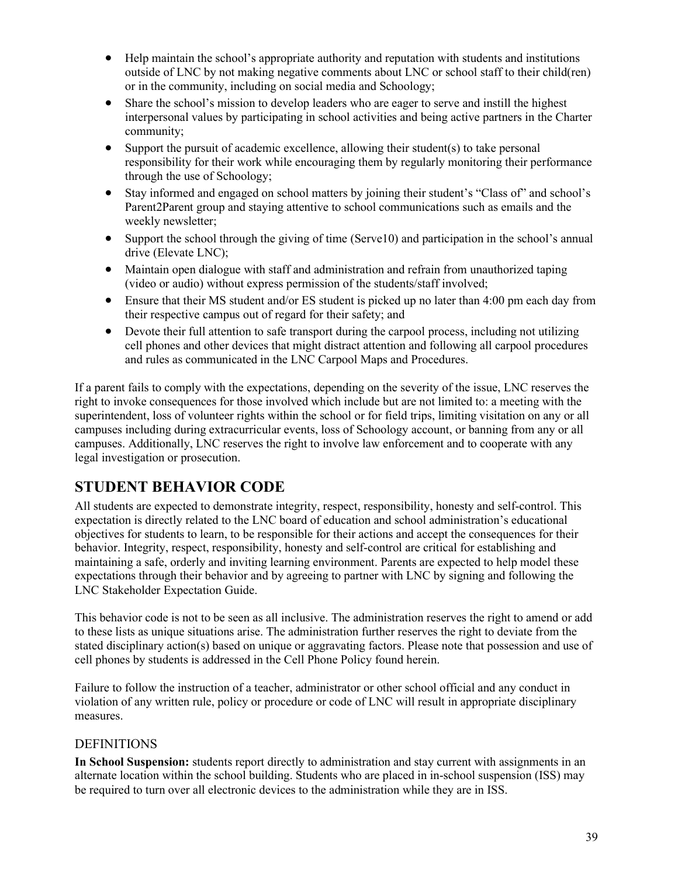- Help maintain the school's appropriate authority and reputation with students and institutions outside of LNC by not making negative comments about LNC or school staff to their child(ren) or in the community, including on social media and Schoology;
- Share the school's mission to develop leaders who are eager to serve and instill the highest interpersonal values by participating in school activities and being active partners in the Charter community;
- Support the pursuit of academic excellence, allowing their student(s) to take personal responsibility for their work while encouraging them by regularly monitoring their performance through the use of Schoology;
- Stay informed and engaged on school matters by joining their student's "Class of" and school's Parent2Parent group and staying attentive to school communications such as emails and the weekly newsletter;
- Support the school through the giving of time (Servel 0) and participation in the school's annual drive (Elevate LNC);
- Maintain open dialogue with staff and administration and refrain from unauthorized taping (video or audio) without express permission of the students/staff involved;
- Ensure that their MS student and/or ES student is picked up no later than 4:00 pm each day from their respective campus out of regard for their safety; and
- Devote their full attention to safe transport during the carpool process, including not utilizing cell phones and other devices that might distract attention and following all carpool procedures and rules as communicated in the LNC Carpool Maps and Procedures.

If a parent fails to comply with the expectations, depending on the severity of the issue, LNC reserves the right to invoke consequences for those involved which include but are not limited to: a meeting with the superintendent, loss of volunteer rights within the school or for field trips, limiting visitation on any or all campuses including during extracurricular events, loss of Schoology account, or banning from any or all campuses. Additionally, LNC reserves the right to involve law enforcement and to cooperate with any legal investigation or prosecution.

## **STUDENT BEHAVIOR CODE**

All students are expected to demonstrate integrity, respect, responsibility, honesty and self-control. This expectation is directly related to the LNC board of education and school administration's educational objectives for students to learn, to be responsible for their actions and accept the consequences for their behavior. Integrity, respect, responsibility, honesty and self-control are critical for establishing and maintaining a safe, orderly and inviting learning environment. Parents are expected to help model these expectations through their behavior and by agreeing to partner with LNC by signing and following the LNC Stakeholder Expectation Guide.

This behavior code is not to be seen as all inclusive. The administration reserves the right to amend or add to these lists as unique situations arise. The administration further reserves the right to deviate from the stated disciplinary action(s) based on unique or aggravating factors. Please note that possession and use of cell phones by students is addressed in the Cell Phone Policy found herein.

Failure to follow the instruction of a teacher, administrator or other school official and any conduct in violation of any written rule, policy or procedure or code of LNC will result in appropriate disciplinary measures.

## **DEFINITIONS**

**In School Suspension:** students report directly to administration and stay current with assignments in an alternate location within the school building. Students who are placed in in-school suspension (ISS) may be required to turn over all electronic devices to the administration while they are in ISS.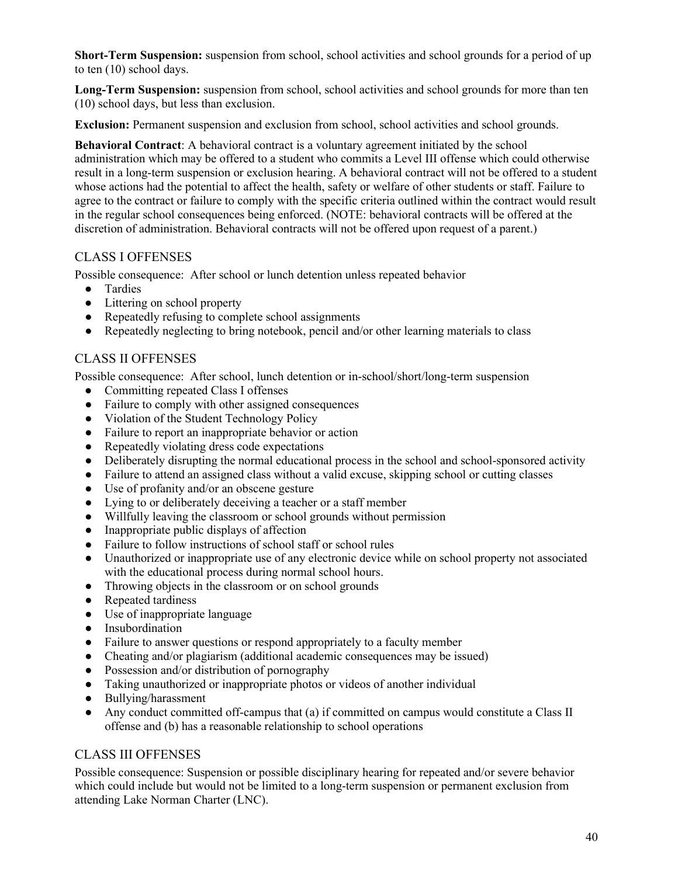**Short-Term Suspension:** suspension from school, school activities and school grounds for a period of up to ten (10) school days.

**Long-Term Suspension:** suspension from school, school activities and school grounds for more than ten (10) school days, but less than exclusion.

**Exclusion:** Permanent suspension and exclusion from school, school activities and school grounds.

**Behavioral Contract**: A behavioral contract is a voluntary agreement initiated by the school administration which may be offered to a student who commits a Level III offense which could otherwise result in a long-term suspension or exclusion hearing. A behavioral contract will not be offered to a student whose actions had the potential to affect the health, safety or welfare of other students or staff. Failure to agree to the contract or failure to comply with the specific criteria outlined within the contract would result in the regular school consequences being enforced. (NOTE: behavioral contracts will be offered at the discretion of administration. Behavioral contracts will not be offered upon request of a parent.)

### CLASS I OFFENSES

Possible consequence: After school or lunch detention unless repeated behavior

- Tardies
- Littering on school property
- Repeatedly refusing to complete school assignments
- Repeatedly neglecting to bring notebook, pencil and/or other learning materials to class

### CLASS II OFFENSES

Possible consequence: After school, lunch detention or in-school/short/long-term suspension

- Committing repeated Class I offenses
- Failure to comply with other assigned consequences
- Violation of the Student Technology Policy
- Failure to report an inappropriate behavior or action
- Repeatedly violating dress code expectations
- Deliberately disrupting the normal educational process in the school and school-sponsored activity
- Failure to attend an assigned class without a valid excuse, skipping school or cutting classes
- Use of profanity and/or an obscene gesture
- Lying to or deliberately deceiving a teacher or a staff member
- Willfully leaving the classroom or school grounds without permission
- Inappropriate public displays of affection
- Failure to follow instructions of school staff or school rules
- Unauthorized or inappropriate use of any electronic device while on school property not associated with the educational process during normal school hours.
- Throwing objects in the classroom or on school grounds
- Repeated tardiness
- Use of inappropriate language
- Insubordination
- Failure to answer questions or respond appropriately to a faculty member
- Cheating and/or plagiarism (additional academic consequences may be issued)
- Possession and/or distribution of pornography
- Taking unauthorized or inappropriate photos or videos of another individual
- Bullying/harassment
- Any conduct committed off-campus that (a) if committed on campus would constitute a Class II offense and (b) has a reasonable relationship to school operations

### CLASS III OFFENSES

Possible consequence: Suspension or possible disciplinary hearing for repeated and/or severe behavior which could include but would not be limited to a long-term suspension or permanent exclusion from attending Lake Norman Charter (LNC).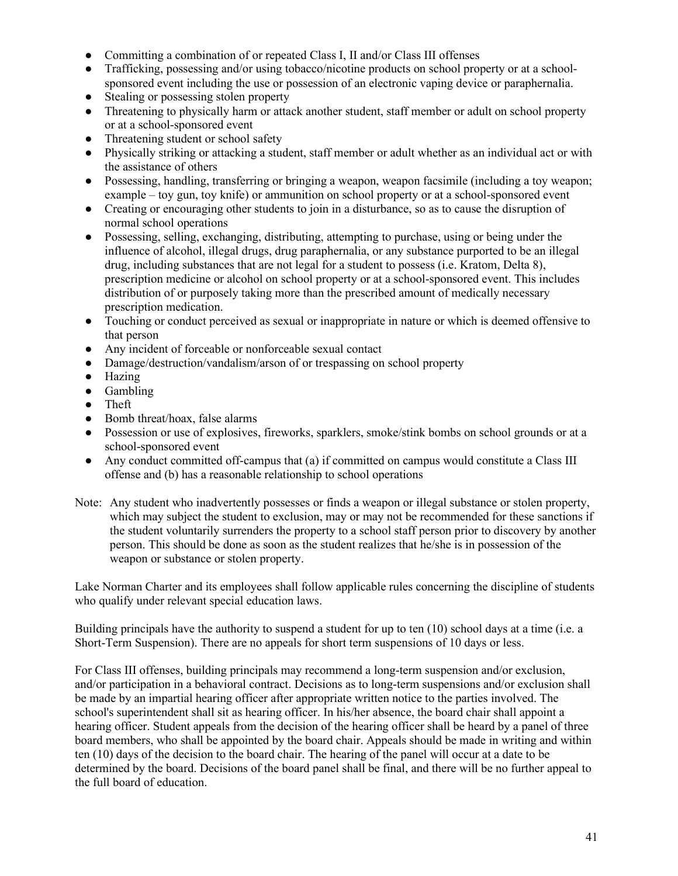- Committing a combination of or repeated Class I, II and/or Class III offenses
- Trafficking, possessing and/or using tobacco/nicotine products on school property or at a schoolsponsored event including the use or possession of an electronic vaping device or paraphernalia.
- Stealing or possessing stolen property
- Threatening to physically harm or attack another student, staff member or adult on school property or at a school-sponsored event
- Threatening student or school safety
- Physically striking or attacking a student, staff member or adult whether as an individual act or with the assistance of others
- Possessing, handling, transferring or bringing a weapon, weapon facsimile (including a toy weapon; example – toy gun, toy knife) or ammunition on school property or at a school-sponsored event
- Creating or encouraging other students to join in a disturbance, so as to cause the disruption of normal school operations
- Possessing, selling, exchanging, distributing, attempting to purchase, using or being under the influence of alcohol, illegal drugs, drug paraphernalia, or any substance purported to be an illegal drug, including substances that are not legal for a student to possess (i.e. Kratom, Delta 8), prescription medicine or alcohol on school property or at a school-sponsored event. This includes distribution of or purposely taking more than the prescribed amount of medically necessary prescription medication.
- Touching or conduct perceived as sexual or inappropriate in nature or which is deemed offensive to that person
- Any incident of forceable or nonforceable sexual contact
- Damage/destruction/vandalism/arson of or trespassing on school property
- Hazing
- Gambling
- Theft
- Bomb threat/hoax, false alarms
- Possession or use of explosives, fireworks, sparklers, smoke/stink bombs on school grounds or at a school-sponsored event
- Any conduct committed off-campus that (a) if committed on campus would constitute a Class III offense and (b) has a reasonable relationship to school operations
- Note: Any student who inadvertently possesses or finds a weapon or illegal substance or stolen property, which may subject the student to exclusion, may or may not be recommended for these sanctions if the student voluntarily surrenders the property to a school staff person prior to discovery by another person. This should be done as soon as the student realizes that he/she is in possession of the weapon or substance or stolen property.

Lake Norman Charter and its employees shall follow applicable rules concerning the discipline of students who qualify under relevant special education laws.

Building principals have the authority to suspend a student for up to ten (10) school days at a time (i.e. a Short-Term Suspension). There are no appeals for short term suspensions of 10 days or less.

For Class III offenses, building principals may recommend a long-term suspension and/or exclusion, and/or participation in a behavioral contract. Decisions as to long-term suspensions and/or exclusion shall be made by an impartial hearing officer after appropriate written notice to the parties involved. The school's superintendent shall sit as hearing officer. In his/her absence, the board chair shall appoint a hearing officer. Student appeals from the decision of the hearing officer shall be heard by a panel of three board members, who shall be appointed by the board chair. Appeals should be made in writing and within ten (10) days of the decision to the board chair. The hearing of the panel will occur at a date to be determined by the board. Decisions of the board panel shall be final, and there will be no further appeal to the full board of education.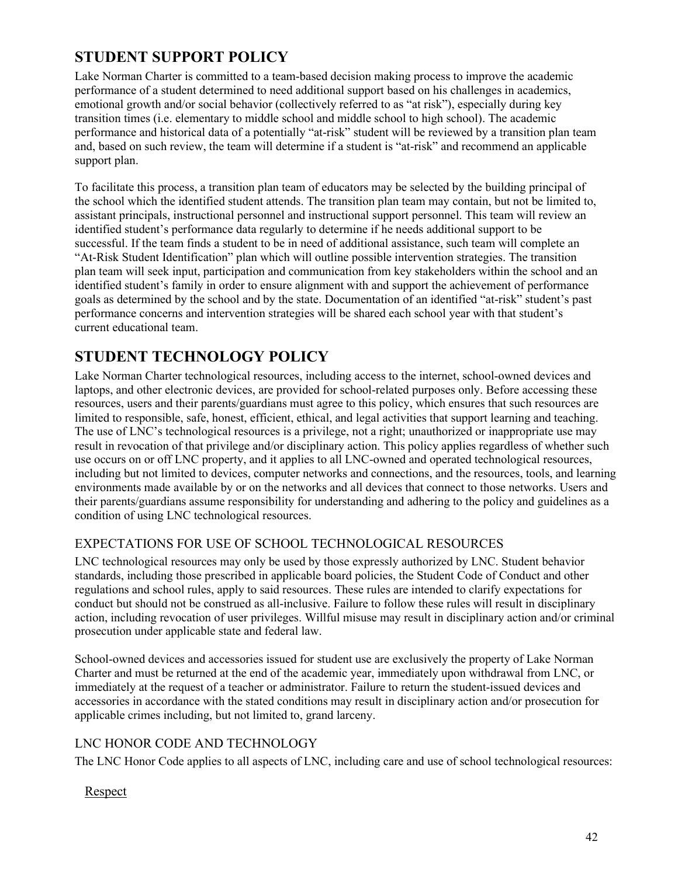# **STUDENT SUPPORT POLICY**

Lake Norman Charter is committed to a team-based decision making process to improve the academic performance of a student determined to need additional support based on his challenges in academics, emotional growth and/or social behavior (collectively referred to as "at risk"), especially during key transition times (i.e. elementary to middle school and middle school to high school). The academic performance and historical data of a potentially "at-risk" student will be reviewed by a transition plan team and, based on such review, the team will determine if a student is "at-risk" and recommend an applicable support plan.

To facilitate this process, a transition plan team of educators may be selected by the building principal of the school which the identified student attends. The transition plan team may contain, but not be limited to, assistant principals, instructional personnel and instructional support personnel. This team will review an identified student's performance data regularly to determine if he needs additional support to be successful. If the team finds a student to be in need of additional assistance, such team will complete an "At-Risk Student Identification" plan which will outline possible intervention strategies. The transition plan team will seek input, participation and communication from key stakeholders within the school and an identified student's family in order to ensure alignment with and support the achievement of performance goals as determined by the school and by the state. Documentation of an identified "at-risk" student's past performance concerns and intervention strategies will be shared each school year with that student's current educational team.

## **STUDENT TECHNOLOGY POLICY**

Lake Norman Charter technological resources, including access to the internet, school-owned devices and laptops, and other electronic devices, are provided for school-related purposes only. Before accessing these resources, users and their parents/guardians must agree to this policy, which ensures that such resources are limited to responsible, safe, honest, efficient, ethical, and legal activities that support learning and teaching. The use of LNC's technological resources is a privilege, not a right; unauthorized or inappropriate use may result in revocation of that privilege and/or disciplinary action. This policy applies regardless of whether such use occurs on or off LNC property, and it applies to all LNC-owned and operated technological resources, including but not limited to devices, computer networks and connections, and the resources, tools, and learning environments made available by or on the networks and all devices that connect to those networks. Users and their parents/guardians assume responsibility for understanding and adhering to the policy and guidelines as a condition of using LNC technological resources.

## EXPECTATIONS FOR USE OF SCHOOL TECHNOLOGICAL RESOURCES

LNC technological resources may only be used by those expressly authorized by LNC. Student behavior standards, including those prescribed in applicable board policies, the Student Code of Conduct and other regulations and school rules, apply to said resources. These rules are intended to clarify expectations for conduct but should not be construed as all-inclusive. Failure to follow these rules will result in disciplinary action, including revocation of user privileges. Willful misuse may result in disciplinary action and/or criminal prosecution under applicable state and federal law.

School-owned devices and accessories issued for student use are exclusively the property of Lake Norman Charter and must be returned at the end of the academic year, immediately upon withdrawal from LNC, or immediately at the request of a teacher or administrator. Failure to return the student-issued devices and accessories in accordance with the stated conditions may result in disciplinary action and/or prosecution for applicable crimes including, but not limited to, grand larceny.

## LNC HONOR CODE AND TECHNOLOGY

The LNC Honor Code applies to all aspects of LNC, including care and use of school technological resources:

## Respect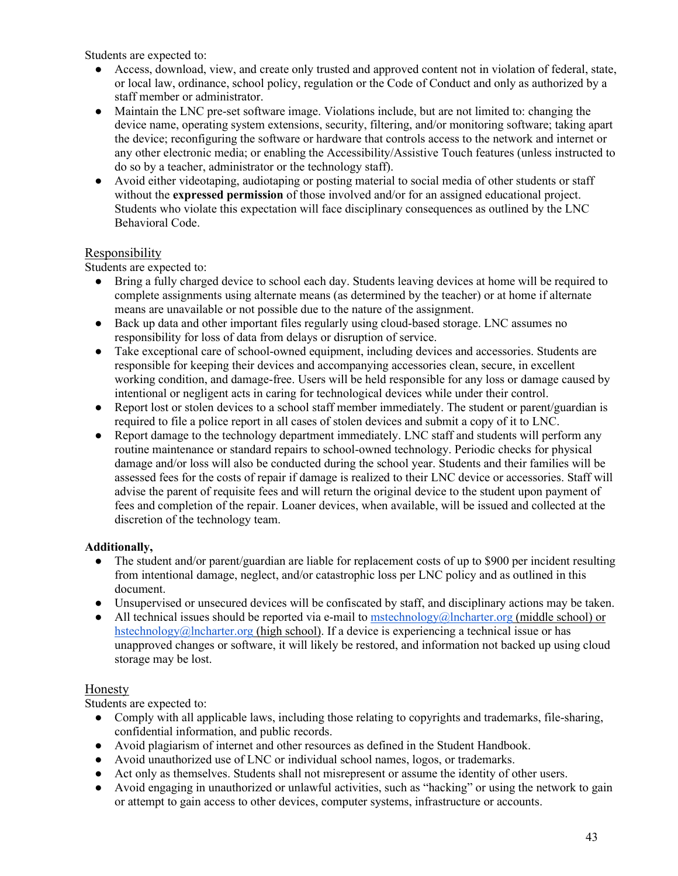Students are expected to:

- Access, download, view, and create only trusted and approved content not in violation of federal, state, or local law, ordinance, school policy, regulation or the Code of Conduct and only as authorized by a staff member or administrator.
- Maintain the LNC pre-set software image. Violations include, but are not limited to: changing the device name, operating system extensions, security, filtering, and/or monitoring software; taking apart the device; reconfiguring the software or hardware that controls access to the network and internet or any other electronic media; or enabling the Accessibility/Assistive Touch features (unless instructed to do so by a teacher, administrator or the technology staff).
- Avoid either videotaping, audiotaping or posting material to social media of other students or staff without the **expressed permission** of those involved and/or for an assigned educational project. Students who violate this expectation will face disciplinary consequences as outlined by the LNC Behavioral Code.

### Responsibility

Students are expected to:

- Bring a fully charged device to school each day. Students leaving devices at home will be required to complete assignments using alternate means (as determined by the teacher) or at home if alternate means are unavailable or not possible due to the nature of the assignment.
- Back up data and other important files regularly using cloud-based storage. LNC assumes no responsibility for loss of data from delays or disruption of service.
- Take exceptional care of school-owned equipment, including devices and accessories. Students are responsible for keeping their devices and accompanying accessories clean, secure, in excellent working condition, and damage-free. Users will be held responsible for any loss or damage caused by intentional or negligent acts in caring for technological devices while under their control.
- Report lost or stolen devices to a school staff member immediately. The student or parent/guardian is required to file a police report in all cases of stolen devices and submit a copy of it to LNC.
- Report damage to the technology department immediately. LNC staff and students will perform any routine maintenance or standard repairs to school-owned technology. Periodic checks for physical damage and/or loss will also be conducted during the school year. Students and their families will be assessed fees for the costs of repair if damage is realized to their LNC device or accessories. Staff will advise the parent of requisite fees and will return the original device to the student upon payment of fees and completion of the repair. Loaner devices, when available, will be issued and collected at the discretion of the technology team.

### **Additionally,**

- The student and/or parent/guardian are liable for replacement costs of up to \$900 per incident resulting from intentional damage, neglect, and/or catastrophic loss per LNC policy and as outlined in this document.
- Unsupervised or unsecured devices will be confiscated by staff, and disciplinary actions may be taken.
- All technical issues should be reported via e-mail t[o mstechnology@lncharter.org](mailto:mstechnology@lncharter.org) (middle school) or [hstechnology@lncharter.org](mailto:hstechnology@lncharter.org) (high school). If a device is experiencing a technical issue or has unapproved changes or software, it will likely be restored, and information not backed up using cloud storage may be lost.

### Honesty

Students are expected to:

- Comply with all applicable laws, including those relating to copyrights and trademarks, file-sharing, confidential information, and public records.
- Avoid plagiarism of internet and other resources as defined in the Student Handbook.
- Avoid unauthorized use of LNC or individual school names, logos, or trademarks.
- Act only as themselves. Students shall not misrepresent or assume the identity of other users.
- Avoid engaging in unauthorized or unlawful activities, such as "hacking" or using the network to gain or attempt to gain access to other devices, computer systems, infrastructure or accounts.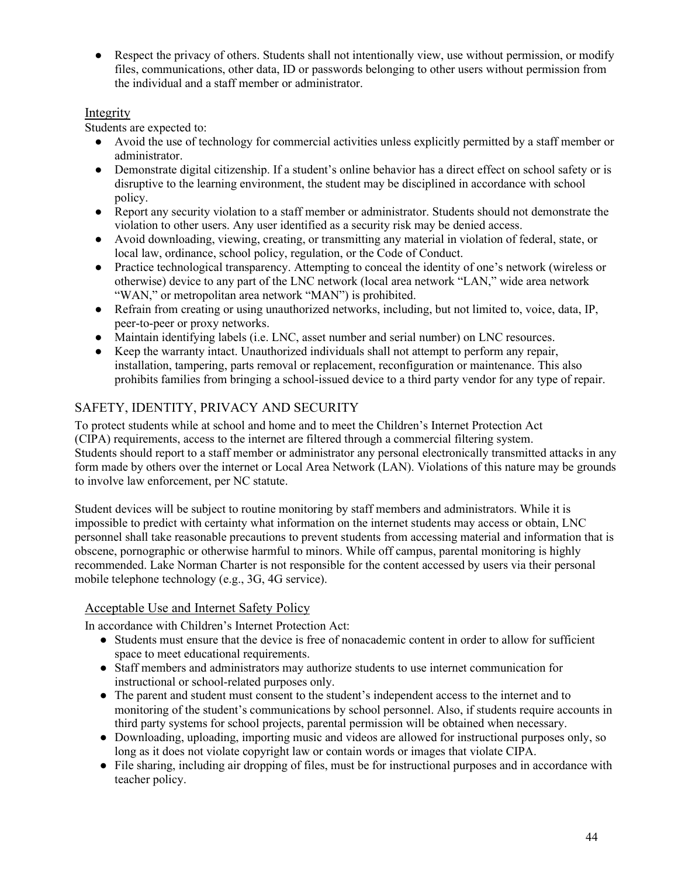• Respect the privacy of others. Students shall not intentionally view, use without permission, or modify files, communications, other data, ID or passwords belonging to other users without permission from the individual and a staff member or administrator.

### Integrity

Students are expected to:

- Avoid the use of technology for commercial activities unless explicitly permitted by a staff member or administrator.
- Demonstrate digital citizenship. If a student's online behavior has a direct effect on school safety or is disruptive to the learning environment, the student may be disciplined in accordance with school policy.
- Report any security violation to a staff member or administrator. Students should not demonstrate the violation to other users. Any user identified as a security risk may be denied access.
- Avoid downloading, viewing, creating, or transmitting any material in violation of federal, state, or local law, ordinance, school policy, regulation, or the Code of Conduct.
- Practice technological transparency. Attempting to conceal the identity of one's network (wireless or otherwise) device to any part of the LNC network (local area network "LAN," wide area network "WAN," or metropolitan area network "MAN") is prohibited.
- Refrain from creating or using unauthorized networks, including, but not limited to, voice, data, IP, peer-to-peer or proxy networks.
- Maintain identifying labels (i.e. LNC, asset number and serial number) on LNC resources.
- Keep the warranty intact. Unauthorized individuals shall not attempt to perform any repair, installation, tampering, parts removal or replacement, reconfiguration or maintenance. This also prohibits families from bringing a school-issued device to a third party vendor for any type of repair.

## SAFETY, IDENTITY, PRIVACY AND SECURITY

To protect students while at school and home and to meet the Children's Internet Protection Act (CIPA) requirements, access to the internet are filtered through a commercial filtering system. Students should report to a staff member or administrator any personal electronically transmitted attacks in any form made by others over the internet or Local Area Network (LAN). Violations of this nature may be grounds to involve law enforcement, per NC statute.

Student devices will be subject to routine monitoring by staff members and administrators. While it is impossible to predict with certainty what information on the internet students may access or obtain, LNC personnel shall take reasonable precautions to prevent students from accessing material and information that is obscene, pornographic or otherwise harmful to minors. While off campus, parental monitoring is highly recommended. Lake Norman Charter is not responsible for the content accessed by users via their personal mobile telephone technology (e.g., 3G, 4G service).

## Acceptable Use and Internet Safety Policy

In accordance with Children's Internet Protection Act:

- Students must ensure that the device is free of nonacademic content in order to allow for sufficient space to meet educational requirements.
- Staff members and administrators may authorize students to use internet communication for instructional or school-related purposes only.
- The parent and student must consent to the student's independent access to the internet and to monitoring of the student's communications by school personnel. Also, if students require accounts in third party systems for school projects, parental permission will be obtained when necessary.
- Downloading, uploading, importing music and videos are allowed for instructional purposes only, so long as it does not violate copyright law or contain words or images that violate CIPA.
- File sharing, including air dropping of files, must be for instructional purposes and in accordance with teacher policy.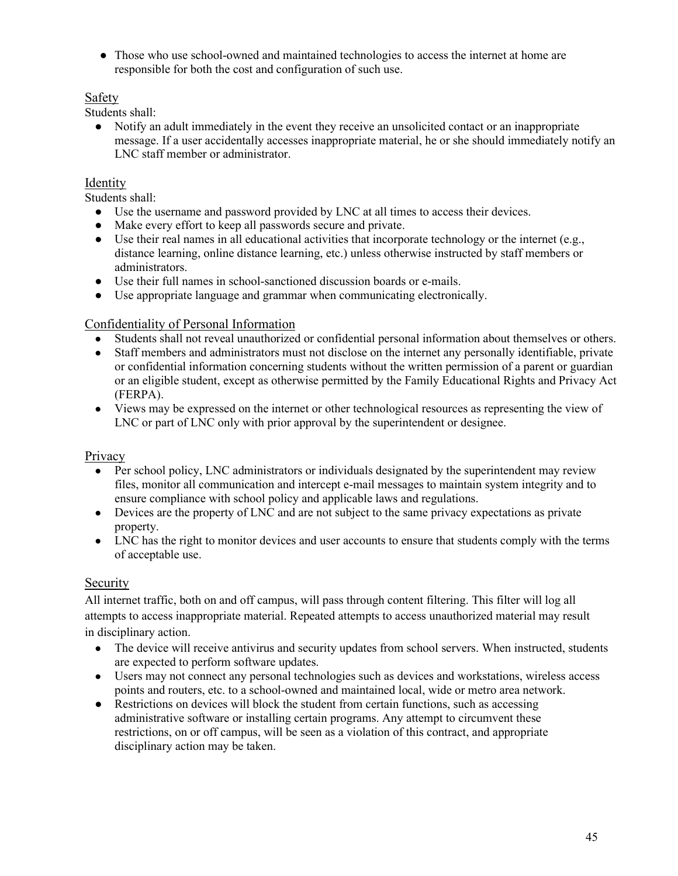● Those who use school-owned and maintained technologies to access the internet at home are responsible for both the cost and configuration of such use.

### Safety

Students shall:

● Notify an adult immediately in the event they receive an unsolicited contact or an inappropriate message. If a user accidentally accesses inappropriate material, he or she should immediately notify an LNC staff member or administrator.

### Identity

Students shall:

- Use the username and password provided by LNC at all times to access their devices.
- Make every effort to keep all passwords secure and private.
- Use their real names in all educational activities that incorporate technology or the internet (e.g., distance learning, online distance learning, etc.) unless otherwise instructed by staff members or administrators.
- Use their full names in school-sanctioned discussion boards or e-mails.
- Use appropriate language and grammar when communicating electronically.

## Confidentiality of Personal Information

- Students shall not reveal unauthorized or confidential personal information about themselves or others.
- Staff members and administrators must not disclose on the internet any personally identifiable, private or confidential information concerning students without the written permission of a parent or guardian or an eligible student, except as otherwise permitted by the Family Educational Rights and Privacy Act (FERPA).
- Views may be expressed on the internet or other technological resources as representing the view of LNC or part of LNC only with prior approval by the superintendent or designee.

## Privacy

- Per school policy, LNC administrators or individuals designated by the superintendent may review files, monitor all communication and intercept e-mail messages to maintain system integrity and to ensure compliance with school policy and applicable laws and regulations.
- Devices are the property of LNC and are not subject to the same privacy expectations as private property.
- LNC has the right to monitor devices and user accounts to ensure that students comply with the terms of acceptable use.

## **Security**

All internet traffic, both on and off campus, will pass through content filtering. This filter will log all attempts to access inappropriate material. Repeated attempts to access unauthorized material may result in disciplinary action.

- The device will receive antivirus and security updates from school servers. When instructed, students are expected to perform software updates.
- Users may not connect any personal technologies such as devices and workstations, wireless access points and routers, etc. to a school-owned and maintained local, wide or metro area network.
- Restrictions on devices will block the student from certain functions, such as accessing administrative software or installing certain programs. Any attempt to circumvent these restrictions, on or off campus, will be seen as a violation of this contract, and appropriate disciplinary action may be taken.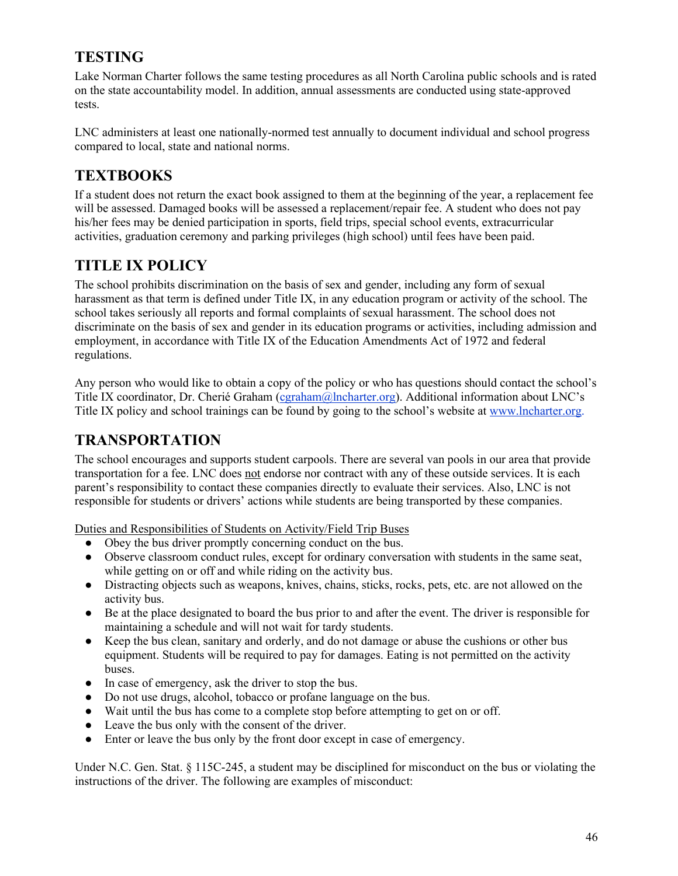# **TESTING**

Lake Norman Charter follows the same testing procedures as all North Carolina public schools and is rated on the state accountability model. In addition, annual assessments are conducted using state-approved tests.

LNC administers at least one nationally-normed test annually to document individual and school progress compared to local, state and national norms.

# **TEXTBOOKS**

If a student does not return the exact book assigned to them at the beginning of the year, a replacement fee will be assessed. Damaged books will be assessed a replacement/repair fee. A student who does not pay his/her fees may be denied participation in sports, field trips, special school events, extracurricular activities, graduation ceremony and parking privileges (high school) until fees have been paid.

## **TITLE IX POLICY**

The school prohibits discrimination on the basis of sex and gender, including any form of sexual harassment as that term is defined under Title IX, in any education program or activity of the school. The school takes seriously all reports and formal complaints of sexual harassment. The school does not discriminate on the basis of sex and gender in its education programs or activities, including admission and employment, in accordance with Title IX of the Education Amendments Act of 1972 and federal regulations.

Any person who would like to obtain a copy of the policy or who has questions should contact the school's Title IX coordinator, Dr. Cherié Graham (cgraham @lncharter.org). Additional information about LNC's Title IX policy and school trainings can be found by going to the school's website at [www.lncharter.org.](http://www.lncharter.org/)

## **TRANSPORTATION**

The school encourages and supports student carpools. There are several van pools in our area that provide transportation for a fee. LNC does not endorse nor contract with any of these outside services. It is each parent's responsibility to contact these companies directly to evaluate their services. Also, LNC is not responsible for students or drivers' actions while students are being transported by these companies.

Duties and Responsibilities of Students on Activity/Field Trip Buses

- Obey the bus driver promptly concerning conduct on the bus.
- Observe classroom conduct rules, except for ordinary conversation with students in the same seat, while getting on or off and while riding on the activity bus.
- Distracting objects such as weapons, knives, chains, sticks, rocks, pets, etc. are not allowed on the activity bus.
- Be at the place designated to board the bus prior to and after the event. The driver is responsible for maintaining a schedule and will not wait for tardy students.
- Keep the bus clean, sanitary and orderly, and do not damage or abuse the cushions or other bus equipment. Students will be required to pay for damages. Eating is not permitted on the activity buses.
- In case of emergency, ask the driver to stop the bus.
- Do not use drugs, alcohol, tobacco or profane language on the bus.
- Wait until the bus has come to a complete stop before attempting to get on or off.
- Leave the bus only with the consent of the driver.
- Enter or leave the bus only by the front door except in case of emergency.

Under N.C. Gen. Stat. § 115C-245, a student may be disciplined for misconduct on the bus or violating the instructions of the driver. The following are examples of misconduct: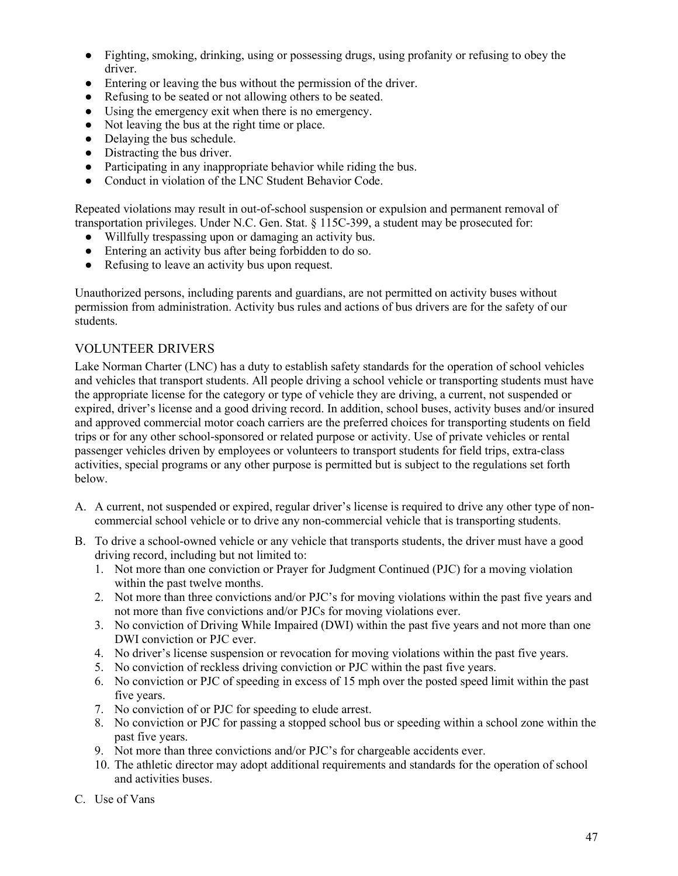- Fighting, smoking, drinking, using or possessing drugs, using profanity or refusing to obey the driver.
- Entering or leaving the bus without the permission of the driver.
- Refusing to be seated or not allowing others to be seated.
- Using the emergency exit when there is no emergency.
- Not leaving the bus at the right time or place.
- Delaying the bus schedule.
- Distracting the bus driver.
- Participating in any inappropriate behavior while riding the bus.
- Conduct in violation of the LNC Student Behavior Code.

Repeated violations may result in out-of-school suspension or expulsion and permanent removal of transportation privileges. Under N.C. Gen. Stat. § 115C-399, a student may be prosecuted for:

- Willfully trespassing upon or damaging an activity bus.
- Entering an activity bus after being forbidden to do so.
- Refusing to leave an activity bus upon request.

Unauthorized persons, including parents and guardians, are not permitted on activity buses without permission from administration. Activity bus rules and actions of bus drivers are for the safety of our students.

### VOLUNTEER DRIVERS

Lake Norman Charter (LNC) has a duty to establish safety standards for the operation of school vehicles and vehicles that transport students. All people driving a school vehicle or transporting students must have the appropriate license for the category or type of vehicle they are driving, a current, not suspended or expired, driver's license and a good driving record. In addition, school buses, activity buses and/or insured and approved commercial motor coach carriers are the preferred choices for transporting students on field trips or for any other school-sponsored or related purpose or activity. Use of private vehicles or rental passenger vehicles driven by employees or volunteers to transport students for field trips, extra-class activities, special programs or any other purpose is permitted but is subject to the regulations set forth below.

- A. A current, not suspended or expired, regular driver's license is required to drive any other type of noncommercial school vehicle or to drive any non-commercial vehicle that is transporting students.
- B. To drive a school-owned vehicle or any vehicle that transports students, the driver must have a good driving record, including but not limited to:
	- 1. Not more than one conviction or Prayer for Judgment Continued (PJC) for a moving violation within the past twelve months.
	- 2. Not more than three convictions and/or PJC's for moving violations within the past five years and not more than five convictions and/or PJCs for moving violations ever.
	- 3. No conviction of Driving While Impaired (DWI) within the past five years and not more than one DWI conviction or PJC ever.
	- 4. No driver's license suspension or revocation for moving violations within the past five years.
	- 5. No conviction of reckless driving conviction or PJC within the past five years.
	- 6. No conviction or PJC of speeding in excess of 15 mph over the posted speed limit within the past five years.
	- 7. No conviction of or PJC for speeding to elude arrest.
	- 8. No conviction or PJC for passing a stopped school bus or speeding within a school zone within the past five years.
	- 9. Not more than three convictions and/or PJC's for chargeable accidents ever.
	- 10. The athletic director may adopt additional requirements and standards for the operation of school and activities buses.
- C. Use of Vans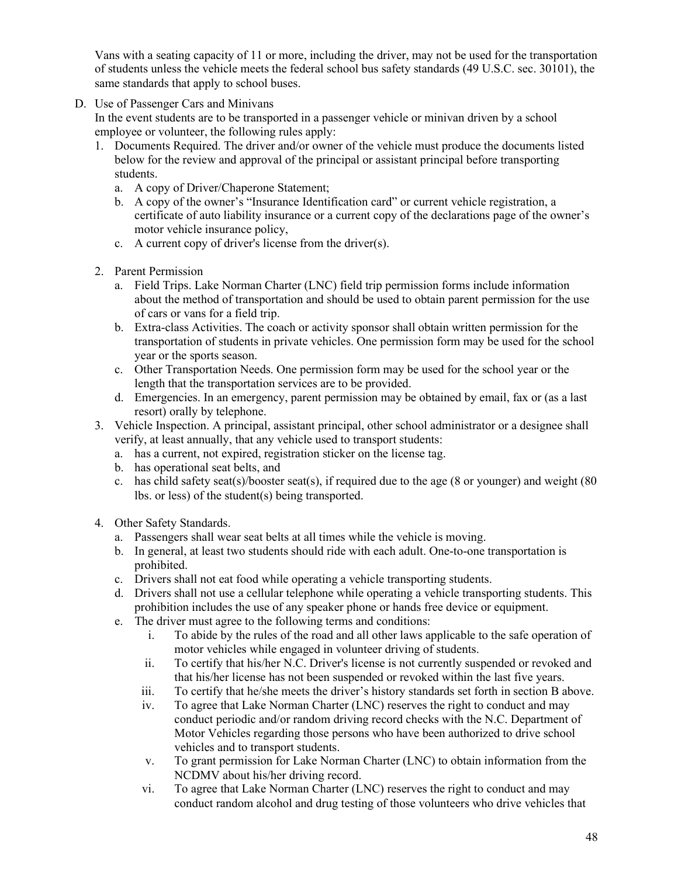Vans with a seating capacity of 11 or more, including the driver, may not be used for the transportation of students unless the vehicle meets the federal school bus safety standards (49 U.S.C. sec. 30101), the same standards that apply to school buses.

D. Use of Passenger Cars and Minivans

In the event students are to be transported in a passenger vehicle or minivan driven by a school employee or volunteer, the following rules apply:

- 1. Documents Required. The driver and/or owner of the vehicle must produce the documents listed below for the review and approval of the principal or assistant principal before transporting students.
	- a. A copy of Driver/Chaperone Statement;
	- b. A copy of the owner's "Insurance Identification card" or current vehicle registration, a certificate of auto liability insurance or a current copy of the declarations page of the owner's motor vehicle insurance policy,
	- c. A current copy of driver's license from the driver(s).
- 2. Parent Permission
	- a. Field Trips. Lake Norman Charter (LNC) field trip permission forms include information about the method of transportation and should be used to obtain parent permission for the use of cars or vans for a field trip.
	- b. Extra-class Activities. The coach or activity sponsor shall obtain written permission for the transportation of students in private vehicles. One permission form may be used for the school year or the sports season.
	- c. Other Transportation Needs. One permission form may be used for the school year or the length that the transportation services are to be provided.
	- d. Emergencies. In an emergency, parent permission may be obtained by email, fax or (as a last resort) orally by telephone.
- 3. Vehicle Inspection. A principal, assistant principal, other school administrator or a designee shall verify, at least annually, that any vehicle used to transport students:
	- a. has a current, not expired, registration sticker on the license tag.
	- b. has operational seat belts, and
	- c. has child safety seat(s)/booster seat(s), if required due to the age (8 or younger) and weight (80 lbs. or less) of the student(s) being transported.
- 4. Other Safety Standards.
	- a. Passengers shall wear seat belts at all times while the vehicle is moving.
	- b. In general, at least two students should ride with each adult. One-to-one transportation is prohibited.
	- c. Drivers shall not eat food while operating a vehicle transporting students.
	- d. Drivers shall not use a cellular telephone while operating a vehicle transporting students. This prohibition includes the use of any speaker phone or hands free device or equipment.
	- e. The driver must agree to the following terms and conditions:
		- i. To abide by the rules of the road and all other laws applicable to the safe operation of motor vehicles while engaged in volunteer driving of students.
		- ii. To certify that his/her N.C. Driver's license is not currently suspended or revoked and that his/her license has not been suspended or revoked within the last five years.
		- iii. To certify that he/she meets the driver's history standards set forth in section B above.
		- iv. To agree that Lake Norman Charter (LNC) reserves the right to conduct and may conduct periodic and/or random driving record checks with the N.C. Department of Motor Vehicles regarding those persons who have been authorized to drive school vehicles and to transport students.
		- v. To grant permission for Lake Norman Charter (LNC) to obtain information from the NCDMV about his/her driving record.
		- vi. To agree that Lake Norman Charter (LNC) reserves the right to conduct and may conduct random alcohol and drug testing of those volunteers who drive vehicles that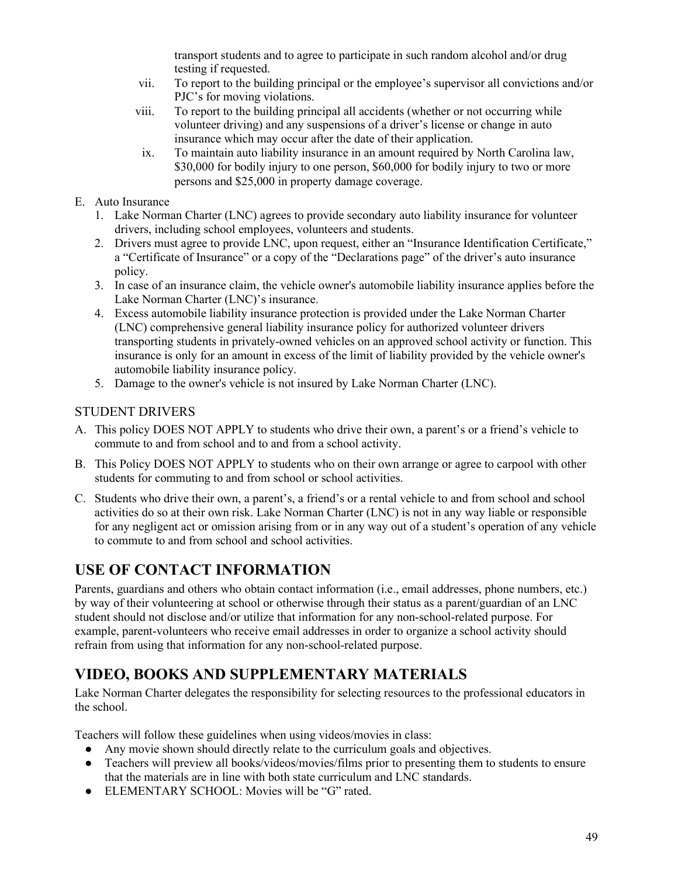transport students and to agree to participate in such random alcohol and/or drug testing if requested.

- vii. To report to the building principal or the employee's supervisor all convictions and/or PJC's for moving violations.
- viii. To report to the building principal all accidents (whether or not occurring while volunteer driving) and any suspensions of a driver's license or change in auto insurance which may occur after the date of their application.
- ix. To maintain auto liability insurance in an amount required by North Carolina law, \$30,000 for bodily injury to one person, \$60,000 for bodily injury to two or more persons and \$25,000 in property damage coverage.

### E. Auto Insurance

- 1. Lake Norman Charter (LNC) agrees to provide secondary auto liability insurance for volunteer drivers, including school employees, volunteers and students.
- 2. Drivers must agree to provide LNC, upon request, either an "Insurance Identification Certificate," a "Certificate of Insurance" or a copy of the "Declarations page" of the driver's auto insurance policy.
- 3. In case of an insurance claim, the vehicle owner's automobile liability insurance applies before the Lake Norman Charter (LNC)'s insurance.
- 4. Excess automobile liability insurance protection is provided under the Lake Norman Charter (LNC) comprehensive general liability insurance policy for authorized volunteer drivers transporting students in privately-owned vehicles on an approved school activity or function. This insurance is only for an amount in excess of the limit of liability provided by the vehicle owner's automobile liability insurance policy.
- 5. Damage to the owner's vehicle is not insured by Lake Norman Charter (LNC).

## STUDENT DRIVERS

- A. This policy DOES NOT APPLY to students who drive their own, a parent's or a friend's vehicle to commute to and from school and to and from a school activity.
- B. This Policy DOES NOT APPLY to students who on their own arrange or agree to carpool with other students for commuting to and from school or school activities.
- C. Students who drive their own, a parent's, a friend's or a rental vehicle to and from school and school activities do so at their own risk. Lake Norman Charter (LNC) is not in any way liable or responsible for any negligent act or omission arising from or in any way out of a student's operation of any vehicle to commute to and from school and school activities.

# **USE OF CONTACT INFORMATION**

Parents, guardians and others who obtain contact information (i.e., email addresses, phone numbers, etc.) by way of their volunteering at school or otherwise through their status as a parent/guardian of an LNC student should not disclose and/or utilize that information for any non-school-related purpose. For example, parent-volunteers who receive email addresses in order to organize a school activity should refrain from using that information for any non-school-related purpose.

# **VIDEO, BOOKS AND SUPPLEMENTARY MATERIALS**

Lake Norman Charter delegates the responsibility for selecting resources to the professional educators in the school.

Teachers will follow these guidelines when using videos/movies in class:

- Any movie shown should directly relate to the curriculum goals and objectives.
- Teachers will preview all books/videos/movies/films prior to presenting them to students to ensure that the materials are in line with both state curriculum and LNC standards.
- ELEMENTARY SCHOOL: Movies will be "G" rated.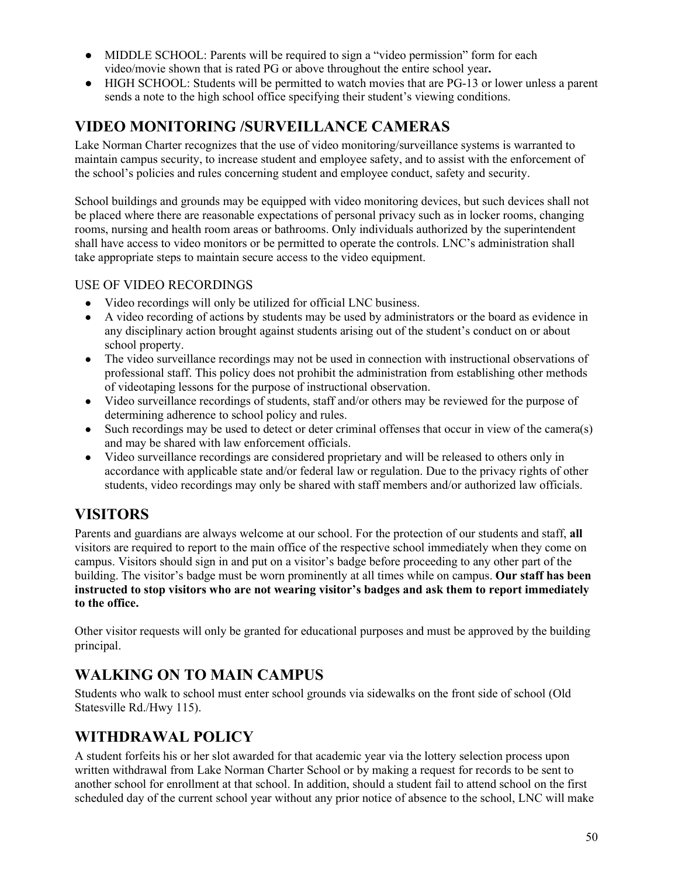- MIDDLE SCHOOL: Parents will be required to sign a "video permission" form for each video/movie shown that is rated PG or above throughout the entire school year**.**
- HIGH SCHOOL: Students will be permitted to watch movies that are PG-13 or lower unless a parent sends a note to the high school office specifying their student's viewing conditions.

# **VIDEO MONITORING /SURVEILLANCE CAMERAS**

Lake Norman Charter recognizes that the use of video monitoring/surveillance systems is warranted to maintain campus security, to increase student and employee safety, and to assist with the enforcement of the school's policies and rules concerning student and employee conduct, safety and security.

School buildings and grounds may be equipped with video monitoring devices, but such devices shall not be placed where there are reasonable expectations of personal privacy such as in locker rooms, changing rooms, nursing and health room areas or bathrooms. Only individuals authorized by the superintendent shall have access to video monitors or be permitted to operate the controls. LNC's administration shall take appropriate steps to maintain secure access to the video equipment.

## USE OF VIDEO RECORDINGS

- Video recordings will only be utilized for official LNC business.
- A video recording of actions by students may be used by administrators or the board as evidence in any disciplinary action brought against students arising out of the student's conduct on or about school property.
- The video surveillance recordings may not be used in connection with instructional observations of professional staff. This policy does not prohibit the administration from establishing other methods of videotaping lessons for the purpose of instructional observation.
- Video surveillance recordings of students, staff and/or others may be reviewed for the purpose of determining adherence to school policy and rules.
- Such recordings may be used to detect or deter criminal offenses that occur in view of the camera(s) and may be shared with law enforcement officials.
- Video surveillance recordings are considered proprietary and will be released to others only in accordance with applicable state and/or federal law or regulation. Due to the privacy rights of other students, video recordings may only be shared with staff members and/or authorized law officials.

# **VISITORS**

Parents and guardians are always welcome at our school. For the protection of our students and staff, **all**  visitors are required to report to the main office of the respective school immediately when they come on campus. Visitors should sign in and put on a visitor's badge before proceeding to any other part of the building. The visitor's badge must be worn prominently at all times while on campus. **Our staff has been instructed to stop visitors who are not wearing visitor's badges and ask them to report immediately to the office.**

Other visitor requests will only be granted for educational purposes and must be approved by the building principal.

# **WALKING ON TO MAIN CAMPUS**

Students who walk to school must enter school grounds via sidewalks on the front side of school (Old Statesville Rd./Hwy 115).

# **WITHDRAWAL POLICY**

A student forfeits his or her slot awarded for that academic year via the lottery selection process upon written withdrawal from Lake Norman Charter School or by making a request for records to be sent to another school for enrollment at that school. In addition, should a student fail to attend school on the first scheduled day of the current school year without any prior notice of absence to the school, LNC will make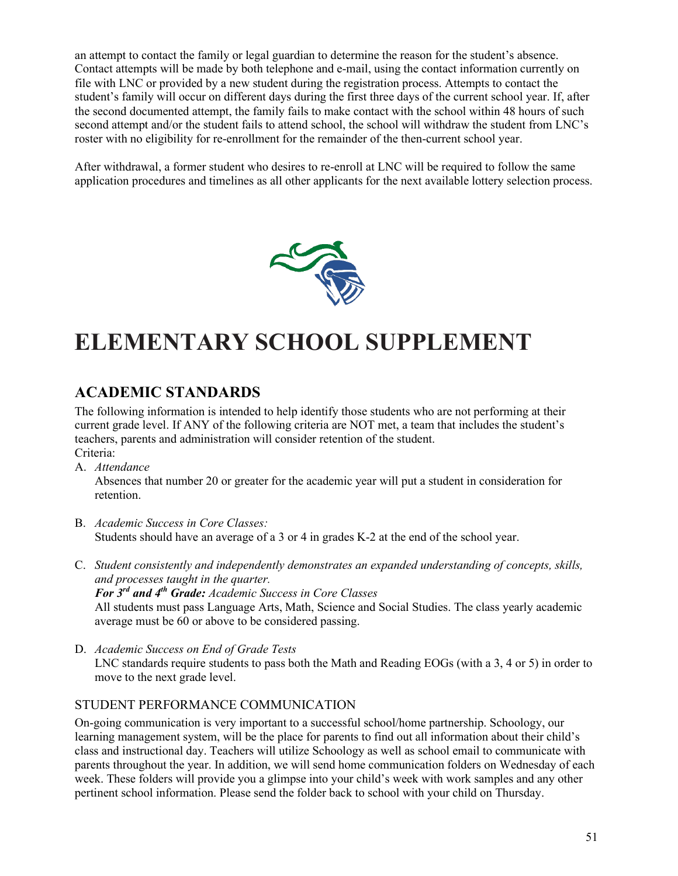an attempt to contact the family or legal guardian to determine the reason for the student's absence. Contact attempts will be made by both telephone and e-mail, using the contact information currently on file with LNC or provided by a new student during the registration process. Attempts to contact the student's family will occur on different days during the first three days of the current school year. If, after the second documented attempt, the family fails to make contact with the school within 48 hours of such second attempt and/or the student fails to attend school, the school will withdraw the student from LNC's roster with no eligibility for re-enrollment for the remainder of the then-current school year.

After withdrawal, a former student who desires to re-enroll at LNC will be required to follow the same application procedures and timelines as all other applicants for the next available lottery selection process.



# **ELEMENTARY SCHOOL SUPPLEMENT**

## **ACADEMIC STANDARDS**

The following information is intended to help identify those students who are not performing at their current grade level. If ANY of the following criteria are NOT met, a team that includes the student's teachers, parents and administration will consider retention of the student. Criteria:

A. *Attendance*

Absences that number 20 or greater for the academic year will put a student in consideration for retention.

- B. *Academic Success in Core Classes:* Students should have an average of a 3 or 4 in grades K-2 at the end of the school year.
- C. *Student consistently and independently demonstrates an expanded understanding of concepts, skills, and processes taught in the quarter.*

*For 3rd and 4th Grade: Academic Success in Core Classes* All students must pass Language Arts, Math, Science and Social Studies. The class yearly academic average must be 60 or above to be considered passing.

D. *Academic Success on End of Grade Tests* LNC standards require students to pass both the Math and Reading EOGs (with a 3, 4 or 5) in order to move to the next grade level.

## STUDENT PERFORMANCE COMMUNICATION

On-going communication is very important to a successful school/home partnership. Schoology, our learning management system, will be the place for parents to find out all information about their child's class and instructional day. Teachers will utilize Schoology as well as school email to communicate with parents throughout the year. In addition, we will send home communication folders on Wednesday of each week. These folders will provide you a glimpse into your child's week with work samples and any other pertinent school information. Please send the folder back to school with your child on Thursday.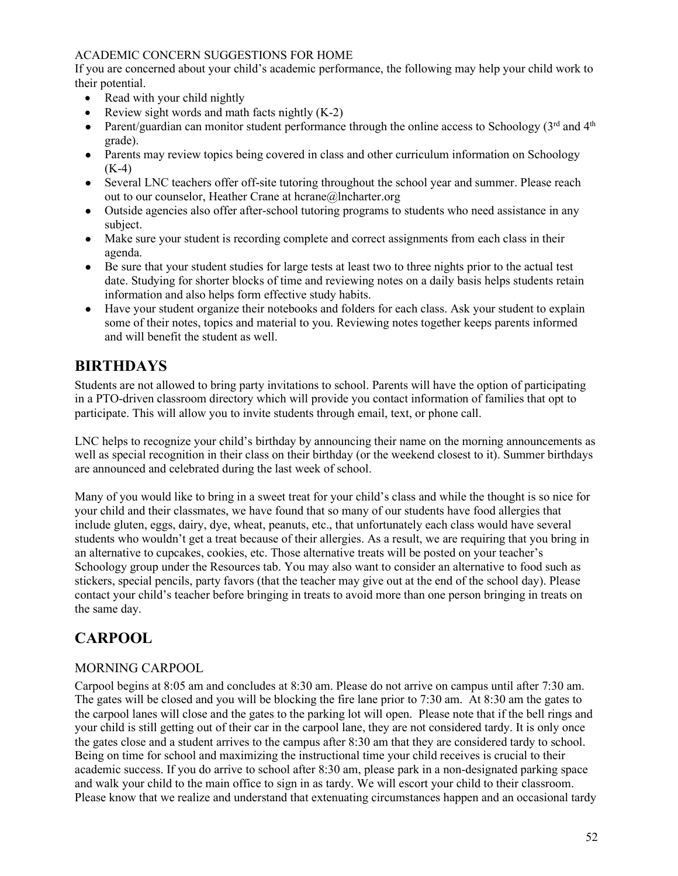### ACADEMIC CONCERN SUGGESTIONS FOR HOME

If you are concerned about your child's academic performance, the following may help your child work to their potential.

- Read with your child nightly
- Review sight words and math facts nightly  $(K-2)$
- Parent/guardian can monitor student performance through the online access to Schoology ( $3<sup>rd</sup>$  and  $4<sup>th</sup>$ ) grade).
- Parents may review topics being covered in class and other curriculum information on Schoology (K-4)
- Several LNC teachers offer off-site tutoring throughout the school year and summer. Please reach out to our counselor, Heather Crane at hcrane@lncharter.org
- Outside agencies also offer after-school tutoring programs to students who need assistance in any subject.
- Make sure your student is recording complete and correct assignments from each class in their agenda.
- Be sure that your student studies for large tests at least two to three nights prior to the actual test date. Studying for shorter blocks of time and reviewing notes on a daily basis helps students retain information and also helps form effective study habits.
- Have your student organize their notebooks and folders for each class. Ask your student to explain some of their notes, topics and material to you. Reviewing notes together keeps parents informed and will benefit the student as well.

## **BIRTHDAYS**

Students are not allowed to bring party invitations to school. Parents will have the option of participating in a PTO-driven classroom directory which will provide you contact information of families that opt to participate. This will allow you to invite students through email, text, or phone call.

LNC helps to recognize your child's birthday by announcing their name on the morning announcements as well as special recognition in their class on their birthday (or the weekend closest to it). Summer birthdays are announced and celebrated during the last week of school.

Many of you would like to bring in a sweet treat for your child's class and while the thought is so nice for your child and their classmates, we have found that so many of our students have food allergies that include gluten, eggs, dairy, dye, wheat, peanuts, etc., that unfortunately each class would have several students who wouldn't get a treat because of their allergies. As a result, we are requiring that you bring in an alternative to cupcakes, cookies, etc. Those alternative treats will be posted on your teacher's Schoology group under the Resources tab. You may also want to consider an alternative to food such as stickers, special pencils, party favors (that the teacher may give out at the end of the school day). Please contact your child's teacher before bringing in treats to avoid more than one person bringing in treats on the same day.

# **CARPOOL**

## MORNING CARPOOL

Carpool begins at 8:05 am and concludes at 8:30 am. Please do not arrive on campus until after 7:30 am. The gates will be closed and you will be blocking the fire lane prior to 7:30 am. At 8:30 am the gates to the carpool lanes will close and the gates to the parking lot will open. Please note that if the bell rings and your child is still getting out of their car in the carpool lane, they are not considered tardy. It is only once the gates close and a student arrives to the campus after 8:30 am that they are considered tardy to school. Being on time for school and maximizing the instructional time your child receives is crucial to their academic success. If you do arrive to school after 8:30 am, please park in a non-designated parking space and walk your child to the main office to sign in as tardy. We will escort your child to their classroom. Please know that we realize and understand that extenuating circumstances happen and an occasional tardy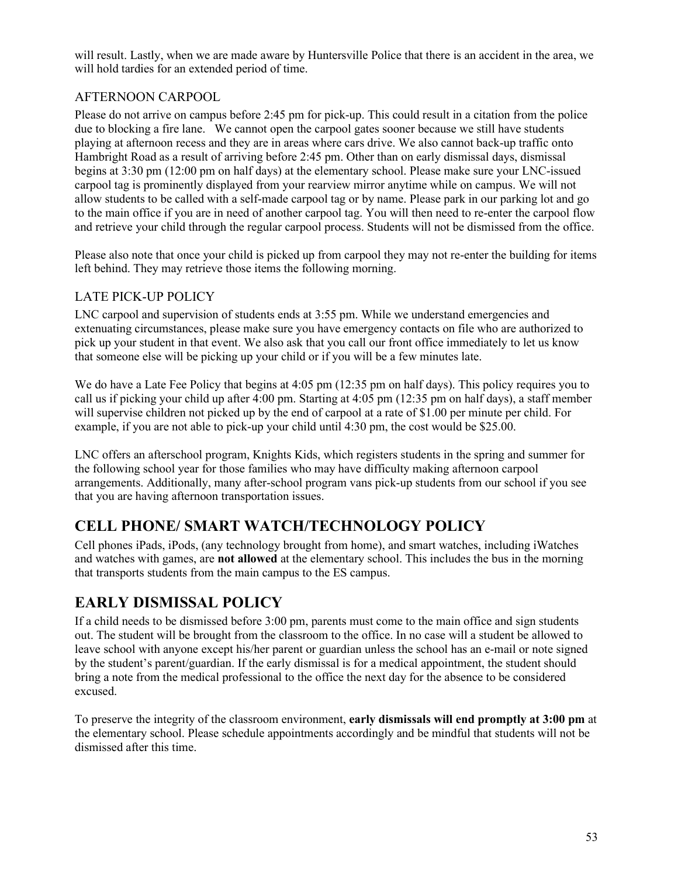will result. Lastly, when we are made aware by Huntersville Police that there is an accident in the area, we will hold tardies for an extended period of time.

## AFTERNOON CARPOOL

Please do not arrive on campus before 2:45 pm for pick-up. This could result in a citation from the police due to blocking a fire lane. We cannot open the carpool gates sooner because we still have students playing at afternoon recess and they are in areas where cars drive. We also cannot back-up traffic onto Hambright Road as a result of arriving before 2:45 pm. Other than on early dismissal days, dismissal begins at 3:30 pm (12:00 pm on half days) at the elementary school. Please make sure your LNC-issued carpool tag is prominently displayed from your rearview mirror anytime while on campus. We will not allow students to be called with a self-made carpool tag or by name. Please park in our parking lot and go to the main office if you are in need of another carpool tag. You will then need to re-enter the carpool flow and retrieve your child through the regular carpool process. Students will not be dismissed from the office.

Please also note that once your child is picked up from carpool they may not re-enter the building for items left behind. They may retrieve those items the following morning.

## LATE PICK-UP POLICY

LNC carpool and supervision of students ends at 3:55 pm. While we understand emergencies and extenuating circumstances, please make sure you have emergency contacts on file who are authorized to pick up your student in that event. We also ask that you call our front office immediately to let us know that someone else will be picking up your child or if you will be a few minutes late.

We do have a Late Fee Policy that begins at 4:05 pm (12:35 pm on half days). This policy requires you to call us if picking your child up after 4:00 pm. Starting at 4:05 pm (12:35 pm on half days), a staff member will supervise children not picked up by the end of carpool at a rate of \$1.00 per minute per child. For example, if you are not able to pick-up your child until 4:30 pm, the cost would be \$25.00.

LNC offers an afterschool program, Knights Kids, which registers students in the spring and summer for the following school year for those families who may have difficulty making afternoon carpool arrangements. Additionally, many after-school program vans pick-up students from our school if you see that you are having afternoon transportation issues.

# **CELL PHONE/ SMART WATCH/TECHNOLOGY POLICY**

Cell phones iPads, iPods, (any technology brought from home), and smart watches, including iWatches and watches with games, are **not allowed** at the elementary school. This includes the bus in the morning that transports students from the main campus to the ES campus.

# **EARLY DISMISSAL POLICY**

If a child needs to be dismissed before 3:00 pm, parents must come to the main office and sign students out. The student will be brought from the classroom to the office. In no case will a student be allowed to leave school with anyone except his/her parent or guardian unless the school has an e-mail or note signed by the student's parent/guardian. If the early dismissal is for a medical appointment, the student should bring a note from the medical professional to the office the next day for the absence to be considered excused.

To preserve the integrity of the classroom environment, **early dismissals will end promptly at 3:00 pm** at the elementary school. Please schedule appointments accordingly and be mindful that students will not be dismissed after this time.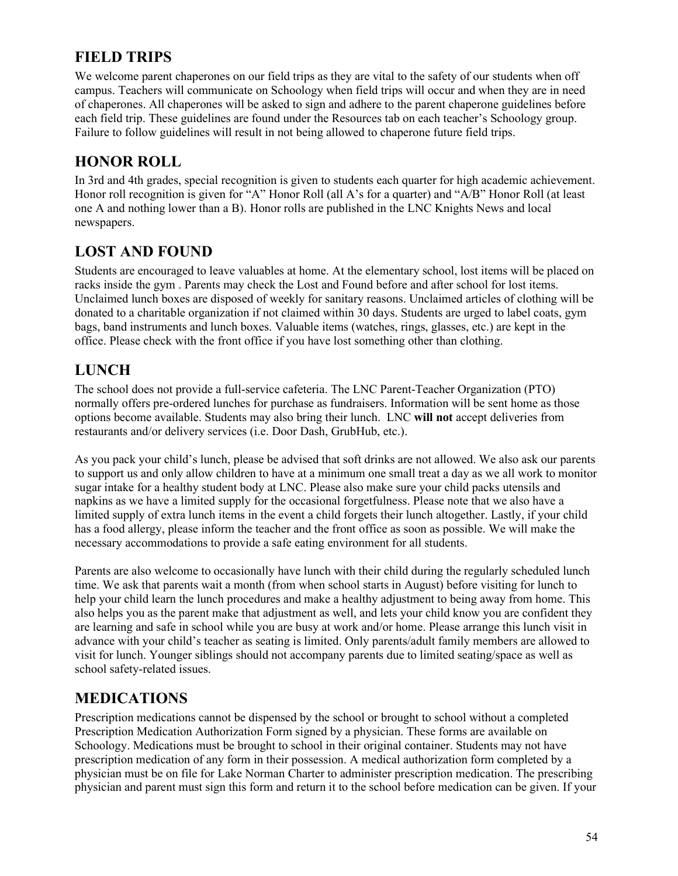# **FIELD TRIPS**

We welcome parent chaperones on our field trips as they are vital to the safety of our students when off campus. Teachers will communicate on Schoology when field trips will occur and when they are in need of chaperones. All chaperones will be asked to sign and adhere to the parent chaperone guidelines before each field trip. These guidelines are found under the Resources tab on each teacher's Schoology group. Failure to follow guidelines will result in not being allowed to chaperone future field trips.

# **HONOR ROLL**

In 3rd and 4th grades, special recognition is given to students each quarter for high academic achievement. Honor roll recognition is given for "A" Honor Roll (all A's for a quarter) and "A/B" Honor Roll (at least one A and nothing lower than a B). Honor rolls are published in the LNC Knights News and local newspapers.

# **LOST AND FOUND**

Students are encouraged to leave valuables at home. At the elementary school, lost items will be placed on racks inside the gym . Parents may check the Lost and Found before and after school for lost items. Unclaimed lunch boxes are disposed of weekly for sanitary reasons. Unclaimed articles of clothing will be donated to a charitable organization if not claimed within 30 days. Students are urged to label coats, gym bags, band instruments and lunch boxes. Valuable items (watches, rings, glasses, etc.) are kept in the office. Please check with the front office if you have lost something other than clothing.

# **LUNCH**

The school does not provide a full-service cafeteria. The LNC Parent-Teacher Organization (PTO) normally offers pre-ordered lunches for purchase as fundraisers. Information will be sent home as those options become available. Students may also bring their lunch. LNC **will not** accept deliveries from restaurants and/or delivery services (i.e. Door Dash, GrubHub, etc.).

As you pack your child's lunch, please be advised that soft drinks are not allowed. We also ask our parents to support us and only allow children to have at a minimum one small treat a day as we all work to monitor sugar intake for a healthy student body at LNC. Please also make sure your child packs utensils and napkins as we have a limited supply for the occasional forgetfulness. Please note that we also have a limited supply of extra lunch items in the event a child forgets their lunch altogether. Lastly, if your child has a food allergy, please inform the teacher and the front office as soon as possible. We will make the necessary accommodations to provide a safe eating environment for all students.

Parents are also welcome to occasionally have lunch with their child during the regularly scheduled lunch time. We ask that parents wait a month (from when school starts in August) before visiting for lunch to help your child learn the lunch procedures and make a healthy adjustment to being away from home. This also helps you as the parent make that adjustment as well, and lets your child know you are confident they are learning and safe in school while you are busy at work and/or home. Please arrange this lunch visit in advance with your child's teacher as seating is limited. Only parents/adult family members are allowed to visit for lunch. Younger siblings should not accompany parents due to limited seating/space as well as school safety-related issues.

# **MEDICATIONS**

Prescription medications cannot be dispensed by the school or brought to school without a completed Prescription Medication Authorization Form signed by a physician. These forms are available on Schoology. Medications must be brought to school in their original container. Students may not have prescription medication of any form in their possession. A medical authorization form completed by a physician must be on file for Lake Norman Charter to administer prescription medication. The prescribing physician and parent must sign this form and return it to the school before medication can be given. If your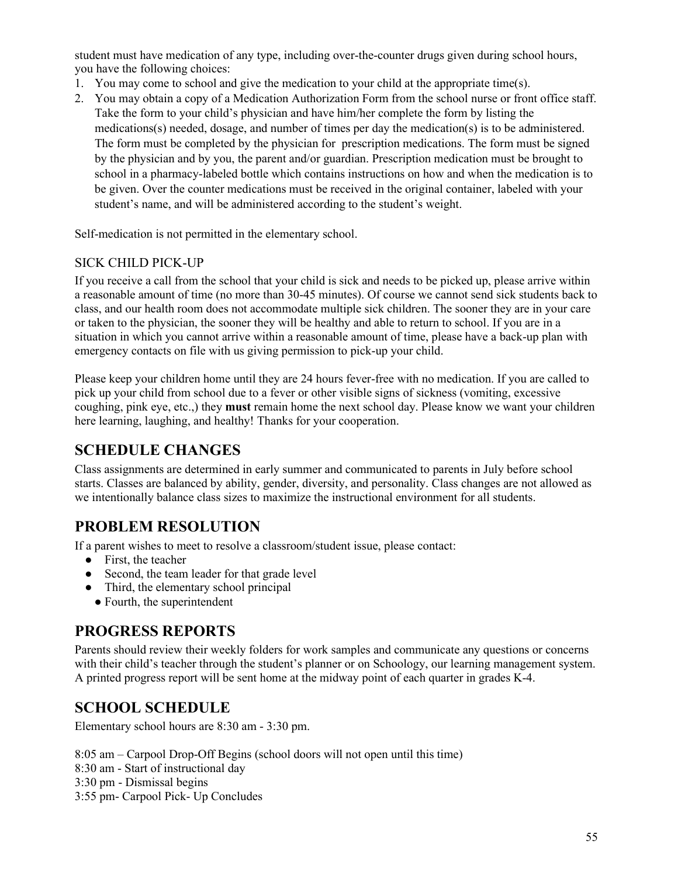student must have medication of any type, including over-the-counter drugs given during school hours, you have the following choices:

- 1. You may come to school and give the medication to your child at the appropriate time(s).
- 2. You may obtain a copy of a Medication Authorization Form from the school nurse or front office staff. Take the form to your child's physician and have him/her complete the form by listing the medications(s) needed, dosage, and number of times per day the medication(s) is to be administered. The form must be completed by the physician for prescription medications. The form must be signed by the physician and by you, the parent and/or guardian. Prescription medication must be brought to school in a pharmacy-labeled bottle which contains instructions on how and when the medication is to be given. Over the counter medications must be received in the original container, labeled with your student's name, and will be administered according to the student's weight.

Self-medication is not permitted in the elementary school.

## SICK CHILD PICK-UP

If you receive a call from the school that your child is sick and needs to be picked up, please arrive within a reasonable amount of time (no more than 30-45 minutes). Of course we cannot send sick students back to class, and our health room does not accommodate multiple sick children. The sooner they are in your care or taken to the physician, the sooner they will be healthy and able to return to school. If you are in a situation in which you cannot arrive within a reasonable amount of time, please have a back-up plan with emergency contacts on file with us giving permission to pick-up your child.

Please keep your children home until they are 24 hours fever-free with no medication. If you are called to pick up your child from school due to a fever or other visible signs of sickness (vomiting, excessive coughing, pink eye, etc.,) they **must** remain home the next school day. Please know we want your children here learning, laughing, and healthy! Thanks for your cooperation.

## **SCHEDULE CHANGES**

Class assignments are determined in early summer and communicated to parents in July before school starts. Classes are balanced by ability, gender, diversity, and personality. Class changes are not allowed as we intentionally balance class sizes to maximize the instructional environment for all students.

## **PROBLEM RESOLUTION**

If a parent wishes to meet to resolve a classroom/student issue, please contact:

- First, the teacher
- Second, the team leader for that grade level
- Third, the elementary school principal
	- Fourth, the superintendent

## **PROGRESS REPORTS**

Parents should review their weekly folders for work samples and communicate any questions or concerns with their child's teacher through the student's planner or on Schoology, our learning management system. A printed progress report will be sent home at the midway point of each quarter in grades K-4.

## **SCHOOL SCHEDULE**

Elementary school hours are 8:30 am - 3:30 pm.

8:05 am – Carpool Drop-Off Begins (school doors will not open until this time)

- 8:30 am Start of instructional day
- 3:30 pm Dismissal begins
- 3:55 pm- Carpool Pick- Up Concludes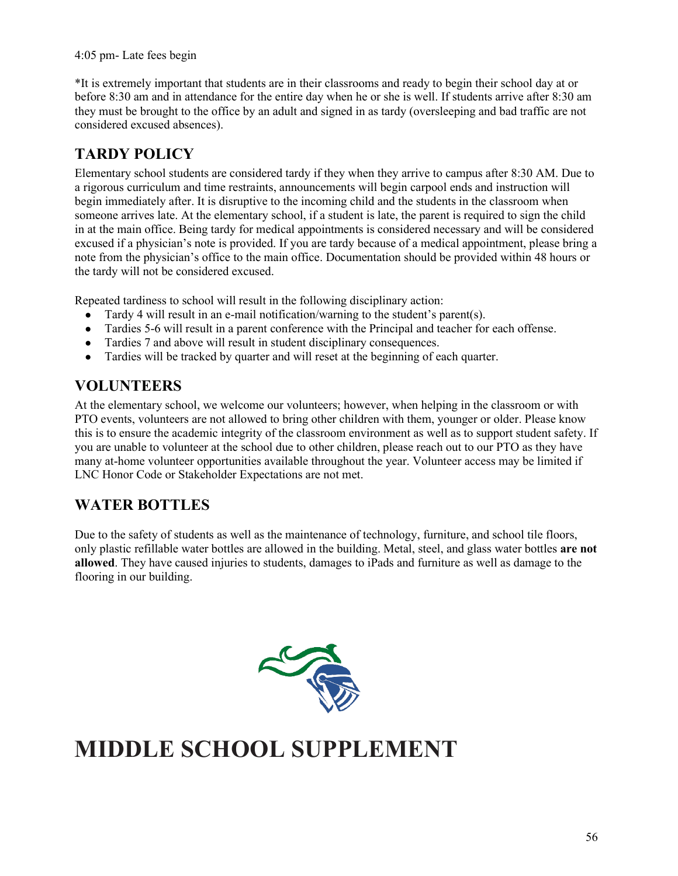\*It is extremely important that students are in their classrooms and ready to begin their school day at or before 8:30 am and in attendance for the entire day when he or she is well. If students arrive after 8:30 am they must be brought to the office by an adult and signed in as tardy (oversleeping and bad traffic are not considered excused absences).

# **TARDY POLICY**

Elementary school students are considered tardy if they when they arrive to campus after 8:30 AM. Due to a rigorous curriculum and time restraints, announcements will begin carpool ends and instruction will begin immediately after. It is disruptive to the incoming child and the students in the classroom when someone arrives late. At the elementary school, if a student is late, the parent is required to sign the child in at the main office. Being tardy for medical appointments is considered necessary and will be considered excused if a physician's note is provided. If you are tardy because of a medical appointment, please bring a note from the physician's office to the main office. Documentation should be provided within 48 hours or the tardy will not be considered excused.

Repeated tardiness to school will result in the following disciplinary action:

- Tardy 4 will result in an e-mail notification/warning to the student's parent(s).
- Tardies 5-6 will result in a parent conference with the Principal and teacher for each offense.
- Tardies 7 and above will result in student disciplinary consequences.
- Tardies will be tracked by quarter and will reset at the beginning of each quarter.

## **VOLUNTEERS**

At the elementary school, we welcome our volunteers; however, when helping in the classroom or with PTO events, volunteers are not allowed to bring other children with them, younger or older. Please know this is to ensure the academic integrity of the classroom environment as well as to support student safety. If you are unable to volunteer at the school due to other children, please reach out to our PTO as they have many at-home volunteer opportunities available throughout the year. Volunteer access may be limited if LNC Honor Code or Stakeholder Expectations are not met.

# **WATER BOTTLES**

Due to the safety of students as well as the maintenance of technology, furniture, and school tile floors, only plastic refillable water bottles are allowed in the building. Metal, steel, and glass water bottles **are not allowed**. They have caused injuries to students, damages to iPads and furniture as well as damage to the flooring in our building.



# **MIDDLE SCHOOL SUPPLEMENT**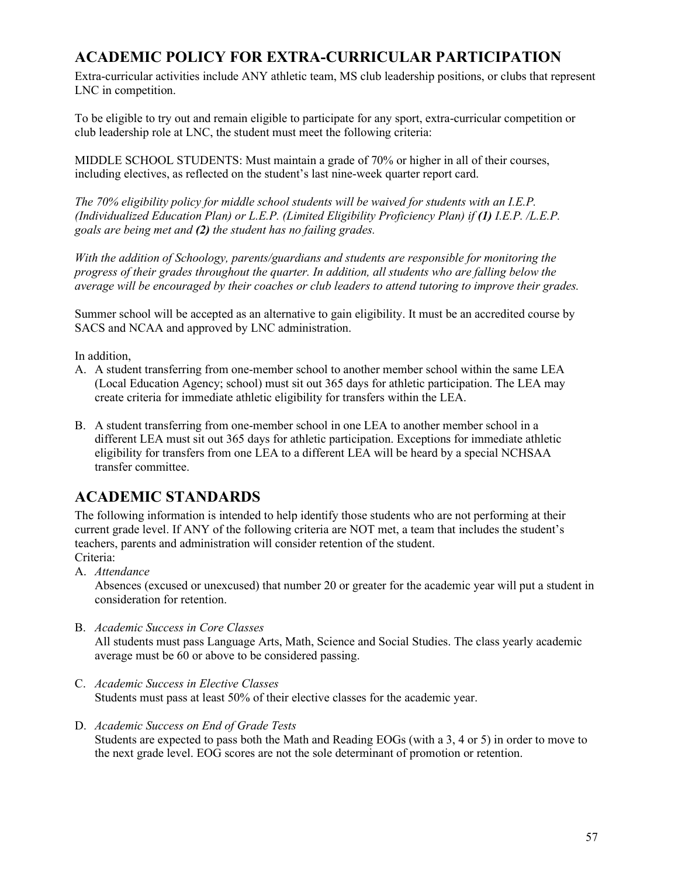# **ACADEMIC POLICY FOR EXTRA-CURRICULAR PARTICIPATION**

Extra-curricular activities include ANY athletic team, MS club leadership positions, or clubs that represent LNC in competition.

To be eligible to try out and remain eligible to participate for any sport, extra-curricular competition or club leadership role at LNC, the student must meet the following criteria:

MIDDLE SCHOOL STUDENTS: Must maintain a grade of 70% or higher in all of their courses, including electives, as reflected on the student's last nine-week quarter report card.

*The 70% eligibility policy for middle school students will be waived for students with an I.E.P. (Individualized Education Plan) or L.E.P. (Limited Eligibility Proficiency Plan) if (1) I.E.P. /L.E.P. goals are being met and (2) the student has no failing grades.*

*With the addition of Schoology, parents/guardians and students are responsible for monitoring the progress of their grades throughout the quarter. In addition, all students who are falling below the average will be encouraged by their coaches or club leaders to attend tutoring to improve their grades.*

Summer school will be accepted as an alternative to gain eligibility. It must be an accredited course by SACS and NCAA and approved by LNC administration.

In addition,

- A. A student transferring from one-member school to another member school within the same LEA (Local Education Agency; school) must sit out 365 days for athletic participation. The LEA may create criteria for immediate athletic eligibility for transfers within the LEA.
- B. A student transferring from one-member school in one LEA to another member school in a different LEA must sit out 365 days for athletic participation. Exceptions for immediate athletic eligibility for transfers from one LEA to a different LEA will be heard by a special NCHSAA transfer committee.

## **ACADEMIC STANDARDS**

The following information is intended to help identify those students who are not performing at their current grade level. If ANY of the following criteria are NOT met, a team that includes the student's teachers, parents and administration will consider retention of the student. Criteria:

A. *Attendance*

Absences (excused or unexcused) that number 20 or greater for the academic year will put a student in consideration for retention.

B. *Academic Success in Core Classes*

All students must pass Language Arts, Math, Science and Social Studies. The class yearly academic average must be 60 or above to be considered passing.

- C. *Academic Success in Elective Classes* Students must pass at least 50% of their elective classes for the academic year.
- D. *Academic Success on End of Grade Tests*

Students are expected to pass both the Math and Reading EOGs (with a 3, 4 or 5) in order to move to the next grade level. EOG scores are not the sole determinant of promotion or retention.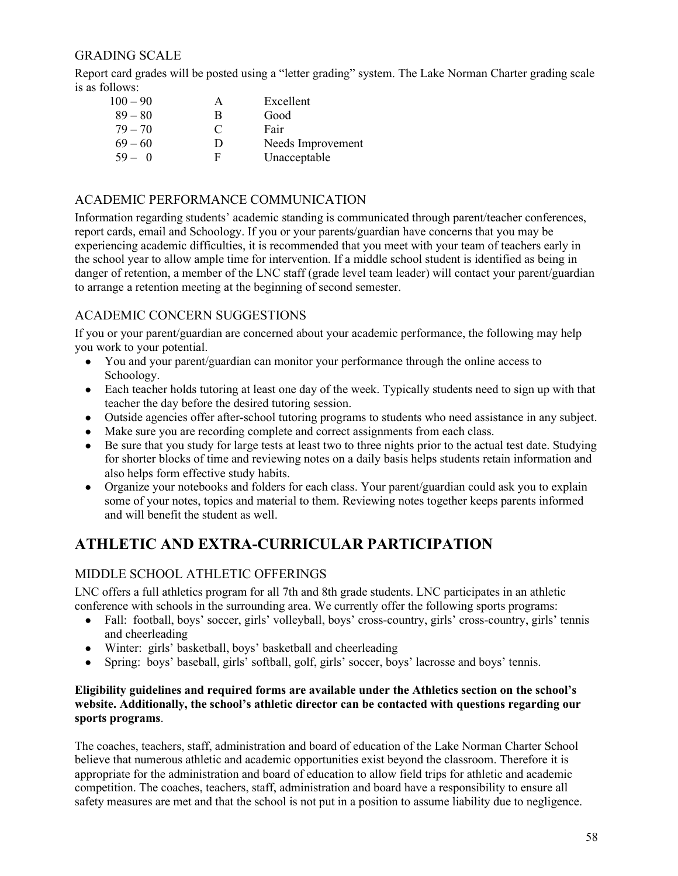## GRADING SCALE

Report card grades will be posted using a "letter grading" system. The Lake Norman Charter grading scale is as follows:

| $100 - 90$ | А | Excellent         |
|------------|---|-------------------|
| $89 - 80$  | B | Good              |
| $79 - 70$  | C | Fair              |
| $69 - 60$  | D | Needs Improvement |
| $59 - 0$   | F | Unacceptable      |
|            |   |                   |

### ACADEMIC PERFORMANCE COMMUNICATION

Information regarding students' academic standing is communicated through parent/teacher conferences, report cards, email and Schoology. If you or your parents/guardian have concerns that you may be experiencing academic difficulties, it is recommended that you meet with your team of teachers early in the school year to allow ample time for intervention. If a middle school student is identified as being in danger of retention, a member of the LNC staff (grade level team leader) will contact your parent/guardian to arrange a retention meeting at the beginning of second semester.

### ACADEMIC CONCERN SUGGESTIONS

If you or your parent/guardian are concerned about your academic performance, the following may help you work to your potential.

- You and your parent/guardian can monitor your performance through the online access to Schoology.
- Each teacher holds tutoring at least one day of the week. Typically students need to sign up with that teacher the day before the desired tutoring session.
- Outside agencies offer after-school tutoring programs to students who need assistance in any subject.
- Make sure you are recording complete and correct assignments from each class.
- Be sure that you study for large tests at least two to three nights prior to the actual test date. Studying for shorter blocks of time and reviewing notes on a daily basis helps students retain information and also helps form effective study habits.
- Organize your notebooks and folders for each class. Your parent/guardian could ask you to explain some of your notes, topics and material to them. Reviewing notes together keeps parents informed and will benefit the student as well.

# **ATHLETIC AND EXTRA-CURRICULAR PARTICIPATION**

### MIDDLE SCHOOL ATHLETIC OFFERINGS

LNC offers a full athletics program for all 7th and 8th grade students. LNC participates in an athletic conference with schools in the surrounding area. We currently offer the following sports programs:

- Fall: football, boys' soccer, girls' volleyball, boys' cross-country, girls' cross-country, girls' tennis and cheerleading
- Winter: girls' basketball, boys' basketball and cheerleading
- Spring: boys' baseball, girls' softball, golf, girls' soccer, boys' lacrosse and boys' tennis.

#### **Eligibility guidelines and required forms are available under the Athletics section on the school's website. Additionally, the school's athletic director can be contacted with questions regarding our sports programs**.

The coaches, teachers, staff, administration and board of education of the Lake Norman Charter School believe that numerous athletic and academic opportunities exist beyond the classroom. Therefore it is appropriate for the administration and board of education to allow field trips for athletic and academic competition. The coaches, teachers, staff, administration and board have a responsibility to ensure all safety measures are met and that the school is not put in a position to assume liability due to negligence.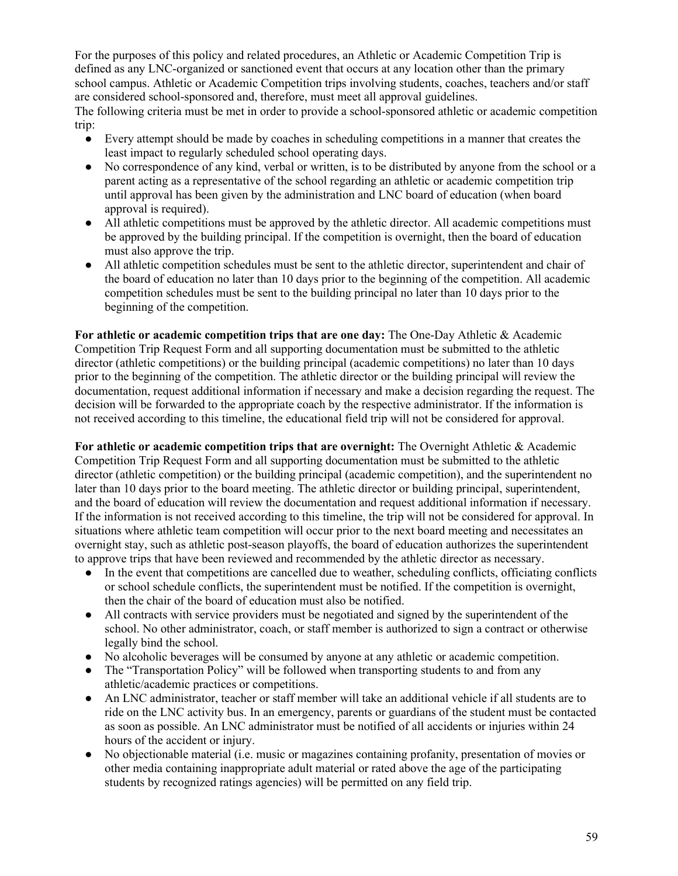For the purposes of this policy and related procedures, an Athletic or Academic Competition Trip is defined as any LNC-organized or sanctioned event that occurs at any location other than the primary school campus. Athletic or Academic Competition trips involving students, coaches, teachers and/or staff are considered school-sponsored and, therefore, must meet all approval guidelines.

The following criteria must be met in order to provide a school-sponsored athletic or academic competition trip:

- Every attempt should be made by coaches in scheduling competitions in a manner that creates the least impact to regularly scheduled school operating days.
- No correspondence of any kind, verbal or written, is to be distributed by anyone from the school or a parent acting as a representative of the school regarding an athletic or academic competition trip until approval has been given by the administration and LNC board of education (when board approval is required).
- All athletic competitions must be approved by the athletic director. All academic competitions must be approved by the building principal. If the competition is overnight, then the board of education must also approve the trip.
- All athletic competition schedules must be sent to the athletic director, superintendent and chair of the board of education no later than 10 days prior to the beginning of the competition. All academic competition schedules must be sent to the building principal no later than 10 days prior to the beginning of the competition.

**For athletic or academic competition trips that are one day:** The One-Day Athletic & Academic Competition Trip Request Form and all supporting documentation must be submitted to the athletic director (athletic competitions) or the building principal (academic competitions) no later than 10 days prior to the beginning of the competition. The athletic director or the building principal will review the documentation, request additional information if necessary and make a decision regarding the request. The decision will be forwarded to the appropriate coach by the respective administrator. If the information is not received according to this timeline, the educational field trip will not be considered for approval.

**For athletic or academic competition trips that are overnight:** The Overnight Athletic & Academic Competition Trip Request Form and all supporting documentation must be submitted to the athletic director (athletic competition) or the building principal (academic competition), and the superintendent no later than 10 days prior to the board meeting. The athletic director or building principal, superintendent, and the board of education will review the documentation and request additional information if necessary. If the information is not received according to this timeline, the trip will not be considered for approval. In situations where athletic team competition will occur prior to the next board meeting and necessitates an overnight stay, such as athletic post-season playoffs, the board of education authorizes the superintendent to approve trips that have been reviewed and recommended by the athletic director as necessary.

- In the event that competitions are cancelled due to weather, scheduling conflicts, officiating conflicts or school schedule conflicts, the superintendent must be notified. If the competition is overnight, then the chair of the board of education must also be notified.
- All contracts with service providers must be negotiated and signed by the superintendent of the school. No other administrator, coach, or staff member is authorized to sign a contract or otherwise legally bind the school.
- No alcoholic beverages will be consumed by anyone at any athletic or academic competition.
- The "Transportation Policy" will be followed when transporting students to and from any athletic/academic practices or competitions.
- An LNC administrator, teacher or staff member will take an additional vehicle if all students are to ride on the LNC activity bus. In an emergency, parents or guardians of the student must be contacted as soon as possible. An LNC administrator must be notified of all accidents or injuries within 24 hours of the accident or injury.
- No objectionable material (i.e. music or magazines containing profanity, presentation of movies or other media containing inappropriate adult material or rated above the age of the participating students by recognized ratings agencies) will be permitted on any field trip.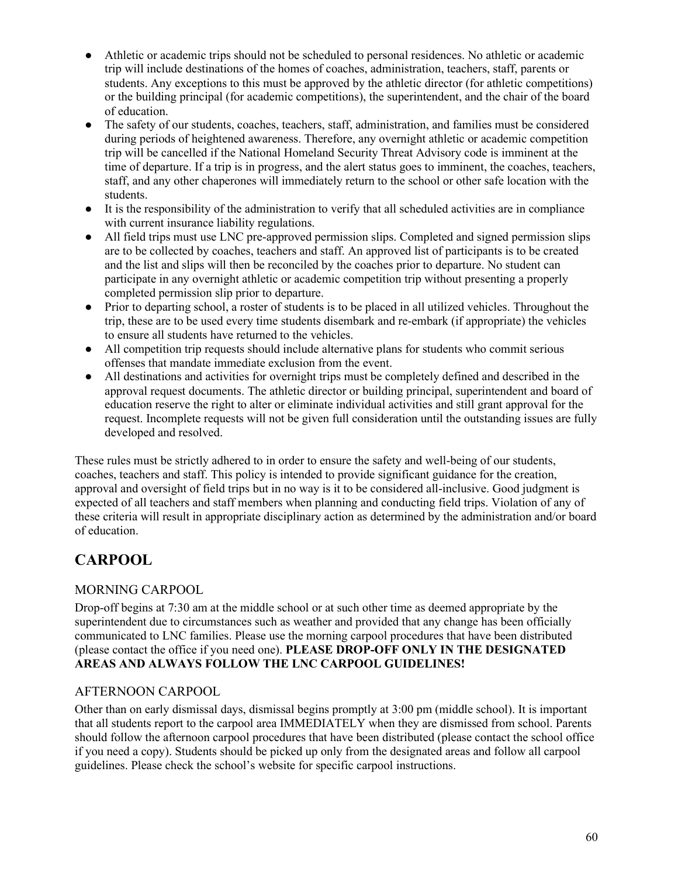- Athletic or academic trips should not be scheduled to personal residences. No athletic or academic trip will include destinations of the homes of coaches, administration, teachers, staff, parents or students. Any exceptions to this must be approved by the athletic director (for athletic competitions) or the building principal (for academic competitions), the superintendent, and the chair of the board of education.
- The safety of our students, coaches, teachers, staff, administration, and families must be considered during periods of heightened awareness. Therefore, any overnight athletic or academic competition trip will be cancelled if the National Homeland Security Threat Advisory code is imminent at the time of departure. If a trip is in progress, and the alert status goes to imminent, the coaches, teachers, staff, and any other chaperones will immediately return to the school or other safe location with the students.
- It is the responsibility of the administration to verify that all scheduled activities are in compliance with current insurance liability regulations.
- All field trips must use LNC pre-approved permission slips. Completed and signed permission slips are to be collected by coaches, teachers and staff. An approved list of participants is to be created and the list and slips will then be reconciled by the coaches prior to departure. No student can participate in any overnight athletic or academic competition trip without presenting a properly completed permission slip prior to departure.
- Prior to departing school, a roster of students is to be placed in all utilized vehicles. Throughout the trip, these are to be used every time students disembark and re-embark (if appropriate) the vehicles to ensure all students have returned to the vehicles.
- All competition trip requests should include alternative plans for students who commit serious offenses that mandate immediate exclusion from the event.
- All destinations and activities for overnight trips must be completely defined and described in the approval request documents. The athletic director or building principal, superintendent and board of education reserve the right to alter or eliminate individual activities and still grant approval for the request. Incomplete requests will not be given full consideration until the outstanding issues are fully developed and resolved.

These rules must be strictly adhered to in order to ensure the safety and well-being of our students, coaches, teachers and staff. This policy is intended to provide significant guidance for the creation, approval and oversight of field trips but in no way is it to be considered all-inclusive. Good judgment is expected of all teachers and staff members when planning and conducting field trips. Violation of any of these criteria will result in appropriate disciplinary action as determined by the administration and/or board of education.

# **CARPOOL**

## MORNING CARPOOL

Drop-off begins at 7:30 am at the middle school or at such other time as deemed appropriate by the superintendent due to circumstances such as weather and provided that any change has been officially communicated to LNC families. Please use the morning carpool procedures that have been distributed (please contact the office if you need one). **PLEASE DROP-OFF ONLY IN THE DESIGNATED AREAS AND ALWAYS FOLLOW THE LNC CARPOOL GUIDELINES!**

## AFTERNOON CARPOOL

Other than on early dismissal days, dismissal begins promptly at 3:00 pm (middle school). It is important that all students report to the carpool area IMMEDIATELY when they are dismissed from school. Parents should follow the afternoon carpool procedures that have been distributed (please contact the school office if you need a copy). Students should be picked up only from the designated areas and follow all carpool guidelines. Please check the school's website for specific carpool instructions.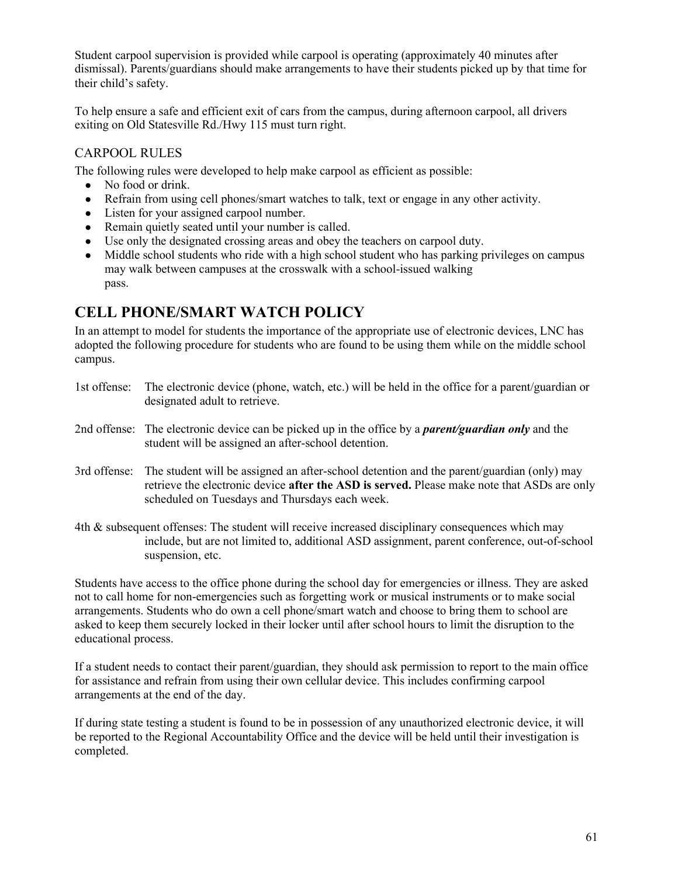Student carpool supervision is provided while carpool is operating (approximately 40 minutes after dismissal). Parents/guardians should make arrangements to have their students picked up by that time for their child's safety.

To help ensure a safe and efficient exit of cars from the campus, during afternoon carpool, all drivers exiting on Old Statesville Rd./Hwy 115 must turn right.

## CARPOOL RULES

The following rules were developed to help make carpool as efficient as possible:

- No food or drink.
- Refrain from using cell phones/smart watches to talk, text or engage in any other activity.
- Listen for your assigned carpool number.
- Remain quietly seated until your number is called.
- Use only the designated crossing areas and obey the teachers on carpool duty.
- Middle school students who ride with a high school student who has parking privileges on campus may walk between campuses at the crosswalk with a school-issued walking pass.

## **CELL PHONE/SMART WATCH POLICY**

In an attempt to model for students the importance of the appropriate use of electronic devices, LNC has adopted the following procedure for students who are found to be using them while on the middle school campus.

- 1st offense: The electronic device (phone, watch, etc.) will be held in the office for a parent/guardian or designated adult to retrieve.
- 2nd offense: The electronic device can be picked up in the office by a *parent/guardian only* and the student will be assigned an after-school detention.
- 3rd offense: The student will be assigned an after-school detention and the parent/guardian (only) may retrieve the electronic device **after the ASD is served.** Please make note that ASDs are only scheduled on Tuesdays and Thursdays each week.
- 4th & subsequent offenses: The student will receive increased disciplinary consequences which may include, but are not limited to, additional ASD assignment, parent conference, out-of-school suspension, etc.

Students have access to the office phone during the school day for emergencies or illness. They are asked not to call home for non-emergencies such as forgetting work or musical instruments or to make social arrangements. Students who do own a cell phone/smart watch and choose to bring them to school are asked to keep them securely locked in their locker until after school hours to limit the disruption to the educational process.

If a student needs to contact their parent/guardian, they should ask permission to report to the main office for assistance and refrain from using their own cellular device. This includes confirming carpool arrangements at the end of the day.

If during state testing a student is found to be in possession of any unauthorized electronic device, it will be reported to the Regional Accountability Office and the device will be held until their investigation is completed.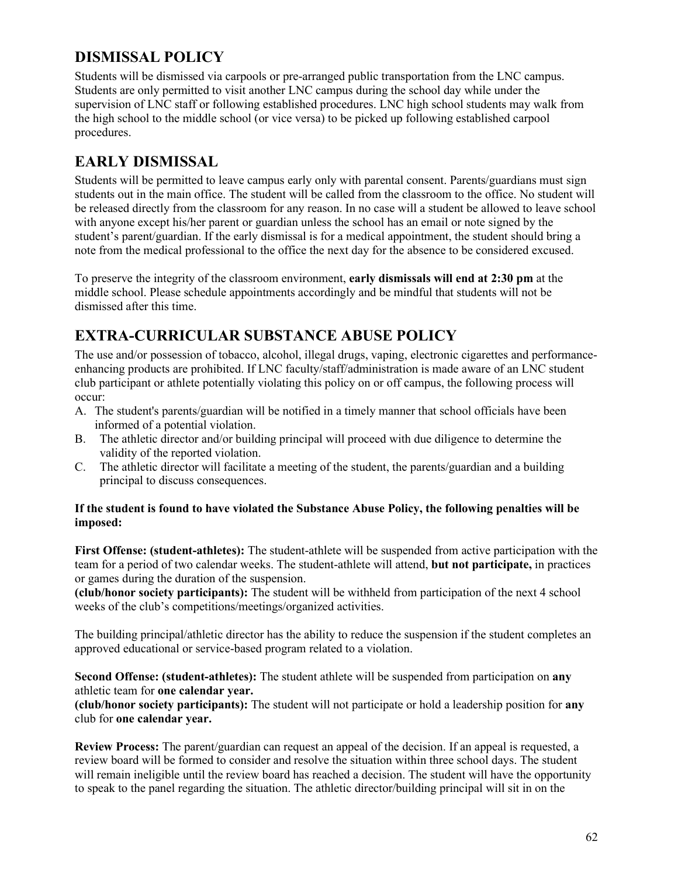# **DISMISSAL POLICY**

Students will be dismissed via carpools or pre-arranged public transportation from the LNC campus. Students are only permitted to visit another LNC campus during the school day while under the supervision of LNC staff or following established procedures. LNC high school students may walk from the high school to the middle school (or vice versa) to be picked up following established carpool procedures.

# **EARLY DISMISSAL**

Students will be permitted to leave campus early only with parental consent. Parents/guardians must sign students out in the main office. The student will be called from the classroom to the office. No student will be released directly from the classroom for any reason. In no case will a student be allowed to leave school with anyone except his/her parent or guardian unless the school has an email or note signed by the student's parent/guardian. If the early dismissal is for a medical appointment, the student should bring a note from the medical professional to the office the next day for the absence to be considered excused.

To preserve the integrity of the classroom environment, **early dismissals will end at 2:30 pm** at the middle school. Please schedule appointments accordingly and be mindful that students will not be dismissed after this time.

## **EXTRA-CURRICULAR SUBSTANCE ABUSE POLICY**

The use and/or possession of tobacco, alcohol, illegal drugs, vaping, electronic cigarettes and performanceenhancing products are prohibited. If LNC faculty/staff/administration is made aware of an LNC student club participant or athlete potentially violating this policy on or off campus, the following process will occur:

- A. The student's parents/guardian will be notified in a timely manner that school officials have been informed of a potential violation.
- B. The athletic director and/or building principal will proceed with due diligence to determine the validity of the reported violation.
- C. The athletic director will facilitate a meeting of the student, the parents/guardian and a building principal to discuss consequences.

#### **If the student is found to have violated the Substance Abuse Policy, the following penalties will be imposed:**

**First Offense: (student-athletes):** The student-athlete will be suspended from active participation with the team for a period of two calendar weeks. The student-athlete will attend, **but not participate,** in practices or games during the duration of the suspension.

**(club/honor society participants):** The student will be withheld from participation of the next 4 school weeks of the club's competitions/meetings/organized activities.

The building principal/athletic director has the ability to reduce the suspension if the student completes an approved educational or service-based program related to a violation.

**Second Offense: (student-athletes):** The student athlete will be suspended from participation on **any** athletic team for **one calendar year.**

**(club/honor society participants):** The student will not participate or hold a leadership position for **any** club for **one calendar year.**

**Review Process:** The parent/guardian can request an appeal of the decision. If an appeal is requested, a review board will be formed to consider and resolve the situation within three school days. The student will remain ineligible until the review board has reached a decision. The student will have the opportunity to speak to the panel regarding the situation. The athletic director/building principal will sit in on the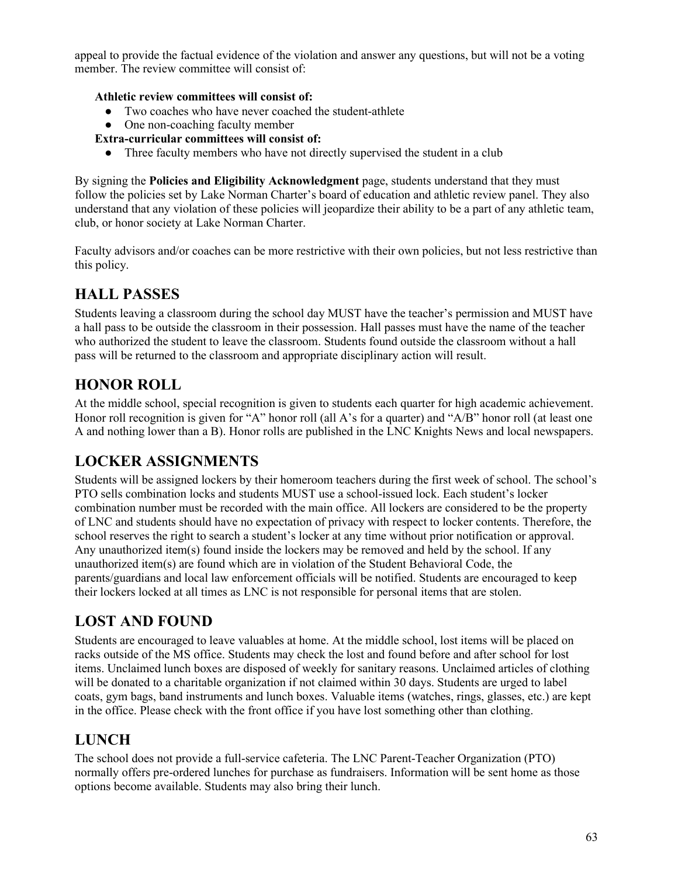appeal to provide the factual evidence of the violation and answer any questions, but will not be a voting member. The review committee will consist of:

### **Athletic review committees will consist of:**

- Two coaches who have never coached the student-athlete
- One non-coaching faculty member
- **Extra-curricular committees will consist of:**
	- Three faculty members who have not directly supervised the student in a club

By signing the **Policies and Eligibility Acknowledgment** page, students understand that they must follow the policies set by Lake Norman Charter's board of education and athletic review panel. They also understand that any violation of these policies will jeopardize their ability to be a part of any athletic team, club, or honor society at Lake Norman Charter.

Faculty advisors and/or coaches can be more restrictive with their own policies, but not less restrictive than this policy.

## **HALL PASSES**

Students leaving a classroom during the school day MUST have the teacher's permission and MUST have a hall pass to be outside the classroom in their possession. Hall passes must have the name of the teacher who authorized the student to leave the classroom. Students found outside the classroom without a hall pass will be returned to the classroom and appropriate disciplinary action will result.

## **HONOR ROLL**

At the middle school, special recognition is given to students each quarter for high academic achievement. Honor roll recognition is given for "A" honor roll (all A's for a quarter) and "A/B" honor roll (at least one A and nothing lower than a B). Honor rolls are published in the LNC Knights News and local newspapers.

# **LOCKER ASSIGNMENTS**

Students will be assigned lockers by their homeroom teachers during the first week of school. The school's PTO sells combination locks and students MUST use a school-issued lock. Each student's locker combination number must be recorded with the main office. All lockers are considered to be the property of LNC and students should have no expectation of privacy with respect to locker contents. Therefore, the school reserves the right to search a student's locker at any time without prior notification or approval. Any unauthorized item(s) found inside the lockers may be removed and held by the school. If any unauthorized item(s) are found which are in violation of the Student Behavioral Code, the parents/guardians and local law enforcement officials will be notified. Students are encouraged to keep their lockers locked at all times as LNC is not responsible for personal items that are stolen.

# **LOST AND FOUND**

Students are encouraged to leave valuables at home. At the middle school, lost items will be placed on racks outside of the MS office. Students may check the lost and found before and after school for lost items. Unclaimed lunch boxes are disposed of weekly for sanitary reasons. Unclaimed articles of clothing will be donated to a charitable organization if not claimed within 30 days. Students are urged to label coats, gym bags, band instruments and lunch boxes. Valuable items (watches, rings, glasses, etc.) are kept in the office. Please check with the front office if you have lost something other than clothing.

## **LUNCH**

The school does not provide a full-service cafeteria. The LNC Parent-Teacher Organization (PTO) normally offers pre-ordered lunches for purchase as fundraisers. Information will be sent home as those options become available. Students may also bring their lunch.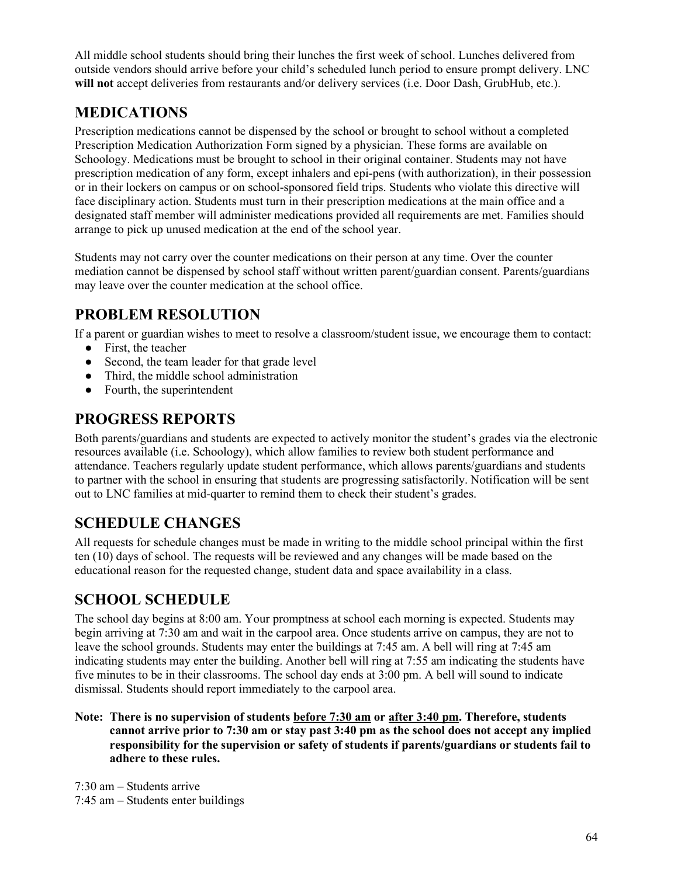All middle school students should bring their lunches the first week of school. Lunches delivered from outside vendors should arrive before your child's scheduled lunch period to ensure prompt delivery. LNC **will not** accept deliveries from restaurants and/or delivery services (i.e. Door Dash, GrubHub, etc.).

## **MEDICATIONS**

Prescription medications cannot be dispensed by the school or brought to school without a completed Prescription Medication Authorization Form signed by a physician. These forms are available on Schoology. Medications must be brought to school in their original container. Students may not have prescription medication of any form, except inhalers and epi-pens (with authorization), in their possession or in their lockers on campus or on school-sponsored field trips. Students who violate this directive will face disciplinary action. Students must turn in their prescription medications at the main office and a designated staff member will administer medications provided all requirements are met. Families should arrange to pick up unused medication at the end of the school year.

Students may not carry over the counter medications on their person at any time. Over the counter mediation cannot be dispensed by school staff without written parent/guardian consent. Parents/guardians may leave over the counter medication at the school office.

## **PROBLEM RESOLUTION**

If a parent or guardian wishes to meet to resolve a classroom/student issue, we encourage them to contact:

- First, the teacher
- Second, the team leader for that grade level
- Third, the middle school administration
- Fourth, the superintendent

## **PROGRESS REPORTS**

Both parents/guardians and students are expected to actively monitor the student's grades via the electronic resources available (i.e. Schoology), which allow families to review both student performance and attendance. Teachers regularly update student performance, which allows parents/guardians and students to partner with the school in ensuring that students are progressing satisfactorily. Notification will be sent out to LNC families at mid-quarter to remind them to check their student's grades.

# **SCHEDULE CHANGES**

All requests for schedule changes must be made in writing to the middle school principal within the first ten (10) days of school. The requests will be reviewed and any changes will be made based on the educational reason for the requested change, student data and space availability in a class.

## **SCHOOL SCHEDULE**

The school day begins at 8:00 am. Your promptness at school each morning is expected. Students may begin arriving at 7:30 am and wait in the carpool area. Once students arrive on campus, they are not to leave the school grounds. Students may enter the buildings at 7:45 am. A bell will ring at 7:45 am indicating students may enter the building. Another bell will ring at 7:55 am indicating the students have five minutes to be in their classrooms. The school day ends at 3:00 pm. A bell will sound to indicate dismissal. Students should report immediately to the carpool area.

**Note: There is no supervision of students before 7:30 am or after 3:40 pm. Therefore, students cannot arrive prior to 7:30 am or stay past 3:40 pm as the school does not accept any implied responsibility for the supervision or safety of students if parents/guardians or students fail to adhere to these rules.**

7:30 am – Students arrive 7:45 am – Students enter buildings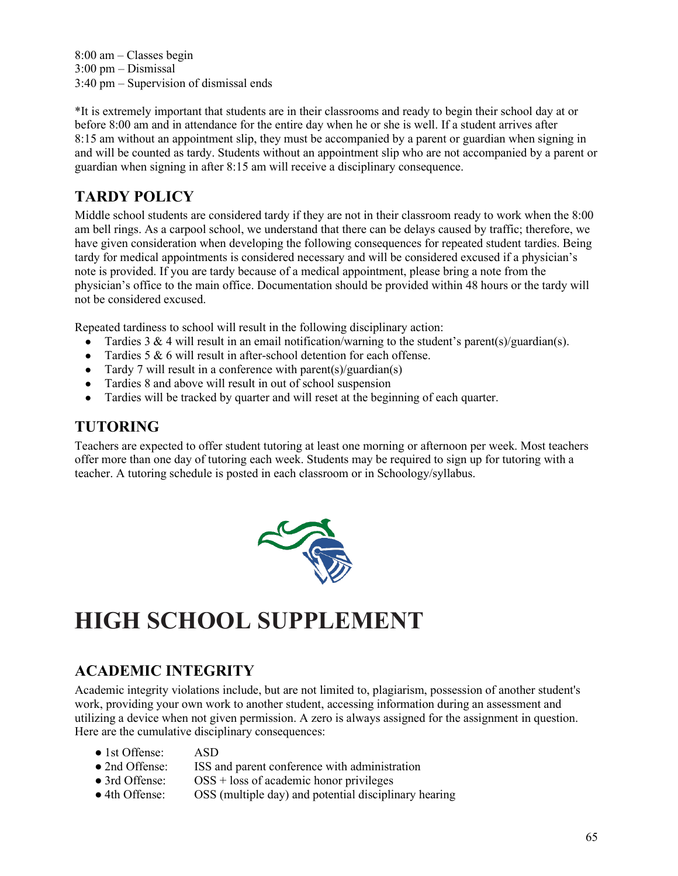8:00 am – Classes begin 3:00 pm – Dismissal 3:40 pm – Supervision of dismissal ends

\*It is extremely important that students are in their classrooms and ready to begin their school day at or before 8:00 am and in attendance for the entire day when he or she is well. If a student arrives after 8:15 am without an appointment slip, they must be accompanied by a parent or guardian when signing in and will be counted as tardy. Students without an appointment slip who are not accompanied by a parent or guardian when signing in after 8:15 am will receive a disciplinary consequence.

# **TARDY POLICY**

Middle school students are considered tardy if they are not in their classroom ready to work when the 8:00 am bell rings. As a carpool school, we understand that there can be delays caused by traffic; therefore, we have given consideration when developing the following consequences for repeated student tardies. Being tardy for medical appointments is considered necessary and will be considered excused if a physician's note is provided. If you are tardy because of a medical appointment, please bring a note from the physician's office to the main office. Documentation should be provided within 48 hours or the tardy will not be considered excused.

Repeated tardiness to school will result in the following disciplinary action:

- Tardies 3 & 4 will result in an email notification/warning to the student's parent(s)/guardian(s).
- Tardies  $5 \& 6$  will result in after-school detention for each offense.
- Tardy 7 will result in a conference with parent(s)/guardian(s)
- Tardies 8 and above will result in out of school suspension
- Tardies will be tracked by quarter and will reset at the beginning of each quarter.

## **TUTORING**

Teachers are expected to offer student tutoring at least one morning or afternoon per week. Most teachers offer more than one day of tutoring each week. Students may be required to sign up for tutoring with a teacher. A tutoring schedule is posted in each classroom or in Schoology/syllabus.



# **HIGH SCHOOL SUPPLEMENT**

# **ACADEMIC INTEGRITY**

Academic integrity violations include, but are not limited to, plagiarism, possession of another student's work, providing your own work to another student, accessing information during an assessment and utilizing a device when not given permission. A zero is always assigned for the assignment in question. Here are the cumulative disciplinary consequences:

- 1st Offense: ASD • 2nd Offense: ISS and parent conference with administration • 3rd Offense: OSS + loss of academic honor privileges
- 4th Offense: OSS (multiple day) and potential disciplinary hearing
	-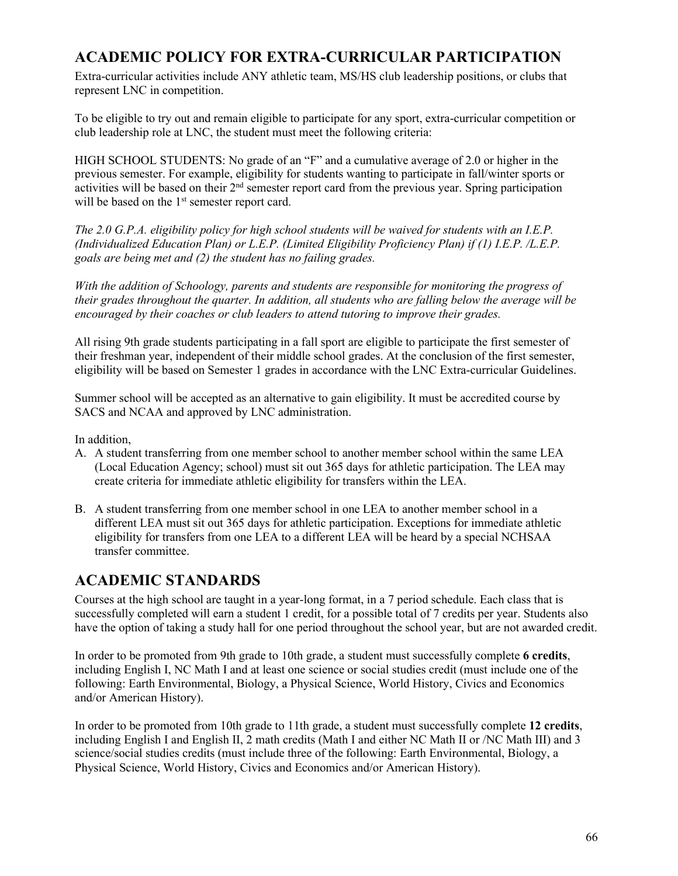# **ACADEMIC POLICY FOR EXTRA-CURRICULAR PARTICIPATION**

Extra-curricular activities include ANY athletic team, MS/HS club leadership positions, or clubs that represent LNC in competition.

To be eligible to try out and remain eligible to participate for any sport, extra-curricular competition or club leadership role at LNC, the student must meet the following criteria:

HIGH SCHOOL STUDENTS: No grade of an "F" and a cumulative average of 2.0 or higher in the previous semester. For example, eligibility for students wanting to participate in fall/winter sports or activities will be based on their 2<sup>nd</sup> semester report card from the previous year. Spring participation will be based on the 1<sup>st</sup> semester report card.

*The 2.0 G.P.A. eligibility policy for high school students will be waived for students with an I.E.P. (Individualized Education Plan) or L.E.P. (Limited Eligibility Proficiency Plan) if (1) I.E.P. /L.E.P. goals are being met and (2) the student has no failing grades.*

*With the addition of Schoology, parents and students are responsible for monitoring the progress of their grades throughout the quarter. In addition, all students who are falling below the average will be encouraged by their coaches or club leaders to attend tutoring to improve their grades.*

All rising 9th grade students participating in a fall sport are eligible to participate the first semester of their freshman year, independent of their middle school grades. At the conclusion of the first semester, eligibility will be based on Semester 1 grades in accordance with the LNC Extra-curricular Guidelines.

Summer school will be accepted as an alternative to gain eligibility. It must be accredited course by SACS and NCAA and approved by LNC administration.

In addition,

- A. A student transferring from one member school to another member school within the same LEA (Local Education Agency; school) must sit out 365 days for athletic participation. The LEA may create criteria for immediate athletic eligibility for transfers within the LEA.
- B. A student transferring from one member school in one LEA to another member school in a different LEA must sit out 365 days for athletic participation. Exceptions for immediate athletic eligibility for transfers from one LEA to a different LEA will be heard by a special NCHSAA transfer committee.

# **ACADEMIC STANDARDS**

Courses at the high school are taught in a year-long format, in a 7 period schedule. Each class that is successfully completed will earn a student 1 credit, for a possible total of 7 credits per year. Students also have the option of taking a study hall for one period throughout the school year, but are not awarded credit.

In order to be promoted from 9th grade to 10th grade, a student must successfully complete **6 credits**, including English I, NC Math I and at least one science or social studies credit (must include one of the following: Earth Environmental, Biology, a Physical Science, World History, Civics and Economics and/or American History).

In order to be promoted from 10th grade to 11th grade, a student must successfully complete **12 credits**, including English I and English II, 2 math credits (Math I and either NC Math II or /NC Math III) and 3 science/social studies credits (must include three of the following: Earth Environmental, Biology, a Physical Science, World History, Civics and Economics and/or American History).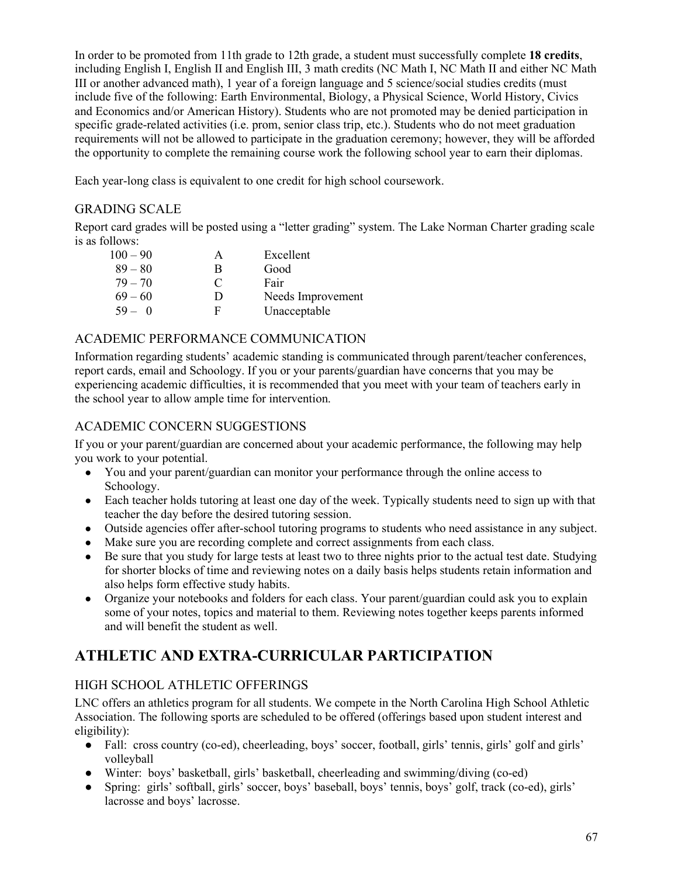In order to be promoted from 11th grade to 12th grade, a student must successfully complete **18 credits**, including English I, English II and English III, 3 math credits (NC Math I, NC Math II and either NC Math III or another advanced math), 1 year of a foreign language and 5 science/social studies credits (must include five of the following: Earth Environmental, Biology, a Physical Science, World History, Civics and Economics and/or American History). Students who are not promoted may be denied participation in specific grade-related activities (i.e. prom, senior class trip, etc.). Students who do not meet graduation requirements will not be allowed to participate in the graduation ceremony; however, they will be afforded the opportunity to complete the remaining course work the following school year to earn their diplomas.

Each year-long class is equivalent to one credit for high school coursework.

### GRADING SCALE

Report card grades will be posted using a "letter grading" system. The Lake Norman Charter grading scale is as follows:

| $100 - 90$ | А                           | Excellent         |
|------------|-----------------------------|-------------------|
| $89 - 80$  | В                           | Good              |
| $79 - 70$  | $\mathcal{C}_{\mathcal{C}}$ | Fair              |
| $69 - 60$  | Ð                           | Needs Improvement |
| $59 - 0$   | F                           | Unacceptable      |

### ACADEMIC PERFORMANCE COMMUNICATION

Information regarding students' academic standing is communicated through parent/teacher conferences, report cards, email and Schoology. If you or your parents/guardian have concerns that you may be experiencing academic difficulties, it is recommended that you meet with your team of teachers early in the school year to allow ample time for intervention.

## ACADEMIC CONCERN SUGGESTIONS

If you or your parent/guardian are concerned about your academic performance, the following may help you work to your potential.

- You and your parent/guardian can monitor your performance through the online access to Schoology.
- Each teacher holds tutoring at least one day of the week. Typically students need to sign up with that teacher the day before the desired tutoring session.
- Outside agencies offer after-school tutoring programs to students who need assistance in any subject.
- Make sure you are recording complete and correct assignments from each class.
- Be sure that you study for large tests at least two to three nights prior to the actual test date. Studying for shorter blocks of time and reviewing notes on a daily basis helps students retain information and also helps form effective study habits.
- Organize your notebooks and folders for each class. Your parent/guardian could ask you to explain some of your notes, topics and material to them. Reviewing notes together keeps parents informed and will benefit the student as well.

# **ATHLETIC AND EXTRA-CURRICULAR PARTICIPATION**

## HIGH SCHOOL ATHLETIC OFFERINGS

LNC offers an athletics program for all students. We compete in the North Carolina High School Athletic Association. The following sports are scheduled to be offered (offerings based upon student interest and eligibility):

- Fall: cross country (co-ed), cheerleading, boys' soccer, football, girls' tennis, girls' golf and girls' volleyball
- Winter: boys' basketball, girls' basketball, cheerleading and swimming/diving (co-ed)
- Spring: girls' softball, girls' soccer, boys' baseball, boys' tennis, boys' golf, track (co-ed), girls' lacrosse and boys' lacrosse.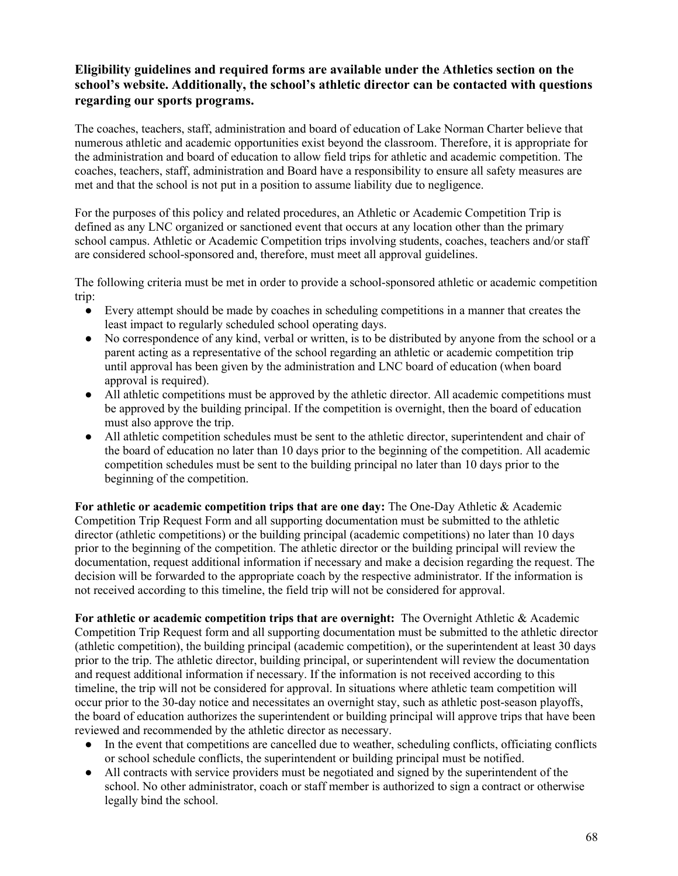## **Eligibility guidelines and required forms are available under the Athletics section on the school's website. Additionally, the school's athletic director can be contacted with questions regarding our sports programs.**

The coaches, teachers, staff, administration and board of education of Lake Norman Charter believe that numerous athletic and academic opportunities exist beyond the classroom. Therefore, it is appropriate for the administration and board of education to allow field trips for athletic and academic competition. The coaches, teachers, staff, administration and Board have a responsibility to ensure all safety measures are met and that the school is not put in a position to assume liability due to negligence.

For the purposes of this policy and related procedures, an Athletic or Academic Competition Trip is defined as any LNC organized or sanctioned event that occurs at any location other than the primary school campus. Athletic or Academic Competition trips involving students, coaches, teachers and/or staff are considered school-sponsored and, therefore, must meet all approval guidelines.

The following criteria must be met in order to provide a school-sponsored athletic or academic competition trip:

- Every attempt should be made by coaches in scheduling competitions in a manner that creates the least impact to regularly scheduled school operating days.
- No correspondence of any kind, verbal or written, is to be distributed by anyone from the school or a parent acting as a representative of the school regarding an athletic or academic competition trip until approval has been given by the administration and LNC board of education (when board approval is required).
- All athletic competitions must be approved by the athletic director. All academic competitions must be approved by the building principal. If the competition is overnight, then the board of education must also approve the trip.
- All athletic competition schedules must be sent to the athletic director, superintendent and chair of the board of education no later than 10 days prior to the beginning of the competition. All academic competition schedules must be sent to the building principal no later than 10 days prior to the beginning of the competition.

**For athletic or academic competition trips that are one day:** The One-Day Athletic & Academic Competition Trip Request Form and all supporting documentation must be submitted to the athletic director (athletic competitions) or the building principal (academic competitions) no later than 10 days prior to the beginning of the competition. The athletic director or the building principal will review the documentation, request additional information if necessary and make a decision regarding the request. The decision will be forwarded to the appropriate coach by the respective administrator. If the information is not received according to this timeline, the field trip will not be considered for approval.

**For athletic or academic competition trips that are overnight:** The Overnight Athletic & Academic Competition Trip Request form and all supporting documentation must be submitted to the athletic director (athletic competition), the building principal (academic competition), or the superintendent at least 30 days prior to the trip. The athletic director, building principal, or superintendent will review the documentation and request additional information if necessary. If the information is not received according to this timeline, the trip will not be considered for approval. In situations where athletic team competition will occur prior to the 30-day notice and necessitates an overnight stay, such as athletic post-season playoffs, the board of education authorizes the superintendent or building principal will approve trips that have been reviewed and recommended by the athletic director as necessary.

- In the event that competitions are cancelled due to weather, scheduling conflicts, officiating conflicts or school schedule conflicts, the superintendent or building principal must be notified.
- All contracts with service providers must be negotiated and signed by the superintendent of the school. No other administrator, coach or staff member is authorized to sign a contract or otherwise legally bind the school.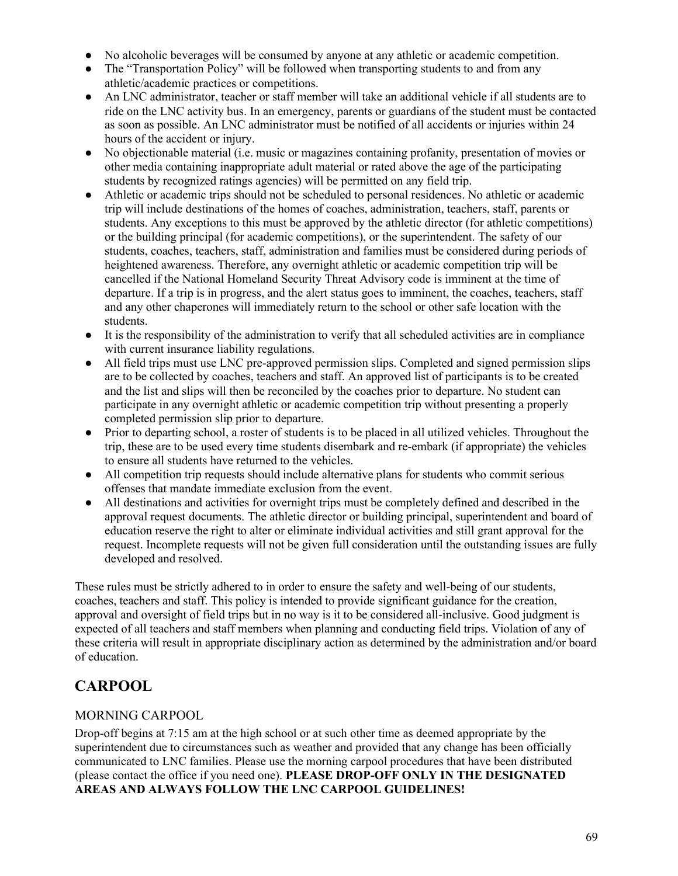- No alcoholic beverages will be consumed by anyone at any athletic or academic competition.
- The "Transportation Policy" will be followed when transporting students to and from any athletic/academic practices or competitions.
- An LNC administrator, teacher or staff member will take an additional vehicle if all students are to ride on the LNC activity bus. In an emergency, parents or guardians of the student must be contacted as soon as possible. An LNC administrator must be notified of all accidents or injuries within 24 hours of the accident or injury.
- No objectionable material (i.e. music or magazines containing profanity, presentation of movies or other media containing inappropriate adult material or rated above the age of the participating students by recognized ratings agencies) will be permitted on any field trip.
- Athletic or academic trips should not be scheduled to personal residences. No athletic or academic trip will include destinations of the homes of coaches, administration, teachers, staff, parents or students. Any exceptions to this must be approved by the athletic director (for athletic competitions) or the building principal (for academic competitions), or the superintendent. The safety of our students, coaches, teachers, staff, administration and families must be considered during periods of heightened awareness. Therefore, any overnight athletic or academic competition trip will be cancelled if the National Homeland Security Threat Advisory code is imminent at the time of departure. If a trip is in progress, and the alert status goes to imminent, the coaches, teachers, staff and any other chaperones will immediately return to the school or other safe location with the students.
- It is the responsibility of the administration to verify that all scheduled activities are in compliance with current insurance liability regulations.
- All field trips must use LNC pre-approved permission slips. Completed and signed permission slips are to be collected by coaches, teachers and staff. An approved list of participants is to be created and the list and slips will then be reconciled by the coaches prior to departure. No student can participate in any overnight athletic or academic competition trip without presenting a properly completed permission slip prior to departure.
- Prior to departing school, a roster of students is to be placed in all utilized vehicles. Throughout the trip, these are to be used every time students disembark and re-embark (if appropriate) the vehicles to ensure all students have returned to the vehicles.
- All competition trip requests should include alternative plans for students who commit serious offenses that mandate immediate exclusion from the event.
- All destinations and activities for overnight trips must be completely defined and described in the approval request documents. The athletic director or building principal, superintendent and board of education reserve the right to alter or eliminate individual activities and still grant approval for the request. Incomplete requests will not be given full consideration until the outstanding issues are fully developed and resolved.

These rules must be strictly adhered to in order to ensure the safety and well-being of our students, coaches, teachers and staff. This policy is intended to provide significant guidance for the creation, approval and oversight of field trips but in no way is it to be considered all-inclusive. Good judgment is expected of all teachers and staff members when planning and conducting field trips. Violation of any of these criteria will result in appropriate disciplinary action as determined by the administration and/or board of education.

# **CARPOOL**

## MORNING CARPOOL

Drop-off begins at 7:15 am at the high school or at such other time as deemed appropriate by the superintendent due to circumstances such as weather and provided that any change has been officially communicated to LNC families. Please use the morning carpool procedures that have been distributed (please contact the office if you need one). **PLEASE DROP-OFF ONLY IN THE DESIGNATED AREAS AND ALWAYS FOLLOW THE LNC CARPOOL GUIDELINES!**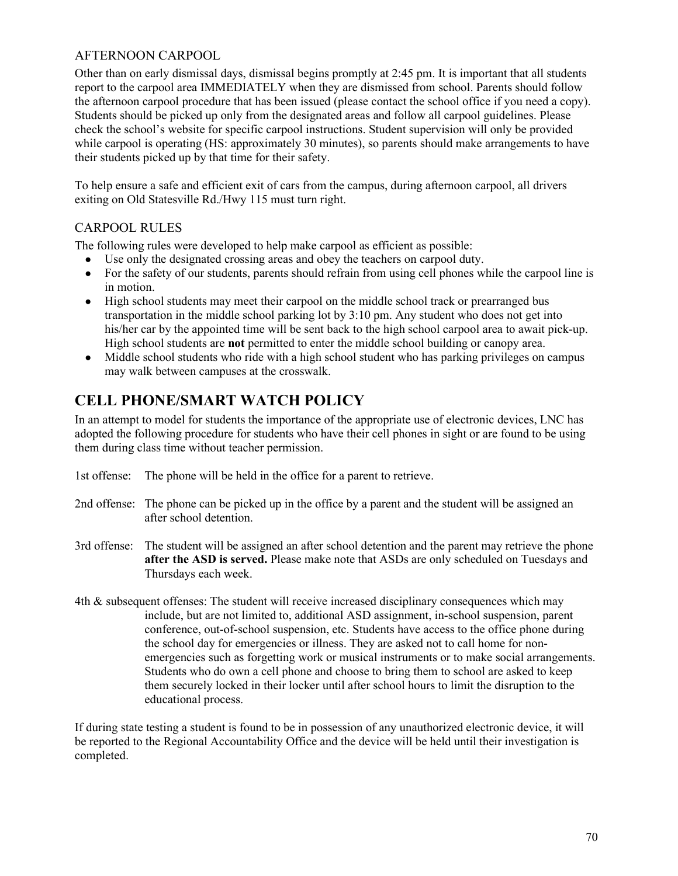### AFTERNOON CARPOOL

Other than on early dismissal days, dismissal begins promptly at 2:45 pm. It is important that all students report to the carpool area IMMEDIATELY when they are dismissed from school. Parents should follow the afternoon carpool procedure that has been issued (please contact the school office if you need a copy). Students should be picked up only from the designated areas and follow all carpool guidelines. Please check the school's website for specific carpool instructions. Student supervision will only be provided while carpool is operating (HS: approximately 30 minutes), so parents should make arrangements to have their students picked up by that time for their safety.

To help ensure a safe and efficient exit of cars from the campus, during afternoon carpool, all drivers exiting on Old Statesville Rd./Hwy 115 must turn right.

## CARPOOL RULES

The following rules were developed to help make carpool as efficient as possible:

- Use only the designated crossing areas and obey the teachers on carpool duty.
- For the safety of our students, parents should refrain from using cell phones while the carpool line is in motion.
- High school students may meet their carpool on the middle school track or prearranged bus transportation in the middle school parking lot by 3:10 pm. Any student who does not get into his/her car by the appointed time will be sent back to the high school carpool area to await pick-up. High school students are **not** permitted to enter the middle school building or canopy area.
- Middle school students who ride with a high school student who has parking privileges on campus may walk between campuses at the crosswalk.

# **CELL PHONE/SMART WATCH POLICY**

In an attempt to model for students the importance of the appropriate use of electronic devices, LNC has adopted the following procedure for students who have their cell phones in sight or are found to be using them during class time without teacher permission.

- 1st offense: The phone will be held in the office for a parent to retrieve.
- 2nd offense: The phone can be picked up in the office by a parent and the student will be assigned an after school detention.
- 3rd offense: The student will be assigned an after school detention and the parent may retrieve the phone **after the ASD is served.** Please make note that ASDs are only scheduled on Tuesdays and Thursdays each week.
- 4th & subsequent offenses: The student will receive increased disciplinary consequences which may include, but are not limited to, additional ASD assignment, in-school suspension, parent conference, out-of-school suspension, etc. Students have access to the office phone during the school day for emergencies or illness. They are asked not to call home for nonemergencies such as forgetting work or musical instruments or to make social arrangements. Students who do own a cell phone and choose to bring them to school are asked to keep them securely locked in their locker until after school hours to limit the disruption to the educational process.

If during state testing a student is found to be in possession of any unauthorized electronic device, it will be reported to the Regional Accountability Office and the device will be held until their investigation is completed.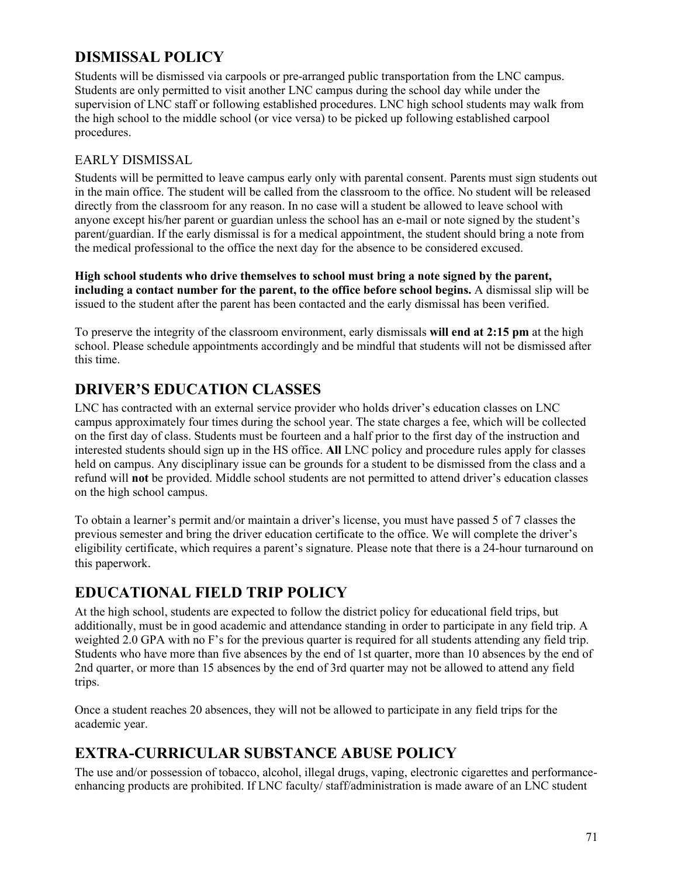# **DISMISSAL POLICY**

Students will be dismissed via carpools or pre-arranged public transportation from the LNC campus. Students are only permitted to visit another LNC campus during the school day while under the supervision of LNC staff or following established procedures. LNC high school students may walk from the high school to the middle school (or vice versa) to be picked up following established carpool procedures.

### EARLY DISMISSAL

Students will be permitted to leave campus early only with parental consent. Parents must sign students out in the main office. The student will be called from the classroom to the office. No student will be released directly from the classroom for any reason. In no case will a student be allowed to leave school with anyone except his/her parent or guardian unless the school has an e-mail or note signed by the student's parent/guardian. If the early dismissal is for a medical appointment, the student should bring a note from the medical professional to the office the next day for the absence to be considered excused.

**High school students who drive themselves to school must bring a note signed by the parent, including a contact number for the parent, to the office before school begins.** A dismissal slip will be issued to the student after the parent has been contacted and the early dismissal has been verified.

To preserve the integrity of the classroom environment, early dismissals **will end at 2:15 pm** at the high school. Please schedule appointments accordingly and be mindful that students will not be dismissed after this time.

## **DRIVER'S EDUCATION CLASSES**

LNC has contracted with an external service provider who holds driver's education classes on LNC campus approximately four times during the school year. The state charges a fee, which will be collected on the first day of class. Students must be fourteen and a half prior to the first day of the instruction and interested students should sign up in the HS office. **All** LNC policy and procedure rules apply for classes held on campus. Any disciplinary issue can be grounds for a student to be dismissed from the class and a refund will **not** be provided. Middle school students are not permitted to attend driver's education classes on the high school campus.

To obtain a learner's permit and/or maintain a driver's license, you must have passed 5 of 7 classes the previous semester and bring the driver education certificate to the office. We will complete the driver's eligibility certificate, which requires a parent's signature. Please note that there is a 24-hour turnaround on this paperwork.

## **EDUCATIONAL FIELD TRIP POLICY**

At the high school, students are expected to follow the district policy for educational field trips, but additionally, must be in good academic and attendance standing in order to participate in any field trip. A weighted 2.0 GPA with no F's for the previous quarter is required for all students attending any field trip. Students who have more than five absences by the end of 1st quarter, more than 10 absences by the end of 2nd quarter, or more than 15 absences by the end of 3rd quarter may not be allowed to attend any field trips.

Once a student reaches 20 absences, they will not be allowed to participate in any field trips for the academic year.

# **EXTRA-CURRICULAR SUBSTANCE ABUSE POLICY**

The use and/or possession of tobacco, alcohol, illegal drugs, vaping, electronic cigarettes and performanceenhancing products are prohibited. If LNC faculty/ staff/administration is made aware of an LNC student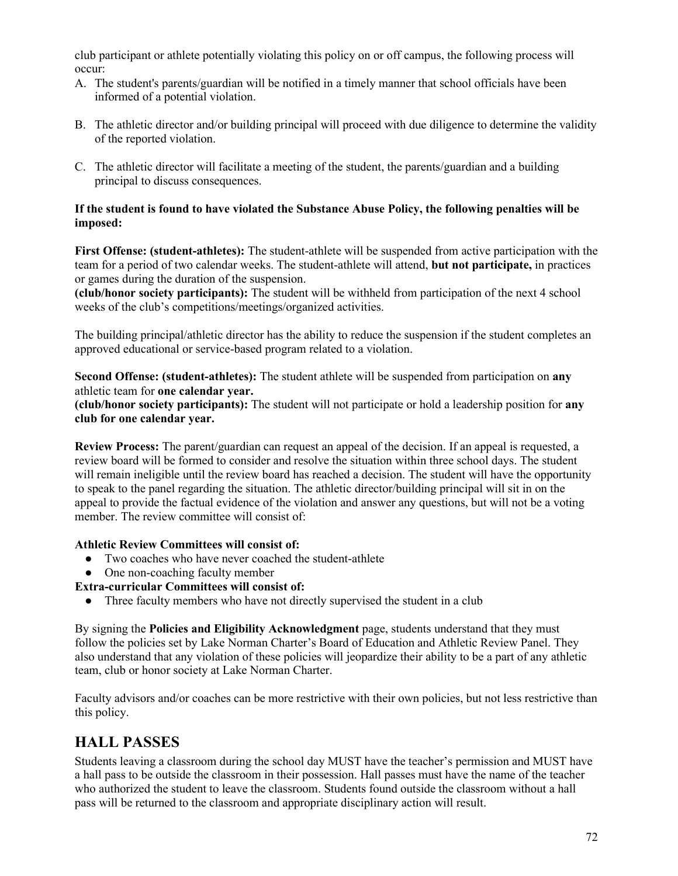club participant or athlete potentially violating this policy on or off campus, the following process will occur:

- A. The student's parents/guardian will be notified in a timely manner that school officials have been informed of a potential violation.
- B. The athletic director and/or building principal will proceed with due diligence to determine the validity of the reported violation.
- C. The athletic director will facilitate a meeting of the student, the parents/guardian and a building principal to discuss consequences.

#### **If the student is found to have violated the Substance Abuse Policy, the following penalties will be imposed:**

**First Offense: (student-athletes):** The student-athlete will be suspended from active participation with the team for a period of two calendar weeks. The student-athlete will attend, **but not participate,** in practices or games during the duration of the suspension.

**(club/honor society participants):** The student will be withheld from participation of the next 4 school weeks of the club's competitions/meetings/organized activities.

The building principal/athletic director has the ability to reduce the suspension if the student completes an approved educational or service-based program related to a violation.

**Second Offense: (student-athletes):** The student athlete will be suspended from participation on **any** athletic team for **one calendar year.**

**(club/honor society participants):** The student will not participate or hold a leadership position for **any club for one calendar year.**

**Review Process:** The parent/guardian can request an appeal of the decision. If an appeal is requested, a review board will be formed to consider and resolve the situation within three school days. The student will remain ineligible until the review board has reached a decision. The student will have the opportunity to speak to the panel regarding the situation. The athletic director/building principal will sit in on the appeal to provide the factual evidence of the violation and answer any questions, but will not be a voting member. The review committee will consist of:

### **Athletic Review Committees will consist of:**

- Two coaches who have never coached the student-athlete
- One non-coaching faculty member

### **Extra-curricular Committees will consist of:**

• Three faculty members who have not directly supervised the student in a club

By signing the **Policies and Eligibility Acknowledgment** page, students understand that they must follow the policies set by Lake Norman Charter's Board of Education and Athletic Review Panel. They also understand that any violation of these policies will jeopardize their ability to be a part of any athletic team, club or honor society at Lake Norman Charter.

Faculty advisors and/or coaches can be more restrictive with their own policies, but not less restrictive than this policy.

## **HALL PASSES**

Students leaving a classroom during the school day MUST have the teacher's permission and MUST have a hall pass to be outside the classroom in their possession. Hall passes must have the name of the teacher who authorized the student to leave the classroom. Students found outside the classroom without a hall pass will be returned to the classroom and appropriate disciplinary action will result.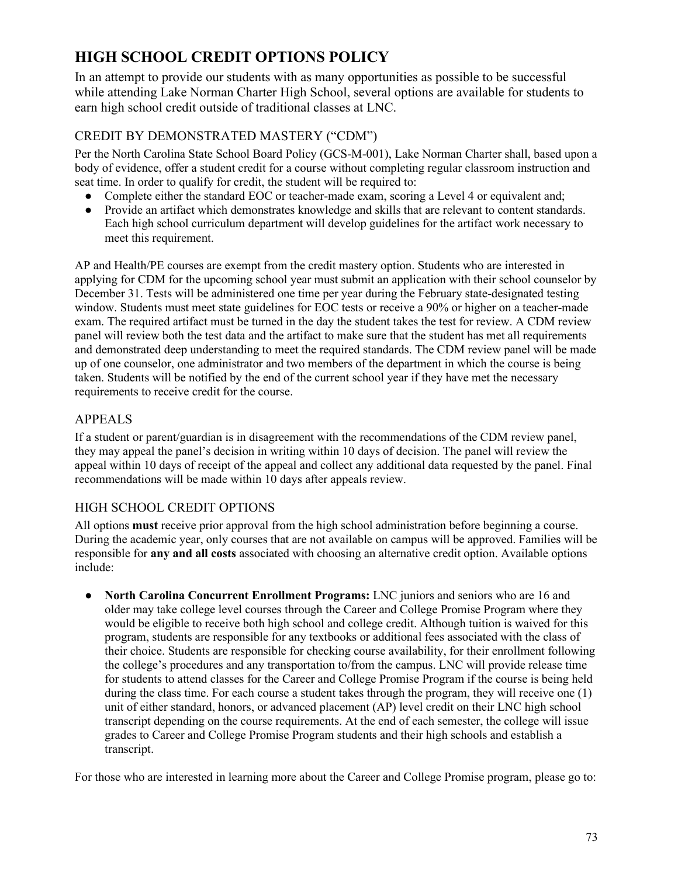# **HIGH SCHOOL CREDIT OPTIONS POLICY**

In an attempt to provide our students with as many opportunities as possible to be successful while attending Lake Norman Charter High School, several options are available for students to earn high school credit outside of traditional classes at LNC.

#### CREDIT BY DEMONSTRATED MASTERY ("CDM")

Per the North Carolina State School Board Policy (GCS-M-001), Lake Norman Charter shall, based upon a body of evidence, offer a student credit for a course without completing regular classroom instruction and seat time. In order to qualify for credit, the student will be required to:

- Complete either the standard EOC or teacher-made exam, scoring a Level 4 or equivalent and;
- Provide an artifact which demonstrates knowledge and skills that are relevant to content standards. Each high school curriculum department will develop guidelines for the artifact work necessary to meet this requirement.

AP and Health/PE courses are exempt from the credit mastery option. Students who are interested in applying for CDM for the upcoming school year must submit an application with their school counselor by December 31. Tests will be administered one time per year during the February state-designated testing window. Students must meet state guidelines for EOC tests or receive a 90% or higher on a teacher-made exam. The required artifact must be turned in the day the student takes the test for review. A CDM review panel will review both the test data and the artifact to make sure that the student has met all requirements and demonstrated deep understanding to meet the required standards. The CDM review panel will be made up of one counselor, one administrator and two members of the department in which the course is being taken. Students will be notified by the end of the current school year if they have met the necessary requirements to receive credit for the course.

#### APPEALS

If a student or parent/guardian is in disagreement with the recommendations of the CDM review panel, they may appeal the panel's decision in writing within 10 days of decision. The panel will review the appeal within 10 days of receipt of the appeal and collect any additional data requested by the panel. Final recommendations will be made within 10 days after appeals review.

#### HIGH SCHOOL CREDIT OPTIONS

All options **must** receive prior approval from the high school administration before beginning a course. During the academic year, only courses that are not available on campus will be approved. Families will be responsible for **any and all costs** associated with choosing an alternative credit option. Available options include:

● **North Carolina Concurrent Enrollment Programs:** LNC juniors and seniors who are 16 and older may take college level courses through the Career and College Promise Program where they would be eligible to receive both high school and college credit. Although tuition is waived for this program, students are responsible for any textbooks or additional fees associated with the class of their choice. Students are responsible for checking course availability, for their enrollment following the college's procedures and any transportation to/from the campus. LNC will provide release time for students to attend classes for the Career and College Promise Program if the course is being held during the class time. For each course a student takes through the program, they will receive one (1) unit of either standard, honors, or advanced placement (AP) level credit on their LNC high school transcript depending on the course requirements. At the end of each semester, the college will issue grades to Career and College Promise Program students and their high schools and establish a transcript.

For those who are interested in learning more about the Career and College Promise program, please go to: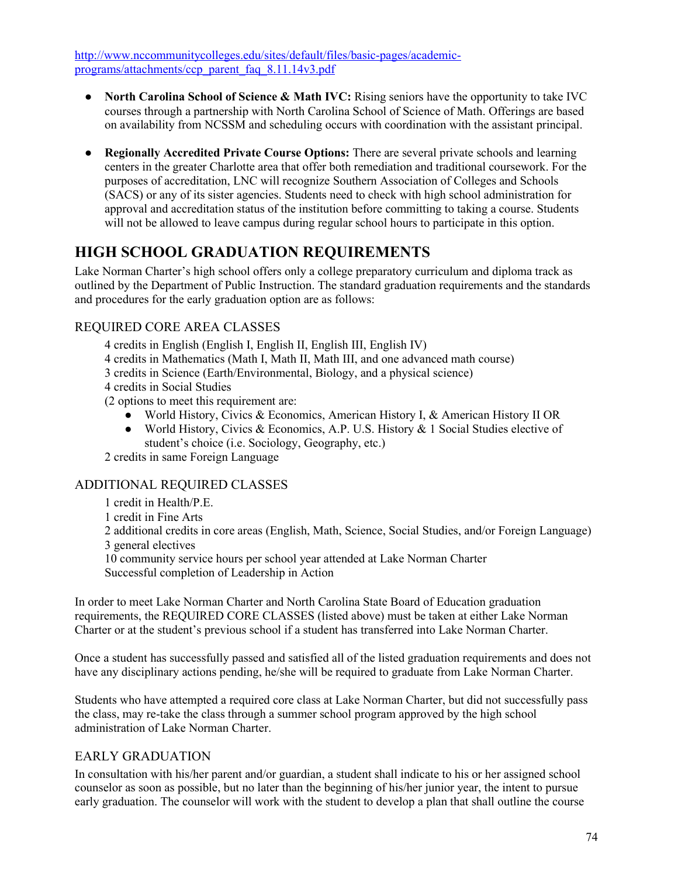[http://www.nccommunitycolleges.edu/sites/default/files/basic-pages/academic](http://www.nccommunitycolleges.edu/sites/default/files/basic-pages/academic-programs/attachments/ccp_parent_faq_8.11.14v3.pdf)[programs/attachments/ccp\\_parent\\_faq\\_8.11.14v3.pdf](http://www.nccommunitycolleges.edu/sites/default/files/basic-pages/academic-programs/attachments/ccp_parent_faq_8.11.14v3.pdf)

- **North Carolina School of Science & Math IVC:** Rising seniors have the opportunity to take IVC courses through a partnership with North Carolina School of Science of Math. Offerings are based on availability from NCSSM and scheduling occurs with coordination with the assistant principal.
- **Regionally Accredited Private Course Options:** There are several private schools and learning centers in the greater Charlotte area that offer both remediation and traditional coursework. For the purposes of accreditation, LNC will recognize Southern Association of Colleges and Schools (SACS) or any of its sister agencies. Students need to check with high school administration for approval and accreditation status of the institution before committing to taking a course. Students will not be allowed to leave campus during regular school hours to participate in this option.

### **HIGH SCHOOL GRADUATION REQUIREMENTS**

Lake Norman Charter's high school offers only a college preparatory curriculum and diploma track as outlined by the Department of Public Instruction. The standard graduation requirements and the standards and procedures for the early graduation option are as follows:

#### REQUIRED CORE AREA CLASSES

4 credits in English (English I, English II, English III, English IV)

4 credits in Mathematics (Math I, Math II, Math III, and one advanced math course)

3 credits in Science (Earth/Environmental, Biology, and a physical science)

4 credits in Social Studies

(2 options to meet this requirement are:

- World History, Civics & Economics, American History I, & American History II OR
- World History, Civics & Economics, A.P. U.S. History & 1 Social Studies elective of student's choice (i.e. Sociology, Geography, etc.)

2 credits in same Foreign Language

#### ADDITIONAL REQUIRED CLASSES

1 credit in Health/P.E.

1 credit in Fine Arts

2 additional credits in core areas (English, Math, Science, Social Studies, and/or Foreign Language) 3 general electives

10 community service hours per school year attended at Lake Norman Charter Successful completion of Leadership in Action

In order to meet Lake Norman Charter and North Carolina State Board of Education graduation requirements, the REQUIRED CORE CLASSES (listed above) must be taken at either Lake Norman Charter or at the student's previous school if a student has transferred into Lake Norman Charter.

Once a student has successfully passed and satisfied all of the listed graduation requirements and does not have any disciplinary actions pending, he/she will be required to graduate from Lake Norman Charter.

Students who have attempted a required core class at Lake Norman Charter, but did not successfully pass the class, may re-take the class through a summer school program approved by the high school administration of Lake Norman Charter.

#### EARLY GRADUATION

In consultation with his/her parent and/or guardian, a student shall indicate to his or her assigned school counselor as soon as possible, but no later than the beginning of his/her junior year, the intent to pursue early graduation. The counselor will work with the student to develop a plan that shall outline the course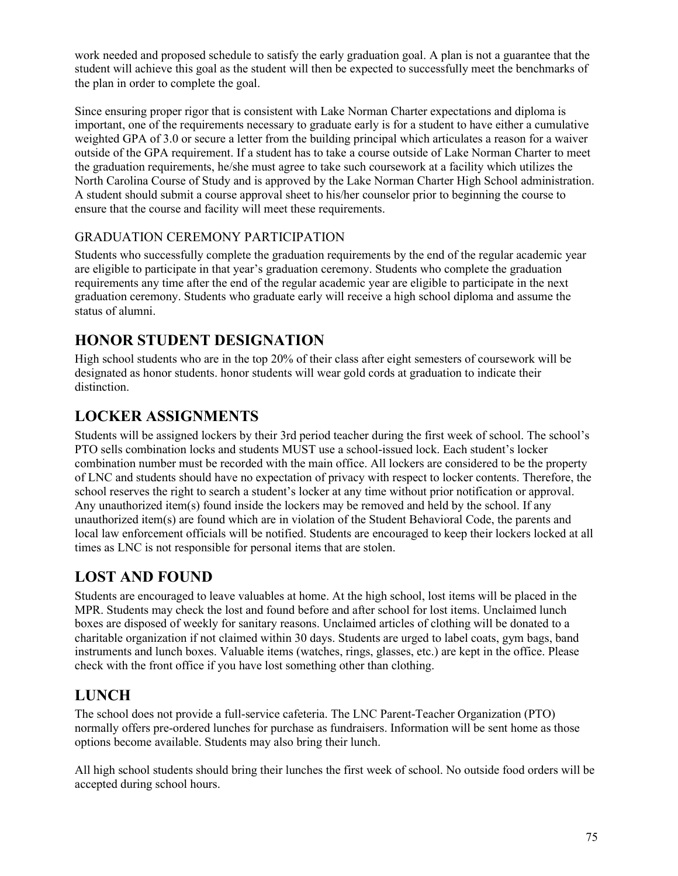work needed and proposed schedule to satisfy the early graduation goal. A plan is not a guarantee that the student will achieve this goal as the student will then be expected to successfully meet the benchmarks of the plan in order to complete the goal.

Since ensuring proper rigor that is consistent with Lake Norman Charter expectations and diploma is important, one of the requirements necessary to graduate early is for a student to have either a cumulative weighted GPA of 3.0 or secure a letter from the building principal which articulates a reason for a waiver outside of the GPA requirement. If a student has to take a course outside of Lake Norman Charter to meet the graduation requirements, he/she must agree to take such coursework at a facility which utilizes the North Carolina Course of Study and is approved by the Lake Norman Charter High School administration. A student should submit a course approval sheet to his/her counselor prior to beginning the course to ensure that the course and facility will meet these requirements.

#### GRADUATION CEREMONY PARTICIPATION

Students who successfully complete the graduation requirements by the end of the regular academic year are eligible to participate in that year's graduation ceremony. Students who complete the graduation requirements any time after the end of the regular academic year are eligible to participate in the next graduation ceremony. Students who graduate early will receive a high school diploma and assume the status of alumni.

## **HONOR STUDENT DESIGNATION**

High school students who are in the top 20% of their class after eight semesters of coursework will be designated as honor students. honor students will wear gold cords at graduation to indicate their distinction.

## **LOCKER ASSIGNMENTS**

Students will be assigned lockers by their 3rd period teacher during the first week of school. The school's PTO sells combination locks and students MUST use a school-issued lock. Each student's locker combination number must be recorded with the main office. All lockers are considered to be the property of LNC and students should have no expectation of privacy with respect to locker contents. Therefore, the school reserves the right to search a student's locker at any time without prior notification or approval. Any unauthorized item(s) found inside the lockers may be removed and held by the school. If any unauthorized item(s) are found which are in violation of the Student Behavioral Code, the parents and local law enforcement officials will be notified. Students are encouraged to keep their lockers locked at all times as LNC is not responsible for personal items that are stolen.

## **LOST AND FOUND**

Students are encouraged to leave valuables at home. At the high school, lost items will be placed in the MPR. Students may check the lost and found before and after school for lost items. Unclaimed lunch boxes are disposed of weekly for sanitary reasons. Unclaimed articles of clothing will be donated to a charitable organization if not claimed within 30 days. Students are urged to label coats, gym bags, band instruments and lunch boxes. Valuable items (watches, rings, glasses, etc.) are kept in the office. Please check with the front office if you have lost something other than clothing.

## **LUNCH**

The school does not provide a full-service cafeteria. The LNC Parent-Teacher Organization (PTO) normally offers pre-ordered lunches for purchase as fundraisers. Information will be sent home as those options become available. Students may also bring their lunch.

All high school students should bring their lunches the first week of school. No outside food orders will be accepted during school hours.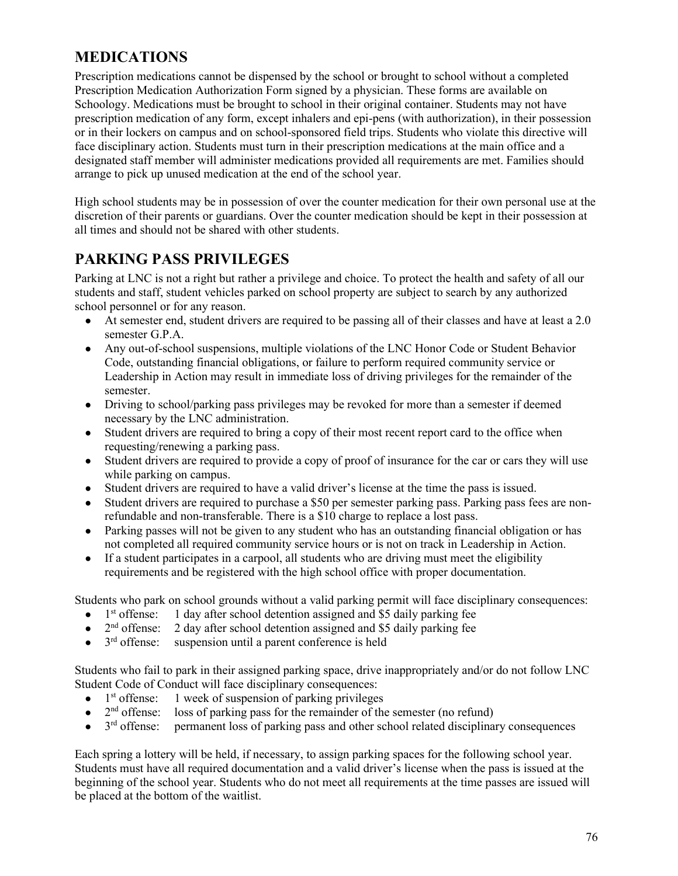# **MEDICATIONS**

Prescription medications cannot be dispensed by the school or brought to school without a completed Prescription Medication Authorization Form signed by a physician. These forms are available on Schoology. Medications must be brought to school in their original container. Students may not have prescription medication of any form, except inhalers and epi-pens (with authorization), in their possession or in their lockers on campus and on school-sponsored field trips. Students who violate this directive will face disciplinary action. Students must turn in their prescription medications at the main office and a designated staff member will administer medications provided all requirements are met. Families should arrange to pick up unused medication at the end of the school year.

High school students may be in possession of over the counter medication for their own personal use at the discretion of their parents or guardians. Over the counter medication should be kept in their possession at all times and should not be shared with other students.

### **PARKING PASS PRIVILEGES**

Parking at LNC is not a right but rather a privilege and choice. To protect the health and safety of all our students and staff, student vehicles parked on school property are subject to search by any authorized school personnel or for any reason.

- At semester end, student drivers are required to be passing all of their classes and have at least a 2.0 semester G.P.A.
- Any out-of-school suspensions, multiple violations of the LNC Honor Code or Student Behavior Code, outstanding financial obligations, or failure to perform required community service or Leadership in Action may result in immediate loss of driving privileges for the remainder of the semester.
- Driving to school/parking pass privileges may be revoked for more than a semester if deemed necessary by the LNC administration.
- Student drivers are required to bring a copy of their most recent report card to the office when requesting/renewing a parking pass.
- Student drivers are required to provide a copy of proof of insurance for the car or cars they will use while parking on campus.
- Student drivers are required to have a valid driver's license at the time the pass is issued.
- Student drivers are required to purchase a \$50 per semester parking pass. Parking pass fees are nonrefundable and non-transferable. There is a \$10 charge to replace a lost pass.
- Parking passes will not be given to any student who has an outstanding financial obligation or has not completed all required community service hours or is not on track in Leadership in Action.
- If a student participates in a carpool, all students who are driving must meet the eligibility requirements and be registered with the high school office with proper documentation.

Students who park on school grounds without a valid parking permit will face disciplinary consequences:

- $\bullet$  1<sup>st</sup> offense: 1 day after school detention assigned and \$5 daily parking fee
- $\bullet$  2<sup>nd</sup> offense: 2 day after school detention assigned and \$5 daily parking fee
- $\bullet$  3<sup>rd</sup> offense: suspension until a parent conference is held

Students who fail to park in their assigned parking space, drive inappropriately and/or do not follow LNC Student Code of Conduct will face disciplinary consequences:

- $\bullet$  1<sup>st</sup> offense: 1 week of suspension of parking privileges
- $2<sup>nd</sup>$  offense: loss of parking pass for the remainder of the semester (no refund)<br>•  $3<sup>rd</sup>$  offense: permanent loss of parking pass and other school related disciplina
- permanent loss of parking pass and other school related disciplinary consequences

Each spring a lottery will be held, if necessary, to assign parking spaces for the following school year. Students must have all required documentation and a valid driver's license when the pass is issued at the beginning of the school year. Students who do not meet all requirements at the time passes are issued will be placed at the bottom of the waitlist.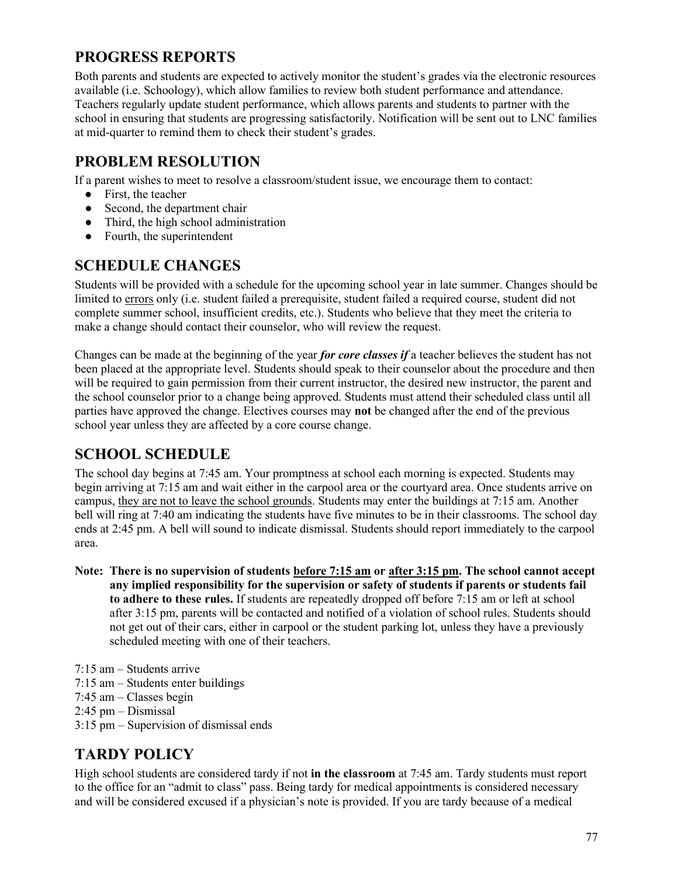## **PROGRESS REPORTS**

Both parents and students are expected to actively monitor the student's grades via the electronic resources available (i.e. Schoology), which allow families to review both student performance and attendance. Teachers regularly update student performance, which allows parents and students to partner with the school in ensuring that students are progressing satisfactorily. Notification will be sent out to LNC families at mid-quarter to remind them to check their student's grades.

### **PROBLEM RESOLUTION**

If a parent wishes to meet to resolve a classroom/student issue, we encourage them to contact:

- First, the teacher
- Second, the department chair
- Third, the high school administration
- Fourth, the superintendent

### **SCHEDULE CHANGES**

Students will be provided with a schedule for the upcoming school year in late summer. Changes should be limited to errors only (i.e. student failed a prerequisite, student failed a required course, student did not complete summer school, insufficient credits, etc.). Students who believe that they meet the criteria to make a change should contact their counselor, who will review the request.

Changes can be made at the beginning of the year *for core classes if* a teacher believes the student has not been placed at the appropriate level. Students should speak to their counselor about the procedure and then will be required to gain permission from their current instructor, the desired new instructor, the parent and the school counselor prior to a change being approved. Students must attend their scheduled class until all parties have approved the change. Electives courses may **not** be changed after the end of the previous school year unless they are affected by a core course change.

### **SCHOOL SCHEDULE**

The school day begins at 7:45 am. Your promptness at school each morning is expected. Students may begin arriving at 7:15 am and wait either in the carpool area or the courtyard area. Once students arrive on campus, they are not to leave the school grounds. Students may enter the buildings at 7:15 am. Another bell will ring at 7:40 am indicating the students have five minutes to be in their classrooms. The school day ends at 2:45 pm. A bell will sound to indicate dismissal. Students should report immediately to the carpool area.

- **Note: There is no supervision of students before 7:15 am or after 3:15 pm. The school cannot accept any implied responsibility for the supervision or safety of students if parents or students fail to adhere to these rules.** If students are repeatedly dropped off before 7:15 am or left at school after 3:15 pm, parents will be contacted and notified of a violation of school rules. Students should not get out of their cars, either in carpool or the student parking lot, unless they have a previously scheduled meeting with one of their teachers.
- 7:15 am Students arrive
- 7:15 am Students enter buildings
- 7:45 am Classes begin
- 2:45 pm Dismissal
- 3:15 pm Supervision of dismissal ends

### **TARDY POLICY**

High school students are considered tardy if not **in the classroom** at 7:45 am. Tardy students must report to the office for an "admit to class" pass. Being tardy for medical appointments is considered necessary and will be considered excused if a physician's note is provided. If you are tardy because of a medical